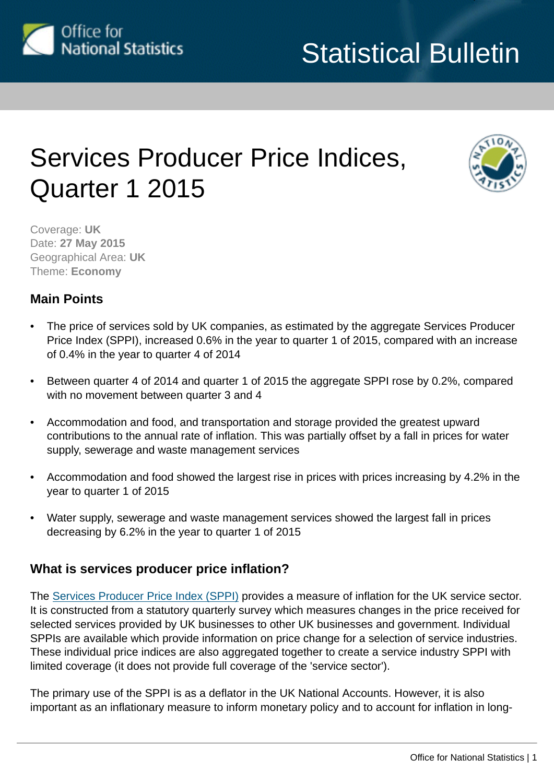

## Services Producer Price Indices, Quarter 1 2015



Coverage: **UK** Date: **27 May 2015** Geographical Area: **UK** Theme: **Economy**

## **Main Points**

- The price of services sold by UK companies, as estimated by the aggregate Services Producer Price Index (SPPI), increased 0.6% in the year to quarter 1 of 2015, compared with an increase of 0.4% in the year to quarter 4 of 2014
- Between quarter 4 of 2014 and quarter 1 of 2015 the aggregate SPPI rose by 0.2%, compared with no movement between quarter 3 and 4
- Accommodation and food, and transportation and storage provided the greatest upward contributions to the annual rate of inflation. This was partially offset by a fall in prices for water supply, sewerage and waste management services
- Accommodation and food showed the largest rise in prices with prices increasing by 4.2% in the year to quarter 1 of 2015
- Water supply, sewerage and waste management services showed the largest fall in prices decreasing by 6.2% in the year to quarter 1 of 2015

## **What is services producer price inflation?**

The [Services Producer Price Index \(SPPI\)](http://www.ons.gov.uk/ons/rel/ppi2/services-producer-price-indices/index.html) provides a measure of inflation for the UK service sector. It is constructed from a statutory quarterly survey which measures changes in the price received for selected services provided by UK businesses to other UK businesses and government. Individual SPPIs are available which provide information on price change for a selection of service industries. These individual price indices are also aggregated together to create a service industry SPPI with limited coverage (it does not provide full coverage of the 'service sector').

The primary use of the SPPI is as a deflator in the UK National Accounts. However, it is also important as an inflationary measure to inform monetary policy and to account for inflation in long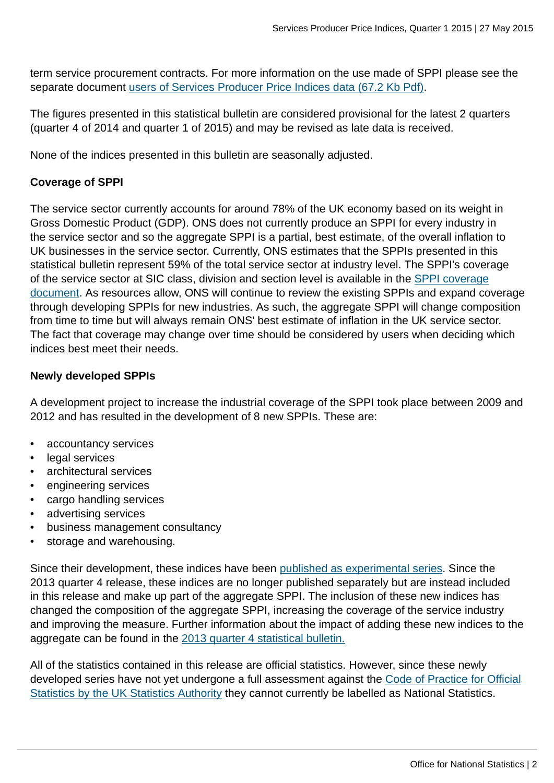term service procurement contracts. For more information on the use made of SPPI please see the separate document [users of Services Producer Price Indices data \(67.2 Kb Pdf\).](http://www.ons.gov.uk:80/ons/guide-method/user-guidance/prices/sppi/users-of-sppi-data.pdf)

The figures presented in this statistical bulletin are considered provisional for the latest 2 quarters (quarter 4 of 2014 and quarter 1 of 2015) and may be revised as late data is received.

None of the indices presented in this bulletin are seasonally adjusted.

## **Coverage of SPPI**

The service sector currently accounts for around 78% of the UK economy based on its weight in Gross Domestic Product (GDP). ONS does not currently produce an SPPI for every industry in the service sector and so the aggregate SPPI is a partial, best estimate, of the overall inflation to UK businesses in the service sector. Currently, ONS estimates that the SPPIs presented in this statistical bulletin represent 59% of the total service sector at industry level. The SPPI's coverage of the service sector at SIC class, division and section level is available in the [SPPI coverage](http://www.ons.gov.uk/ons/guide-method/user-guidance/prices/sppi/sppi--service-sector-coverage-document.xls) [document](http://www.ons.gov.uk/ons/guide-method/user-guidance/prices/sppi/sppi--service-sector-coverage-document.xls). As resources allow, ONS will continue to review the existing SPPIs and expand coverage through developing SPPIs for new industries. As such, the aggregate SPPI will change composition from time to time but will always remain ONS' best estimate of inflation in the UK service sector. The fact that coverage may change over time should be considered by users when deciding which indices best meet their needs.

## **Newly developed SPPIs**

A development project to increase the industrial coverage of the SPPI took place between 2009 and 2012 and has resulted in the development of 8 new SPPIs. These are:

- accountancy services
- legal services
- architectural services
- engineering services
- cargo handling services
- advertising services
- business management consultancy
- storage and warehousing.

Since their development, these indices have been [published as experimental series](http://www.ons.gov.uk/ons/rel/ppi2/services-producer-price-indices/the-development-of-price-indices-for-professional-business-services--cargo-handling-and-storage-and-warehousing--quarter-3-2013/experimental-sppis-q3-2013-article.html). Since the 2013 quarter 4 release, these indices are no longer published separately but are instead included in this release and make up part of the aggregate SPPI. The inclusion of these new indices has changed the composition of the aggregate SPPI, increasing the coverage of the service industry and improving the measure. Further information about the impact of adding these new indices to the aggregate can be found in the [2013 quarter 4 statistical bulletin.](http://www.ons.gov.uk:80/ons/rel/ppi2/services-producer-price-indices/quarter-4-2013/stb-services-producer-price-index--quarter-4-2013.html)

All of the statistics contained in this release are official statistics. However, since these newly developed series have not yet undergone a full assessment against the [Code of Practice for Official](http://www.ons.gov.uk:80/ons/external-links/stats-authority/uk-statistics-authority-code-of-practice.html) [Statistics by the UK Statistics Authority](http://www.ons.gov.uk:80/ons/external-links/stats-authority/uk-statistics-authority-code-of-practice.html) they cannot currently be labelled as National Statistics.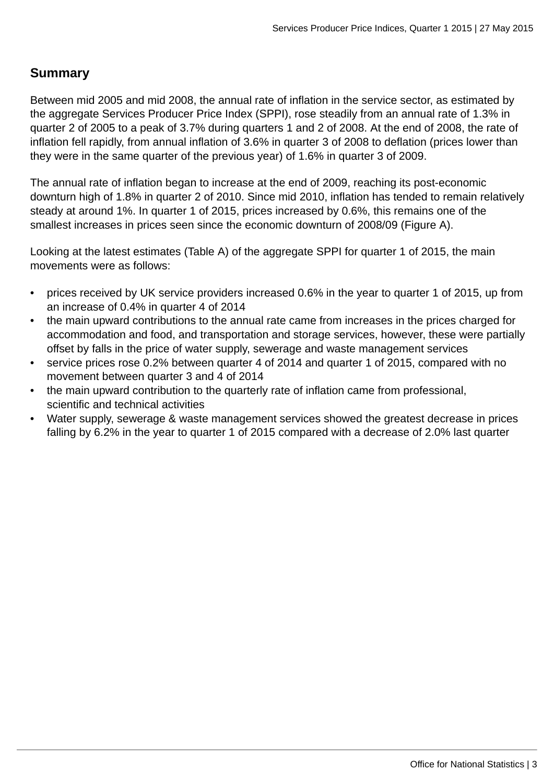## **Summary**

Between mid 2005 and mid 2008, the annual rate of inflation in the service sector, as estimated by the aggregate Services Producer Price Index (SPPI), rose steadily from an annual rate of 1.3% in quarter 2 of 2005 to a peak of 3.7% during quarters 1 and 2 of 2008. At the end of 2008, the rate of inflation fell rapidly, from annual inflation of 3.6% in quarter 3 of 2008 to deflation (prices lower than they were in the same quarter of the previous year) of 1.6% in quarter 3 of 2009.

The annual rate of inflation began to increase at the end of 2009, reaching its post-economic downturn high of 1.8% in quarter 2 of 2010. Since mid 2010, inflation has tended to remain relatively steady at around 1%. In quarter 1 of 2015, prices increased by 0.6%, this remains one of the smallest increases in prices seen since the economic downturn of 2008/09 (Figure A).

Looking at the latest estimates (Table A) of the aggregate SPPI for quarter 1 of 2015, the main movements were as follows:

- prices received by UK service providers increased 0.6% in the year to quarter 1 of 2015, up from an increase of 0.4% in quarter 4 of 2014
- the main upward contributions to the annual rate came from increases in the prices charged for accommodation and food, and transportation and storage services, however, these were partially offset by falls in the price of water supply, sewerage and waste management services
- service prices rose 0.2% between quarter 4 of 2014 and quarter 1 of 2015, compared with no movement between quarter 3 and 4 of 2014
- the main upward contribution to the quarterly rate of inflation came from professional, scientific and technical activities
- Water supply, sewerage & waste management services showed the greatest decrease in prices falling by 6.2% in the year to quarter 1 of 2015 compared with a decrease of 2.0% last quarter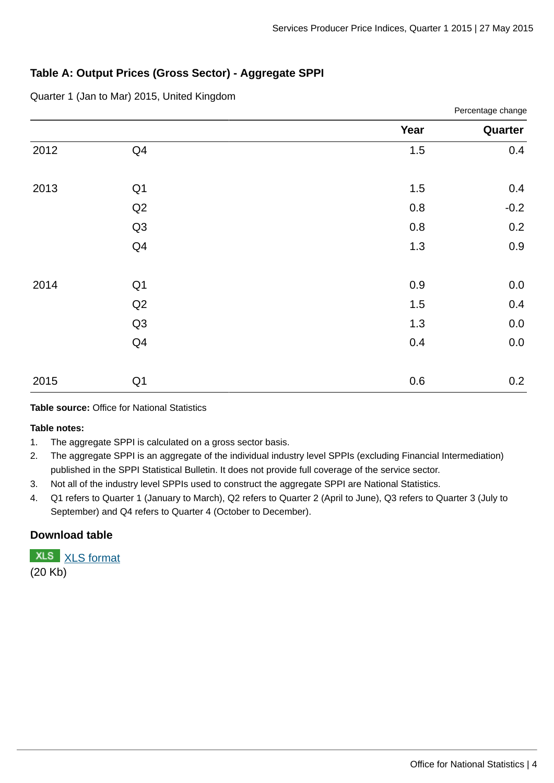Percentage change

## **Table A: Output Prices (Gross Sector) - Aggregate SPPI**

Quarter 1 (Jan to Mar) 2015, United Kingdom

|                | Year     | Quarter |
|----------------|----------|---------|
| Q4             | $1.5\,$  | 0.4     |
|                |          | 0.4     |
| Q <sub>2</sub> | $0.8\,$  | $-0.2$  |
| Q <sub>3</sub> | $0.8\,$  | 0.2     |
| Q4             | $1.3\,$  | 0.9     |
|                | $0.9\,$  | $0.0\,$ |
| Q <sub>2</sub> | $1.5\,$  | 0.4     |
| Q <sub>3</sub> | $1.3\,$  | $0.0\,$ |
| Q4             | 0.4      | $0.0\,$ |
| Q1             | $0.6\,$  | 0.2     |
|                | Q1<br>Q1 | $1.5\,$ |

**Table source:** Office for National Statistics

**Table notes:**

- 1. The aggregate SPPI is calculated on a gross sector basis.
- 2. The aggregate SPPI is an aggregate of the individual industry level SPPIs (excluding Financial Intermediation) published in the SPPI Statistical Bulletin. It does not provide full coverage of the service sector.
- 3. Not all of the industry level SPPIs used to construct the aggregate SPPI are National Statistics.
- 4. Q1 refers to Quarter 1 (January to March), Q2 refers to Quarter 2 (April to June), Q3 refers to Quarter 3 (July to September) and Q4 refers to Quarter 4 (October to December).

## **Download table**

**XLS** [XLS format](http://www.ons.gov.uk:80/ons/rel/ppi2/services-producer-price-index/quarter-1-2015/prt-output-prices--gross-sector----aggregate-sppi.xls) (20 Kb)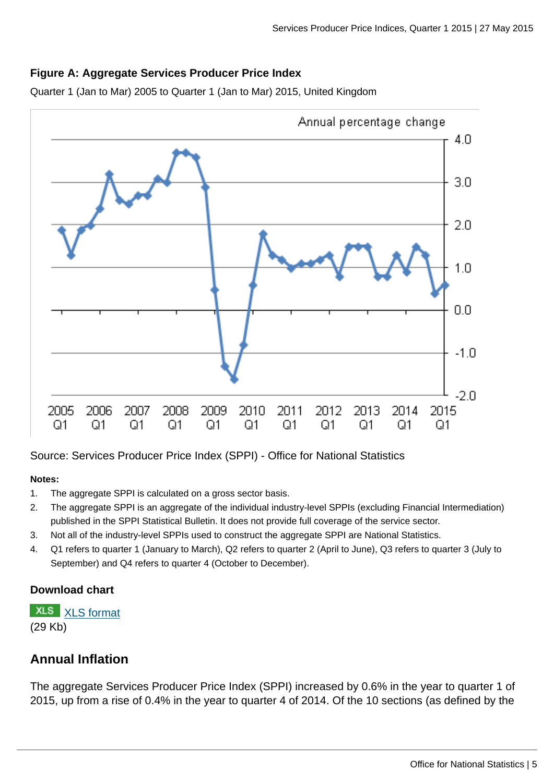## **Figure A: Aggregate Services Producer Price Index**

Quarter 1 (Jan to Mar) 2005 to Quarter 1 (Jan to Mar) 2015, United Kingdom



Source: Services Producer Price Index (SPPI) - Office for National Statistics

#### **Notes:**

- 1. The aggregate SPPI is calculated on a gross sector basis.
- 2. The aggregate SPPI is an aggregate of the individual industry-level SPPIs (excluding Financial Intermediation) published in the SPPI Statistical Bulletin. It does not provide full coverage of the service sector.
- 3. Not all of the industry-level SPPIs used to construct the aggregate SPPI are National Statistics.
- 4. Q1 refers to quarter 1 (January to March), Q2 refers to quarter 2 (April to June), Q3 refers to quarter 3 (July to September) and Q4 refers to quarter 4 (October to December).

## **Download chart**

**XLS** [XLS format](http://www.ons.gov.uk:80/ons/rel/ppi2/services-producer-price-index/quarter-1-2015/chd-aggregate-sppi-for-services.xls)

(29 Kb)

## **Annual Inflation**

The aggregate Services Producer Price Index (SPPI) increased by 0.6% in the year to quarter 1 of 2015, up from a rise of 0.4% in the year to quarter 4 of 2014. Of the 10 sections (as defined by the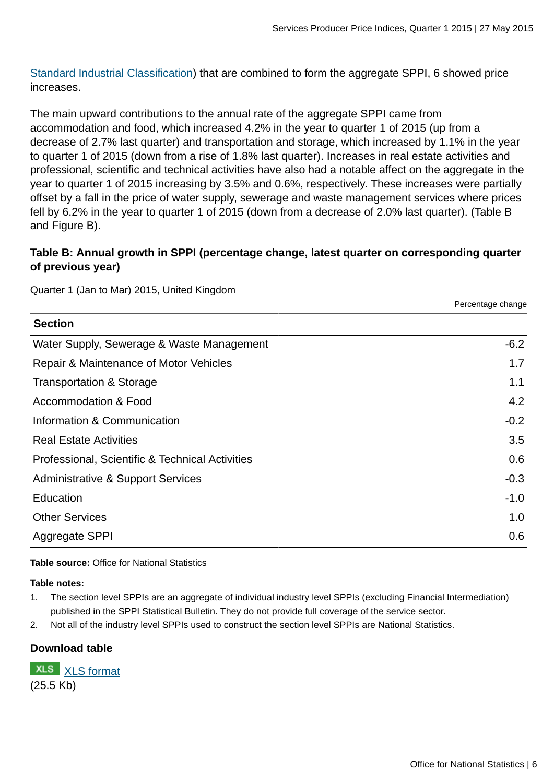[Standard Industrial Classification](http://www.ons.gov.uk:80/ons/guide-method/classifications/current-standard-classifications/standard-industrial-classification/index.html)) that are combined to form the aggregate SPPI, 6 showed price increases.

The main upward contributions to the annual rate of the aggregate SPPI came from accommodation and food, which increased 4.2% in the year to quarter 1 of 2015 (up from a decrease of 2.7% last quarter) and transportation and storage, which increased by 1.1% in the year to quarter 1 of 2015 (down from a rise of 1.8% last quarter). Increases in real estate activities and professional, scientific and technical activities have also had a notable affect on the aggregate in the year to quarter 1 of 2015 increasing by 3.5% and 0.6%, respectively. These increases were partially offset by a fall in the price of water supply, sewerage and waste management services where prices fell by 6.2% in the year to quarter 1 of 2015 (down from a decrease of 2.0% last quarter). (Table B and Figure B).

## **Table B: Annual growth in SPPI (percentage change, latest quarter on corresponding quarter of previous year)**

Quarter 1 (Jan to Mar) 2015, United Kingdom

|                                                 | Percentage change |
|-------------------------------------------------|-------------------|
| <b>Section</b>                                  |                   |
| Water Supply, Sewerage & Waste Management       | $-6.2$            |
| Repair & Maintenance of Motor Vehicles          | 1.7               |
| Transportation & Storage                        | 1.1               |
| Accommodation & Food                            | $4.2^{\circ}$     |
| Information & Communication                     | $-0.2$            |
| <b>Real Estate Activities</b>                   | 3.5               |
| Professional, Scientific & Technical Activities | 0.6               |
| Administrative & Support Services               | $-0.3$            |
| Education                                       | $-1.0$            |
| <b>Other Services</b>                           | 1.0               |
| Aggregate SPPI                                  | 0.6               |

#### **Table source:** Office for National Statistics

**Table notes:**

- 1. The section level SPPIs are an aggregate of individual industry level SPPIs (excluding Financial Intermediation) published in the SPPI Statistical Bulletin. They do not provide full coverage of the service sector.
- 2. Not all of the industry level SPPIs used to construct the section level SPPIs are National Statistics.

## **Download table**

**XLS** [XLS format](http://www.ons.gov.uk:80/ons/rel/ppi2/services-producer-price-index/quarter-1-2015/prt-12-mth-change-to-quarter.xls) (25.5 Kb)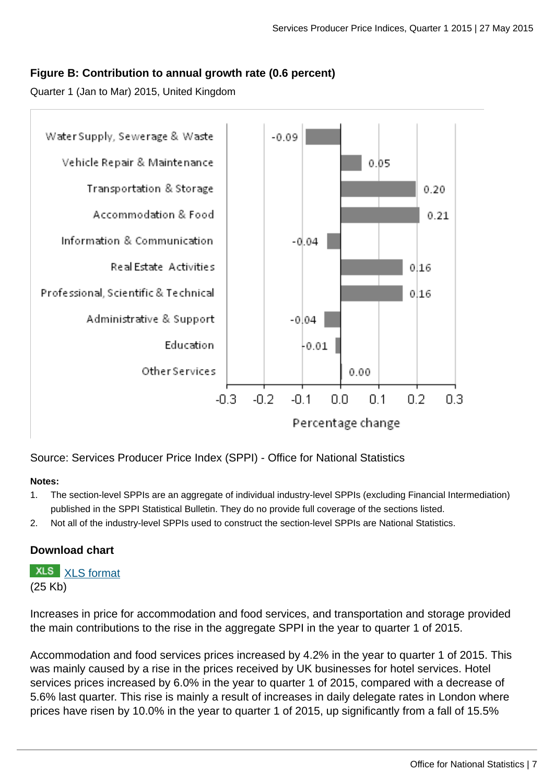## **Figure B: Contribution to annual growth rate (0.6 percent)**

Quarter 1 (Jan to Mar) 2015, United Kingdom



Source: Services Producer Price Index (SPPI) - Office for National Statistics

#### **Notes:**

- 1. The section-level SPPIs are an aggregate of individual industry-level SPPIs (excluding Financial Intermediation) published in the SPPI Statistical Bulletin. They do no provide full coverage of the sections listed.
- 2. Not all of the industry-level SPPIs used to construct the section-level SPPIs are National Statistics.

## **Download chart**

**XLS** [XLS format](http://www.ons.gov.uk:80/ons/rel/ppi2/services-producer-price-index/quarter-1-2015/chd-12-mth-contribution.xls) (25 Kb)

Increases in price for accommodation and food services, and transportation and storage provided the main contributions to the rise in the aggregate SPPI in the year to quarter 1 of 2015.

Accommodation and food services prices increased by 4.2% in the year to quarter 1 of 2015. This was mainly caused by a rise in the prices received by UK businesses for hotel services. Hotel services prices increased by 6.0% in the year to quarter 1 of 2015, compared with a decrease of 5.6% last quarter. This rise is mainly a result of increases in daily delegate rates in London where prices have risen by 10.0% in the year to quarter 1 of 2015, up significantly from a fall of 15.5%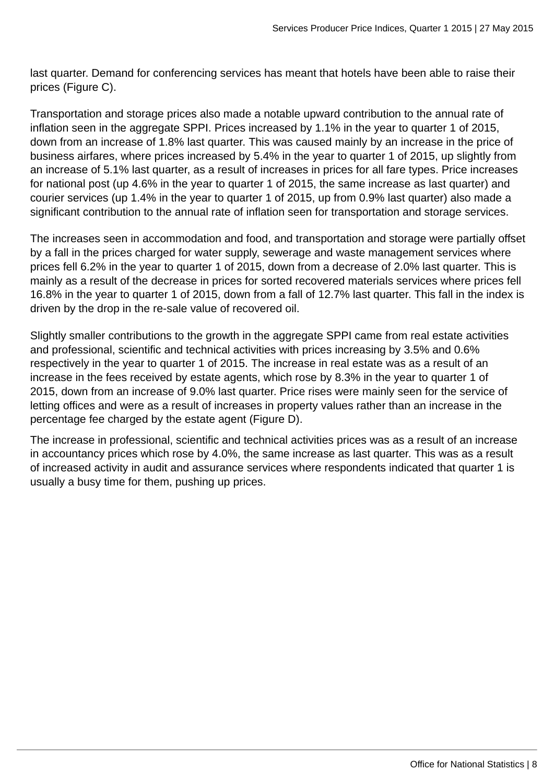last quarter. Demand for conferencing services has meant that hotels have been able to raise their prices (Figure C).

Transportation and storage prices also made a notable upward contribution to the annual rate of inflation seen in the aggregate SPPI. Prices increased by 1.1% in the year to quarter 1 of 2015, down from an increase of 1.8% last quarter. This was caused mainly by an increase in the price of business airfares, where prices increased by 5.4% in the year to quarter 1 of 2015, up slightly from an increase of 5.1% last quarter, as a result of increases in prices for all fare types. Price increases for national post (up 4.6% in the year to quarter 1 of 2015, the same increase as last quarter) and courier services (up 1.4% in the year to quarter 1 of 2015, up from 0.9% last quarter) also made a significant contribution to the annual rate of inflation seen for transportation and storage services.

The increases seen in accommodation and food, and transportation and storage were partially offset by a fall in the prices charged for water supply, sewerage and waste management services where prices fell 6.2% in the year to quarter 1 of 2015, down from a decrease of 2.0% last quarter. This is mainly as a result of the decrease in prices for sorted recovered materials services where prices fell 16.8% in the year to quarter 1 of 2015, down from a fall of 12.7% last quarter. This fall in the index is driven by the drop in the re-sale value of recovered oil.

Slightly smaller contributions to the growth in the aggregate SPPI came from real estate activities and professional, scientific and technical activities with prices increasing by 3.5% and 0.6% respectively in the year to quarter 1 of 2015. The increase in real estate was as a result of an increase in the fees received by estate agents, which rose by 8.3% in the year to quarter 1 of 2015, down from an increase of 9.0% last quarter. Price rises were mainly seen for the service of letting offices and were as a result of increases in property values rather than an increase in the percentage fee charged by the estate agent (Figure D).

The increase in professional, scientific and technical activities prices was as a result of an increase in accountancy prices which rose by 4.0%, the same increase as last quarter. This was as a result of increased activity in audit and assurance services where respondents indicated that quarter 1 is usually a busy time for them, pushing up prices.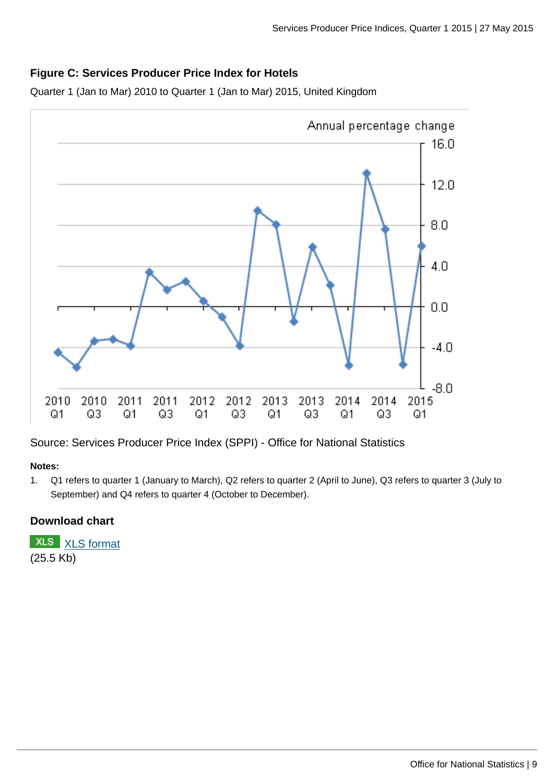## **Figure C: Services Producer Price Index for Hotels**

Quarter 1 (Jan to Mar) 2010 to Quarter 1 (Jan to Mar) 2015, United Kingdom



Source: Services Producer Price Index (SPPI) - Office for National Statistics

#### **Notes:**

1. Q1 refers to quarter 1 (January to March), Q2 refers to quarter 2 (April to June), Q3 refers to quarter 3 (July to September) and Q4 refers to quarter 4 (October to December).

## **Download chart**

**XLS** [XLS format](http://www.ons.gov.uk:80/ons/rel/ppi2/services-producer-price-index/quarter-1-2015/chd-hotels.xls) (25.5 Kb)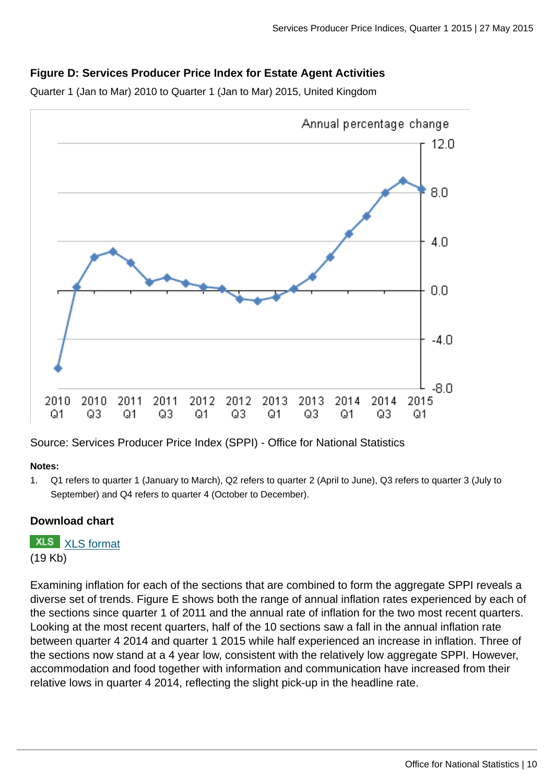## **Figure D: Services Producer Price Index for Estate Agent Activities**

Quarter 1 (Jan to Mar) 2010 to Quarter 1 (Jan to Mar) 2015, United Kingdom



Source: Services Producer Price Index (SPPI) - Office for National Statistics

#### **Notes:**

1. Q1 refers to quarter 1 (January to March), Q2 refers to quarter 2 (April to June), Q3 refers to quarter 3 (July to September) and Q4 refers to quarter 4 (October to December).

## **Download chart**

**XLS** [XLS format](http://www.ons.gov.uk:80/ons/rel/ppi2/services-producer-price-index/quarter-1-2015/chd-estate-agent-activities.xls) (19 Kb)

Examining inflation for each of the sections that are combined to form the aggregate SPPI reveals a diverse set of trends. Figure E shows both the range of annual inflation rates experienced by each of the sections since quarter 1 of 2011 and the annual rate of inflation for the two most recent quarters. Looking at the most recent quarters, half of the 10 sections saw a fall in the annual inflation rate between quarter 4 2014 and quarter 1 2015 while half experienced an increase in inflation. Three of the sections now stand at a 4 year low, consistent with the relatively low aggregate SPPI. However, accommodation and food together with information and communication have increased from their relative lows in quarter 4 2014, reflecting the slight pick-up in the headline rate.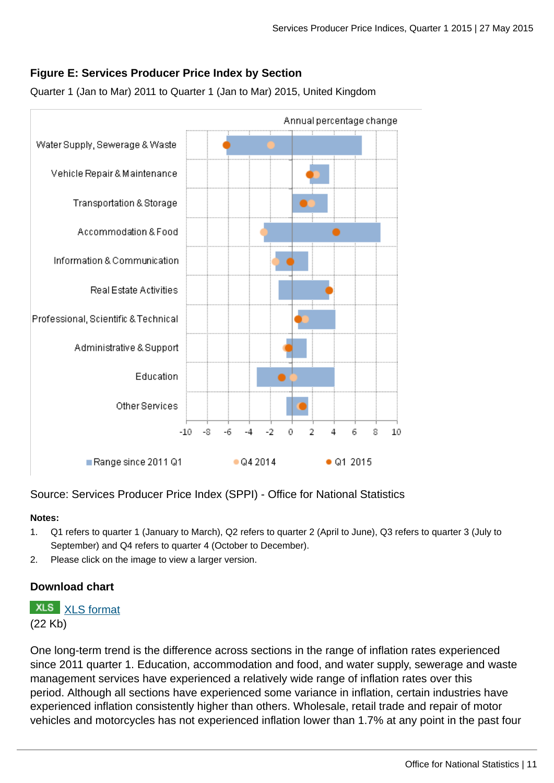## **Figure E: Services Producer Price Index by Section**



Quarter 1 (Jan to Mar) 2011 to Quarter 1 (Jan to Mar) 2015, United Kingdom

Source: Services Producer Price Index (SPPI) - Office for National Statistics

#### **Notes:**

- 1. Q1 refers to quarter 1 (January to March), Q2 refers to quarter 2 (April to June), Q3 refers to quarter 3 (July to September) and Q4 refers to quarter 4 (October to December).
- 2. Please click on the image to view a larger version.

## **Download chart**

**XLS** [XLS format](http://www.ons.gov.uk:80/ons/rel/ppi2/services-producer-price-index/quarter-1-2015/chd-sppi-sections.xls)

(22 Kb)

One long-term trend is the difference across sections in the range of inflation rates experienced since 2011 quarter 1. Education, accommodation and food, and water supply, sewerage and waste management services have experienced a relatively wide range of inflation rates over this period. Although all sections have experienced some variance in inflation, certain industries have experienced inflation consistently higher than others. Wholesale, retail trade and repair of motor vehicles and motorcycles has not experienced inflation lower than 1.7% at any point in the past four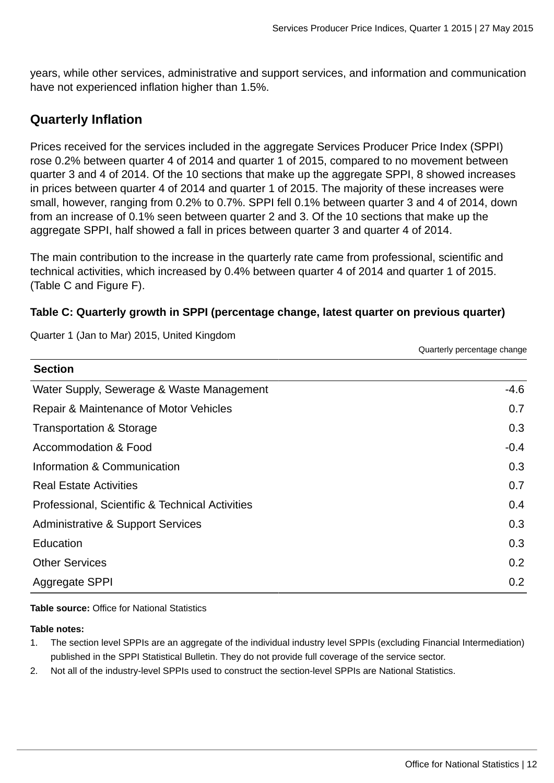years, while other services, administrative and support services, and information and communication have not experienced inflation higher than 1.5%.

## **Quarterly Inflation**

Prices received for the services included in the aggregate Services Producer Price Index (SPPI) rose 0.2% between quarter 4 of 2014 and quarter 1 of 2015, compared to no movement between quarter 3 and 4 of 2014. Of the 10 sections that make up the aggregate SPPI, 8 showed increases in prices between quarter 4 of 2014 and quarter 1 of 2015. The majority of these increases were small, however, ranging from 0.2% to 0.7%. SPPI fell 0.1% between quarter 3 and 4 of 2014, down from an increase of 0.1% seen between quarter 2 and 3. Of the 10 sections that make up the aggregate SPPI, half showed a fall in prices between quarter 3 and quarter 4 of 2014.

The main contribution to the increase in the quarterly rate came from professional, scientific and technical activities, which increased by 0.4% between quarter 4 of 2014 and quarter 1 of 2015. (Table C and Figure F).

## **Table C: Quarterly growth in SPPI (percentage change, latest quarter on previous quarter)**

Quarter 1 (Jan to Mar) 2015, United Kingdom

Quarterly percentage change

| <b>Section</b>                                  |        |
|-------------------------------------------------|--------|
| Water Supply, Sewerage & Waste Management       | $-4.6$ |
| Repair & Maintenance of Motor Vehicles          | 0.7    |
| Transportation & Storage                        | 0.3    |
| Accommodation & Food                            | $-0.4$ |
| Information & Communication                     | 0.3    |
| <b>Real Estate Activities</b>                   | 0.7    |
| Professional, Scientific & Technical Activities | 0.4    |
| <b>Administrative &amp; Support Services</b>    | 0.3    |
| Education                                       | 0.3    |
| <b>Other Services</b>                           | 0.2    |
| Aggregate SPPI                                  | 0.2    |

**Table source:** Office for National Statistics

**Table notes:**

**Section**

- 1. The section level SPPIs are an aggregate of the individual industry level SPPIs (excluding Financial Intermediation) published in the SPPI Statistical Bulletin. They do not provide full coverage of the service sector.
- 2. Not all of the industry-level SPPIs used to construct the section-level SPPIs are National Statistics.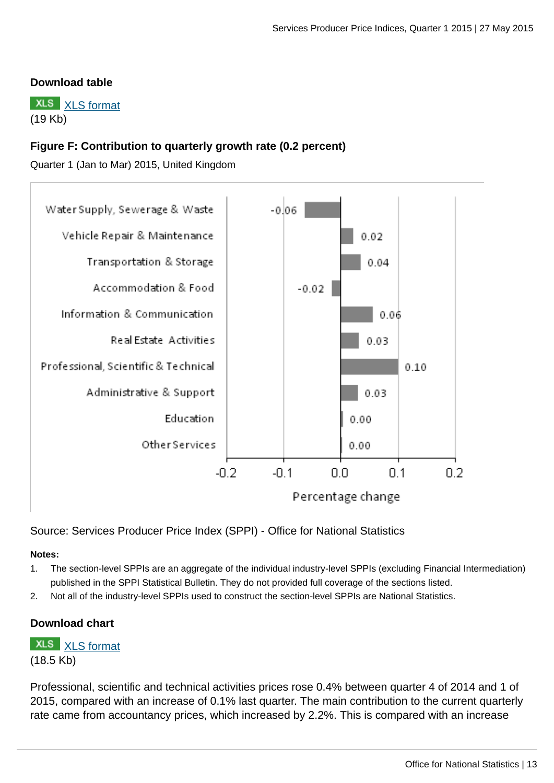## **Download table**

**XLS** [XLS format](http://www.ons.gov.uk:80/ons/rel/ppi2/services-producer-price-index/quarter-1-2015/prt-3-mth-change-to-quarter-1.xls) (19 Kb)

## **Figure F: Contribution to quarterly growth rate (0.2 percent)**

Quarter 1 (Jan to Mar) 2015, United Kingdom



Source: Services Producer Price Index (SPPI) - Office for National Statistics

#### **Notes:**

- 1. The section-level SPPIs are an aggregate of the individual industry-level SPPIs (excluding Financial Intermediation) published in the SPPI Statistical Bulletin. They do not provided full coverage of the sections listed.
- 2. Not all of the industry-level SPPIs used to construct the section-level SPPIs are National Statistics.

## **Download chart**

**XLS** [XLS format](http://www.ons.gov.uk:80/ons/rel/ppi2/services-producer-price-index/quarter-1-2015/chd-3-mth-contribution.xls) (18.5 Kb)

Professional, scientific and technical activities prices rose 0.4% between quarter 4 of 2014 and 1 of 2015, compared with an increase of 0.1% last quarter. The main contribution to the current quarterly rate came from accountancy prices, which increased by 2.2%. This is compared with an increase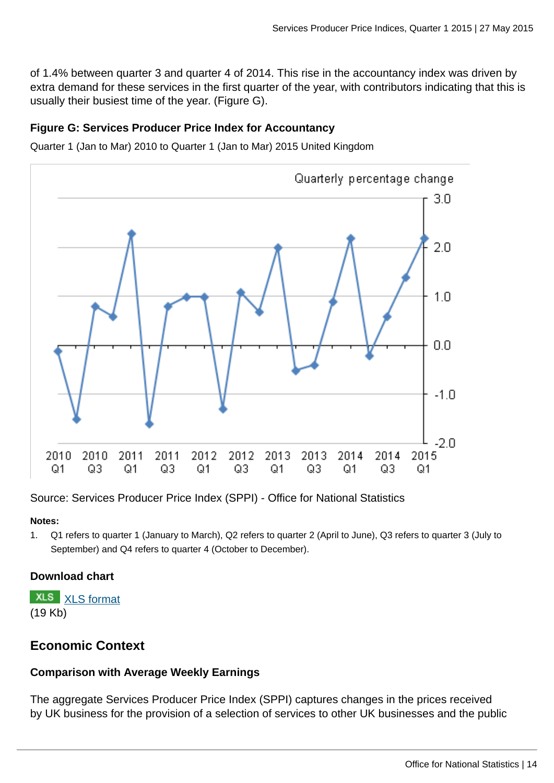of 1.4% between quarter 3 and quarter 4 of 2014. This rise in the accountancy index was driven by extra demand for these services in the first quarter of the year, with contributors indicating that this is usually their busiest time of the year. (Figure G).

## **Figure G: Services Producer Price Index for Accountancy**

Quarter 1 (Jan to Mar) 2010 to Quarter 1 (Jan to Mar) 2015 United Kingdom



Source: Services Producer Price Index (SPPI) - Office for National Statistics

#### **Notes:**

1. Q1 refers to quarter 1 (January to March), Q2 refers to quarter 2 (April to June), Q3 refers to quarter 3 (July to September) and Q4 refers to quarter 4 (October to December).

## **Download chart**

**XLS** [XLS format](http://www.ons.gov.uk:80/ons/rel/ppi2/services-producer-price-index/quarter-1-2015/chd-accountancy.xls) (19 Kb)

## **Economic Context**

## **Comparison with Average Weekly Earnings**

The aggregate Services Producer Price Index (SPPI) captures changes in the prices received by UK business for the provision of a selection of services to other UK businesses and the public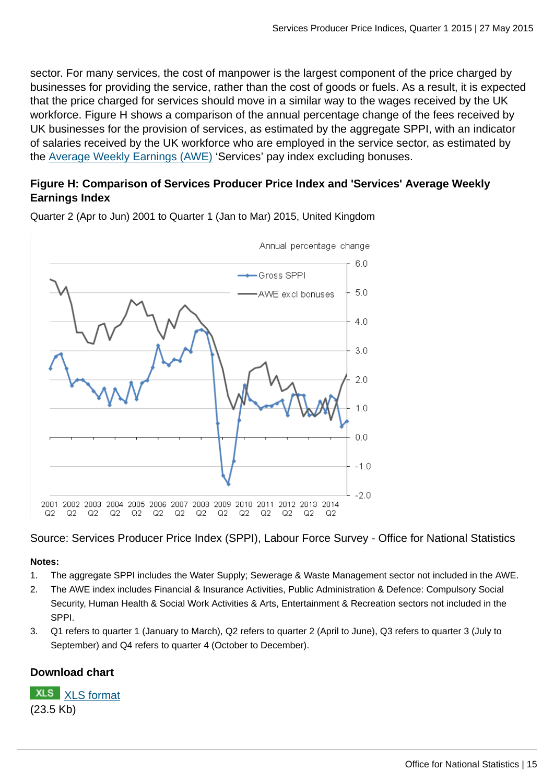sector. For many services, the cost of manpower is the largest component of the price charged by businesses for providing the service, rather than the cost of goods or fuels. As a result, it is expected that the price charged for services should move in a similar way to the wages received by the UK workforce. Figure H shows a comparison of the annual percentage change of the fees received by UK businesses for the provision of services, as estimated by the aggregate SPPI, with an indicator of salaries received by the UK workforce who are employed in the service sector, as estimated by the [Average Weekly Earnings \(AWE\)](http://www.ons.gov.uk:80/ons/external-links/other/average-weekly-earnings---all-editions.html) 'Services' pay index excluding bonuses.

## **Figure H: Comparison of Services Producer Price Index and 'Services' Average Weekly Earnings Index**



Quarter 2 (Apr to Jun) 2001 to Quarter 1 (Jan to Mar) 2015, United Kingdom

Source: Services Producer Price Index (SPPI), Labour Force Survey - Office for National Statistics

#### **Notes:**

- 1. The aggregate SPPI includes the Water Supply; Sewerage & Waste Management sector not included in the AWE.
- 2. The AWE index includes Financial & Insurance Activities, Public Administration & Defence: Compulsory Social Security, Human Health & Social Work Activities & Arts, Entertainment & Recreation sectors not included in the SPPI.
- 3. Q1 refers to quarter 1 (January to March), Q2 refers to quarter 2 (April to June), Q3 refers to quarter 3 (July to September) and Q4 refers to quarter 4 (October to December).

## **Download chart**

**XLS** [XLS format](http://www.ons.gov.uk:80/ons/rel/ppi2/services-producer-price-index/quarter-1-2015/chd-sppi-vs-awe.xls) (23.5 Kb)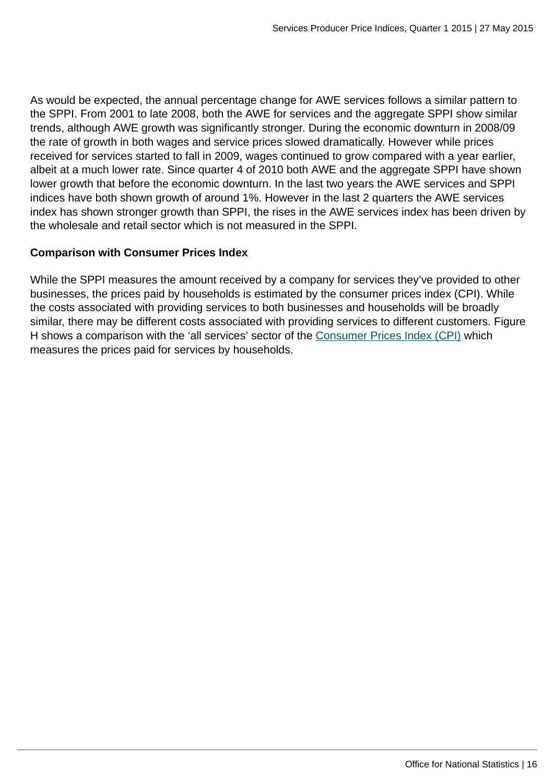As would be expected, the annual percentage change for AWE services follows a similar pattern to the SPPI. From 2001 to late 2008, both the AWE for services and the aggregate SPPI show similar trends, although AWE growth was significantly stronger. During the economic downturn in 2008/09 the rate of growth in both wages and service prices slowed dramatically. However while prices received for services started to fall in 2009, wages continued to grow compared with a year earlier, albeit at a much lower rate. Since quarter 4 of 2010 both AWE and the aggregate SPPI have shown lower growth that before the economic downturn. In the last two years the AWE services and SPPI indices have both shown growth of around 1%. However in the last 2 quarters the AWE services index has shown stronger growth than SPPI, the rises in the AWE services index has been driven by the wholesale and retail sector which is not measured in the SPPI.

## **Comparison with Consumer Prices Index**

While the SPPI measures the amount received by a company for services they've provided to other businesses, the prices paid by households is estimated by the consumer prices index (CPI). While the costs associated with providing services to both businesses and households will be broadly similar, there may be different costs associated with providing services to different customers. Figure H shows a comparison with the 'all services' sector of the [Consumer Prices Index \(CPI\)](http://www.ons.gov.uk:80/ons/external-links/ons---search-definition-results/consumer-price-indices---all-releases.html) which measures the prices paid for services by households.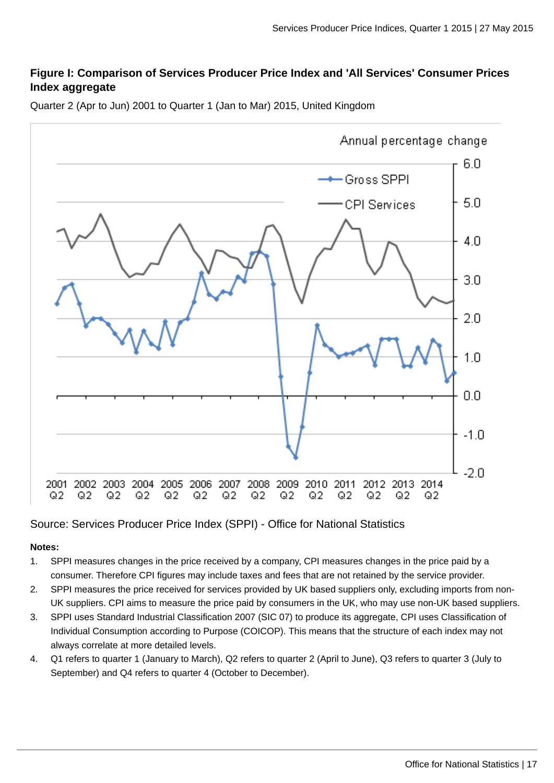## **Figure I: Comparison of Services Producer Price Index and 'All Services' Consumer Prices Index aggregate**



Quarter 2 (Apr to Jun) 2001 to Quarter 1 (Jan to Mar) 2015, United Kingdom

## Source: Services Producer Price Index (SPPI) - Office for National Statistics

#### **Notes:**

- 1. SPPI measures changes in the price received by a company, CPI measures changes in the price paid by a consumer. Therefore CPI figures may include taxes and fees that are not retained by the service provider.
- 2. SPPI measures the price received for services provided by UK based suppliers only, excluding imports from non-UK suppliers. CPI aims to measure the price paid by consumers in the UK, who may use non-UK based suppliers.
- 3. SPPI uses Standard Industrial Classification 2007 (SIC 07) to produce its aggregate, CPI uses Classification of Individual Consumption according to Purpose (COICOP). This means that the structure of each index may not always correlate at more detailed levels.
- 4. Q1 refers to quarter 1 (January to March), Q2 refers to quarter 2 (April to June), Q3 refers to quarter 3 (July to September) and Q4 refers to quarter 4 (October to December).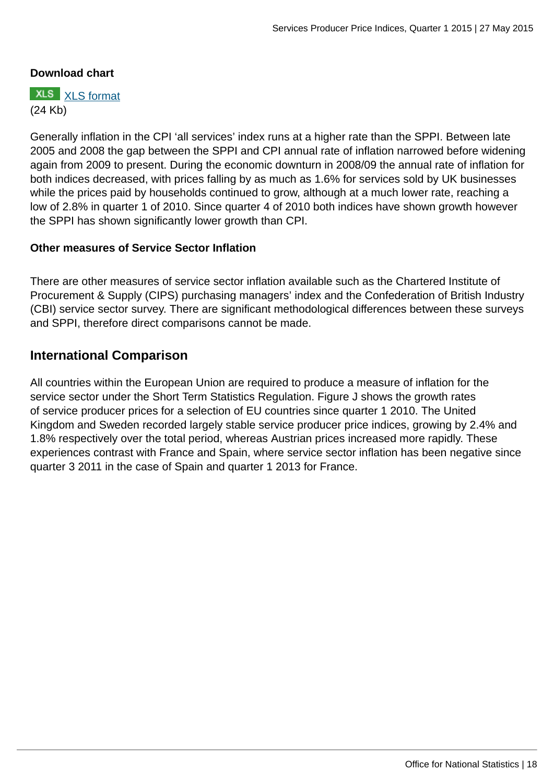## **Download chart**

**XLS** [XLS format](http://www.ons.gov.uk:80/ons/rel/ppi2/services-producer-price-index/quarter-1-2015/chd-sppi-vs-cpi.xls) (24 Kb)

Generally inflation in the CPI 'all services' index runs at a higher rate than the SPPI. Between late 2005 and 2008 the gap between the SPPI and CPI annual rate of inflation narrowed before widening again from 2009 to present. During the economic downturn in 2008/09 the annual rate of inflation for both indices decreased, with prices falling by as much as 1.6% for services sold by UK businesses while the prices paid by households continued to grow, although at a much lower rate, reaching a low of 2.8% in quarter 1 of 2010. Since quarter 4 of 2010 both indices have shown growth however the SPPI has shown significantly lower growth than CPI.

## **Other measures of Service Sector Inflation**

There are other measures of service sector inflation available such as the Chartered Institute of Procurement & Supply (CIPS) purchasing managers' index and the Confederation of British Industry (CBI) service sector survey. There are significant methodological differences between these surveys and SPPI, therefore direct comparisons cannot be made.

## **International Comparison**

All countries within the European Union are required to produce a measure of inflation for the service sector under the Short Term Statistics Regulation. Figure J shows the growth rates of service producer prices for a selection of EU countries since quarter 1 2010. The United Kingdom and Sweden recorded largely stable service producer price indices, growing by 2.4% and 1.8% respectively over the total period, whereas Austrian prices increased more rapidly. These experiences contrast with France and Spain, where service sector inflation has been negative since quarter 3 2011 in the case of Spain and quarter 1 2013 for France.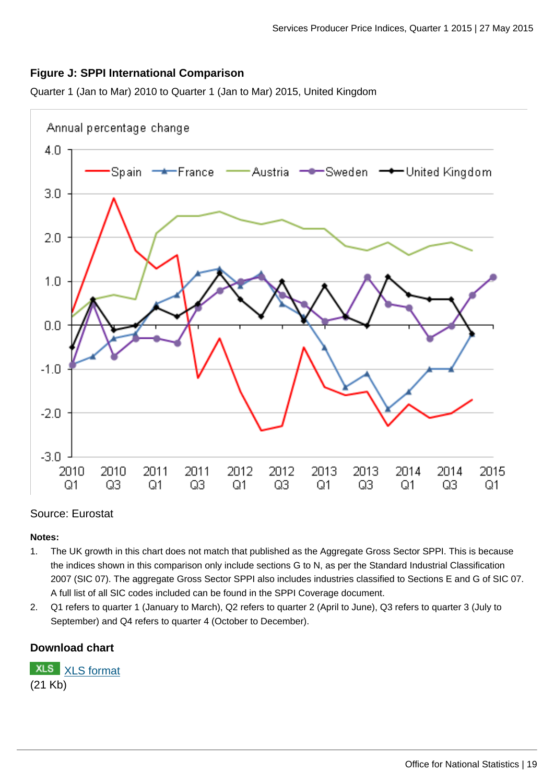## **Figure J: SPPI International Comparison**

Quarter 1 (Jan to Mar) 2010 to Quarter 1 (Jan to Mar) 2015, United Kingdom



#### Source: Eurostat

#### **Notes:**

- 1. The UK growth in this chart does not match that published as the Aggregate Gross Sector SPPI. This is because the indices shown in this comparison only include sections G to N, as per the Standard Industrial Classification 2007 (SIC 07). The aggregate Gross Sector SPPI also includes industries classified to Sections E and G of SIC 07. A full list of all SIC codes included can be found in the SPPI Coverage document.
- 2. Q1 refers to quarter 1 (January to March), Q2 refers to quarter 2 (April to June), Q3 refers to quarter 3 (July to September) and Q4 refers to quarter 4 (October to December).

## **Download chart**

**XLS** [XLS format](http://www.ons.gov.uk:80/ons/rel/ppi2/services-producer-price-index/quarter-1-2015/chd-international-comparison.xls) (21 Kb)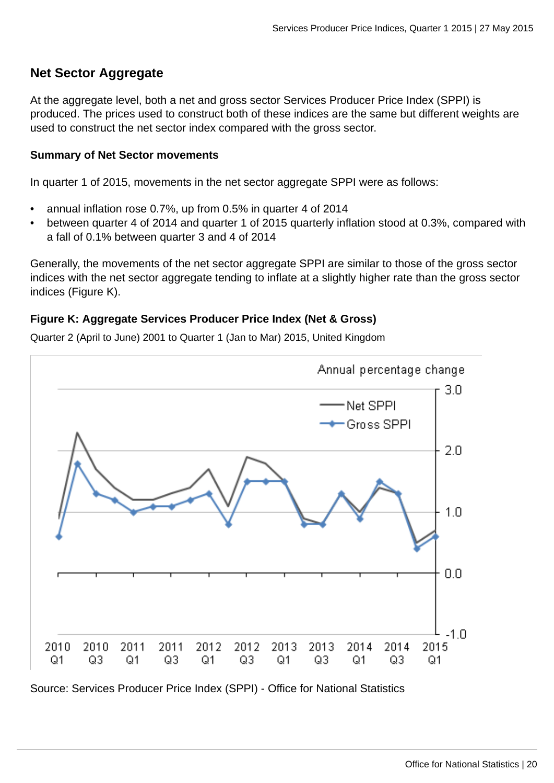## **Net Sector Aggregate**

At the aggregate level, both a net and gross sector Services Producer Price Index (SPPI) is produced. The prices used to construct both of these indices are the same but different weights are used to construct the net sector index compared with the gross sector.

## **Summary of Net Sector movements**

In quarter 1 of 2015, movements in the net sector aggregate SPPI were as follows:

- annual inflation rose 0.7%, up from 0.5% in quarter 4 of 2014
- between quarter 4 of 2014 and quarter 1 of 2015 quarterly inflation stood at 0.3%, compared with a fall of 0.1% between quarter 3 and 4 of 2014

Generally, the movements of the net sector aggregate SPPI are similar to those of the gross sector indices with the net sector aggregate tending to inflate at a slightly higher rate than the gross sector indices (Figure K).

## **Figure K: Aggregate Services Producer Price Index (Net & Gross)**

Quarter 2 (April to June) 2001 to Quarter 1 (Jan to Mar) 2015, United Kingdom



Source: Services Producer Price Index (SPPI) - Office for National Statistics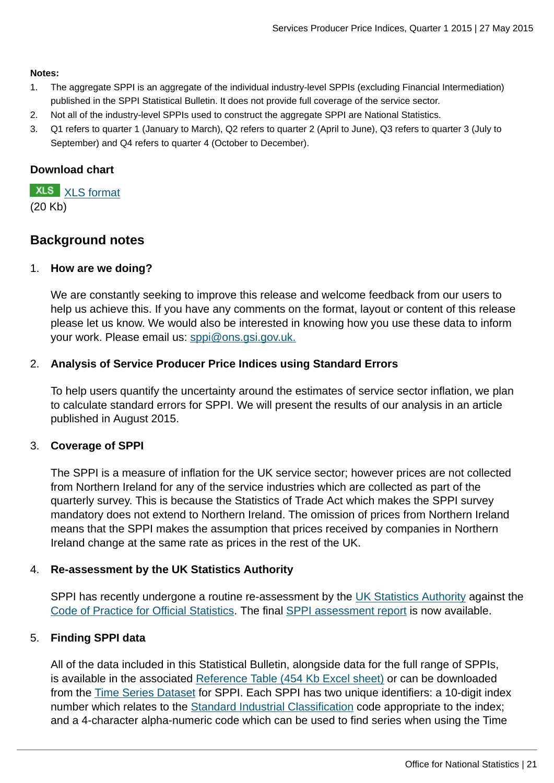#### **Notes:**

- 1. The aggregate SPPI is an aggregate of the individual industry-level SPPIs (excluding Financial Intermediation) published in the SPPI Statistical Bulletin. It does not provide full coverage of the service sector.
- 2. Not all of the industry-level SPPIs used to construct the aggregate SPPI are National Statistics.
- 3. Q1 refers to quarter 1 (January to March), Q2 refers to quarter 2 (April to June), Q3 refers to quarter 3 (July to September) and Q4 refers to quarter 4 (October to December).

## **Download chart**

**XLS** [XLS format](http://www.ons.gov.uk:80/ons/rel/ppi2/services-producer-price-index/quarter-1-2015/chd-aggregate-sppi--net-gross-.xls) (20 Kb)

## **Background notes**

## 1. **How are we doing?**

We are constantly seeking to improve this release and welcome feedback from our users to help us achieve this. If you have any comments on the format, layout or content of this release please let us know. We would also be interested in knowing how you use these data to inform your work. Please email us: [sppi@ons.gsi.gov.uk.](mailto:sppi@ons.gsi.gov.uk)

## 2. **Analysis of Service Producer Price Indices using Standard Errors**

To help users quantify the uncertainty around the estimates of service sector inflation, we plan to calculate standard errors for SPPI. We will present the results of our analysis in an article published in August 2015.

## 3. **Coverage of SPPI**

The SPPI is a measure of inflation for the UK service sector; however prices are not collected from Northern Ireland for any of the service industries which are collected as part of the quarterly survey. This is because the Statistics of Trade Act which makes the SPPI survey mandatory does not extend to Northern Ireland. The omission of prices from Northern Ireland means that the SPPI makes the assumption that prices received by companies in Northern Ireland change at the same rate as prices in the rest of the UK.

## 4. **Re-assessment by the UK Statistics Authority**

SPPI has recently undergone a routine re-assessment by the [UK Statistics Authority](http://www.ons.gov.uk:80/ons/external-links/stats-authority/statistics-authority-s-website.html) against the [Code of Practice for Official Statistics](http://www.ons.gov.uk:80/ons/external-links/stats-authority/uk-statistics-authority-code-of-practice.html). The final [SPPI assessment report](http://www.statisticsauthority.gov.uk/assessment/assessment/assessment-reports/assessment-report-290---services-producer-price-indices.pdf) is now available.

## 5. **Finding SPPI data**

All of the data included in this Statistical Bulletin, alongside data for the full range of SPPIs, is available in the associated [Reference Table \(454 Kb Excel sheet\)](http://www.ons.gov.uk:80/ons/rel/ppi2/services-producer-price-index/q4-2014/rft-services-producer-price-index--quarter-4-2014.xls) or can be downloaded from the [Time Series Dataset](http://www.ons.gov.uk:80/ons/rel/ppi2/services-producer-price-index/q4-2014/tsd-services-producer-price-index---quarter-4-2014.html) for SPPI. Each SPPI has two unique identifiers: a 10-digit index number which relates to the [Standard Industrial Classification](http://www.ons.gov.uk:80/ons/guide-method/classifications/current-standard-classifications/standard-industrial-classification/index.html) code appropriate to the index; and a 4-character alpha-numeric code which can be used to find series when using the Time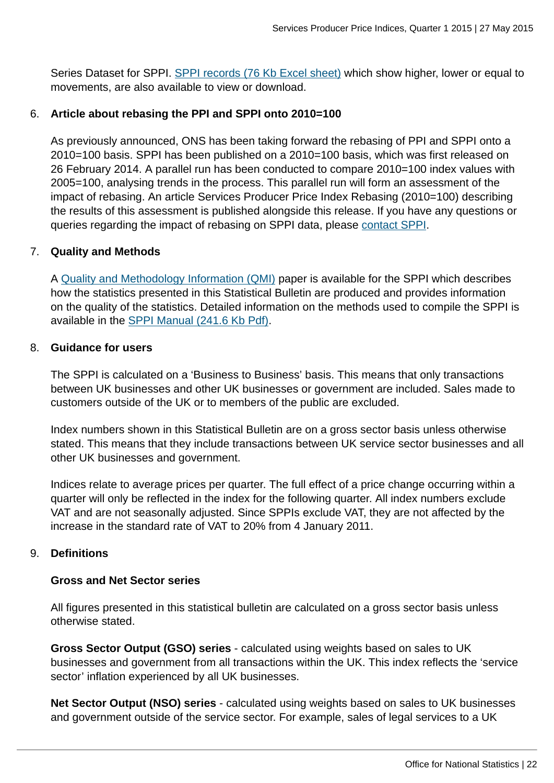Series Dataset for SPPI. [SPPI records \(76 Kb Excel sheet\)](http://www.ons.gov.uk:80/ons/rel/ppi2/services-producer-price-index/q4-2014/sppi-records--quarter-4-2014.xls) which show higher, lower or equal to movements, are also available to view or download.

## 6. **Article about rebasing the PPI and SPPI onto 2010=100**

As previously announced, ONS has been taking forward the rebasing of PPI and SPPI onto a 2010=100 basis. SPPI has been published on a 2010=100 basis, which was first released on 26 February 2014. A parallel run has been conducted to compare 2010=100 index values with 2005=100, analysing trends in the process. This parallel run will form an assessment of the impact of rebasing. An article Services Producer Price Index Rebasing (2010=100) describing the results of this assessment is published alongside this release. If you have any questions or queries regarding the impact of rebasing on SPPI data, please [contact SPPI.](mailto:sppi@ons.gsi.gov.uk)

## 7. **Quality and Methods**

A [Quality and Methodology Information \(QMI\)](http://www.ons.gov.uk/ons/guide-method/method-quality/quality/quality-information/business-statistics/summary-quality-report-for-services-producer-price-indices.pdf) paper is available for the SPPI which describes how the statistics presented in this Statistical Bulletin are produced and provides information on the quality of the statistics. Detailed information on the methods used to compile the SPPI is available in the [SPPI Manual \(241.6 Kb Pdf\)](http://www.ons.gov.uk:80/ons/guide-method/user-guidance/prices/sppi/sppi-methods-and-guidance---march-2014.pdf).

## 8. **Guidance for users**

The SPPI is calculated on a 'Business to Business' basis. This means that only transactions between UK businesses and other UK businesses or government are included. Sales made to customers outside of the UK or to members of the public are excluded.

Index numbers shown in this Statistical Bulletin are on a gross sector basis unless otherwise stated. This means that they include transactions between UK service sector businesses and all other UK businesses and government.

Indices relate to average prices per quarter. The full effect of a price change occurring within a quarter will only be reflected in the index for the following quarter. All index numbers exclude VAT and are not seasonally adjusted. Since SPPIs exclude VAT, they are not affected by the increase in the standard rate of VAT to 20% from 4 January 2011.

## 9. **Definitions**

## **Gross and Net Sector series**

All figures presented in this statistical bulletin are calculated on a gross sector basis unless otherwise stated.

**Gross Sector Output (GSO) series** - calculated using weights based on sales to UK businesses and government from all transactions within the UK. This index reflects the 'service sector' inflation experienced by all UK businesses.

**Net Sector Output (NSO) series** - calculated using weights based on sales to UK businesses and government outside of the service sector. For example, sales of legal services to a UK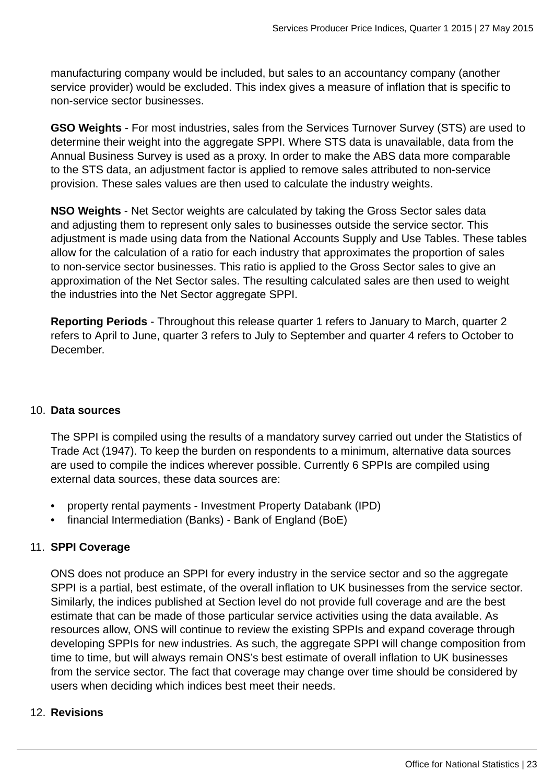manufacturing company would be included, but sales to an accountancy company (another service provider) would be excluded. This index gives a measure of inflation that is specific to non-service sector businesses.

**GSO Weights** - For most industries, sales from the Services Turnover Survey (STS) are used to determine their weight into the aggregate SPPI. Where STS data is unavailable, data from the Annual Business Survey is used as a proxy. In order to make the ABS data more comparable to the STS data, an adjustment factor is applied to remove sales attributed to non-service provision. These sales values are then used to calculate the industry weights.

**NSO Weights** - Net Sector weights are calculated by taking the Gross Sector sales data and adjusting them to represent only sales to businesses outside the service sector. This adjustment is made using data from the National Accounts Supply and Use Tables. These tables allow for the calculation of a ratio for each industry that approximates the proportion of sales to non-service sector businesses. This ratio is applied to the Gross Sector sales to give an approximation of the Net Sector sales. The resulting calculated sales are then used to weight the industries into the Net Sector aggregate SPPI.

**Reporting Periods** - Throughout this release quarter 1 refers to January to March, quarter 2 refers to April to June, quarter 3 refers to July to September and quarter 4 refers to October to December.

## 10. **Data sources**

The SPPI is compiled using the results of a mandatory survey carried out under the Statistics of Trade Act (1947). To keep the burden on respondents to a minimum, alternative data sources are used to compile the indices wherever possible. Currently 6 SPPIs are compiled using external data sources, these data sources are:

- property rental payments Investment Property Databank (IPD)
- financial Intermediation (Banks) Bank of England (BoE)

## 11. **SPPI Coverage**

ONS does not produce an SPPI for every industry in the service sector and so the aggregate SPPI is a partial, best estimate, of the overall inflation to UK businesses from the service sector. Similarly, the indices published at Section level do not provide full coverage and are the best estimate that can be made of those particular service activities using the data available. As resources allow, ONS will continue to review the existing SPPIs and expand coverage through developing SPPIs for new industries. As such, the aggregate SPPI will change composition from time to time, but will always remain ONS's best estimate of overall inflation to UK businesses from the service sector. The fact that coverage may change over time should be considered by users when deciding which indices best meet their needs.

## 12. **Revisions**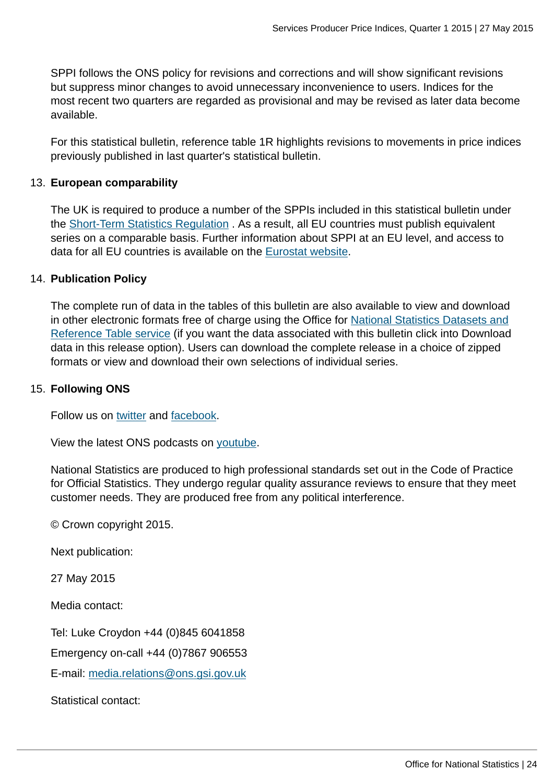SPPI follows the ONS policy for revisions and corrections and will show significant revisions but suppress minor changes to avoid unnecessary inconvenience to users. Indices for the most recent two quarters are regarded as provisional and may be revised as later data become available.

For this statistical bulletin, reference table 1R highlights revisions to movements in price indices previously published in last quarter's statistical bulletin.

## 13. **European comparability**

The UK is required to produce a number of the SPPIs included in this statistical bulletin under the [Short-Term Statistics Regulation](http://eur-lex.europa.eu/LexUriServ/LexUriServ.do?uri=CELEX:31998R1165:EN:NOT) . As a result, all EU countries must publish equivalent series on a comparable basis. Further information about SPPI at an EU level, and access to data for all EU countries is available on the [Eurostat website.](http://epp.eurostat.ec.europa.eu/statistics_explained/index.php/Services_producer_price_index_overview)

## 14. **Publication Policy**

The complete run of data in the tables of this bulletin are also available to view and download in other electronic formats free of charge using the Office for [National Statistics Datasets and](http://www.ons.gov.uk/ons/datasets-and-tables/index.html) [Reference Table service](http://www.ons.gov.uk/ons/datasets-and-tables/index.html) (if you want the data associated with this bulletin click into Download data in this release option). Users can download the complete release in a choice of zipped formats or view and download their own selections of individual series.

## 15. **Following ONS**

Follow us on [twitter](http://www.ons.gov.uk:80/ons/external-links/social-media/ons-twitter.html) and [facebook](http://www.ons.gov.uk:80/ons/external-links/social-media/index.html).

View the latest ONS podcasts on [youtube](http://www.ons.gov.uk:80/ons/external-links/social-media/youtube.html).

National Statistics are produced to high professional standards set out in the Code of Practice for Official Statistics. They undergo regular quality assurance reviews to ensure that they meet customer needs. They are produced free from any political interference.

© Crown copyright 2015.

Next publication:

27 May 2015

Media contact:

Tel: Luke Croydon +44 (0)845 6041858

Emergency on-call +44 (0)7867 906553

E-mail: [media.relations@ons.gsi.gov.uk](mailto:media.relations@ons.gsi.gov.uk)

Statistical contact: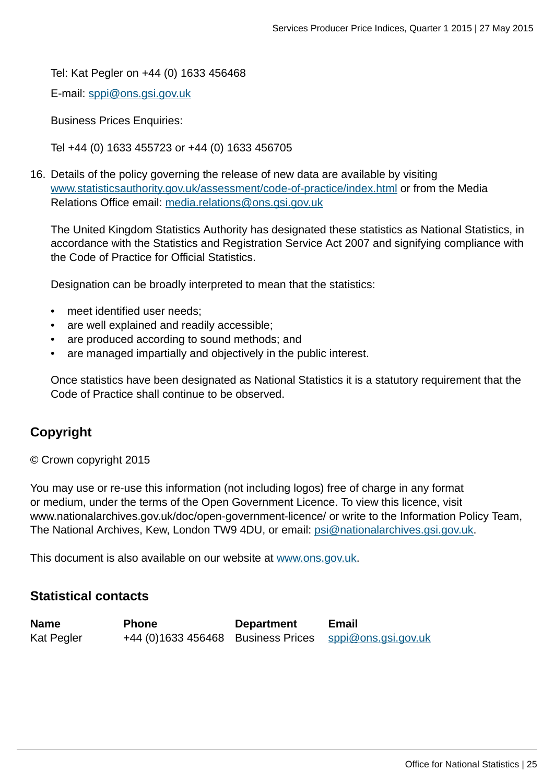Tel: Kat Pegler on +44 (0) 1633 456468

E-mail: [sppi@ons.gsi.gov.uk](mailto:sppi@ons.gsi.gov.uk)

Business Prices Enquiries:

Tel +44 (0) 1633 455723 or +44 (0) 1633 456705

16. Details of the policy governing the release of new data are available by visiting [www.statisticsauthority.gov.uk/assessment/code-of-practice/index.html](http://www.statisticsauthority.gov.uk/assessment/code-of-practice/index.html) or from the Media Relations Office email: [media.relations@ons.gsi.gov.uk](mailto:media.relations@ons.gsi.gov.uk)

The United Kingdom Statistics Authority has designated these statistics as National Statistics, in accordance with the Statistics and Registration Service Act 2007 and signifying compliance with the Code of Practice for Official Statistics.

Designation can be broadly interpreted to mean that the statistics:

- meet identified user needs;
- are well explained and readily accessible;
- are produced according to sound methods; and
- are managed impartially and objectively in the public interest.

Once statistics have been designated as National Statistics it is a statutory requirement that the Code of Practice shall continue to be observed.

## **Copyright**

© Crown copyright 2015

You may use or re-use this information (not including logos) free of charge in any format or medium, under the terms of the Open Government Licence. To view this licence, visit www.nationalarchives.gov.uk/doc/open-government-licence/ or write to the Information Policy Team, The National Archives, Kew, London TW9 4DU, or email: [psi@nationalarchives.gsi.gov.uk](mailto:psi@nationalarchives.gsi.gov.uk).

This document is also available on our website at [www.ons.gov.uk.](http://www.ons.gov.uk/)

## **Statistical contacts**

| <b>Name</b> | <b>Phone</b>                                           | <b>Department</b> | <b>Email</b> |
|-------------|--------------------------------------------------------|-------------------|--------------|
| Kat Pegler  | +44 (0)1633 456468 Business Prices sppi@ons.gsi.gov.uk |                   |              |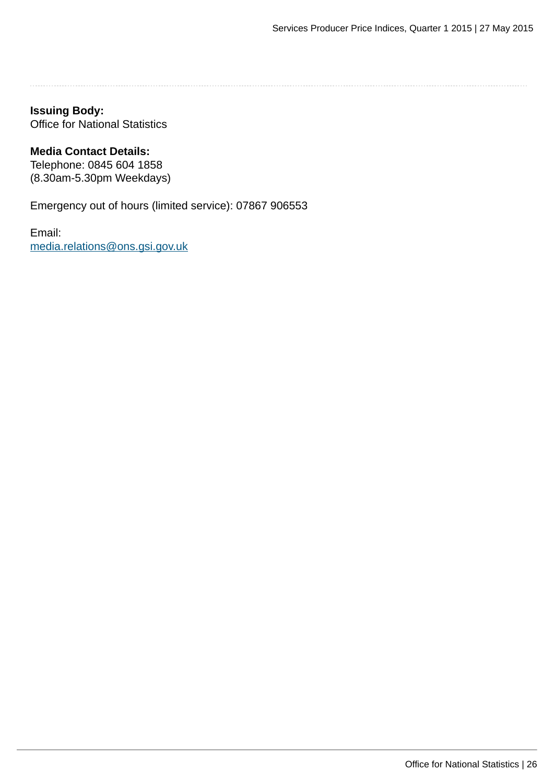## **Issuing Body:**

Office for National Statistics

#### **Media Contact Details:**

Telephone: 0845 604 1858 (8.30am-5.30pm Weekdays)

Emergency out of hours (limited service): 07867 906553

Email: [media.relations@ons.gsi.gov.uk](mailto:media.relations@ons.gsi.gov.uk)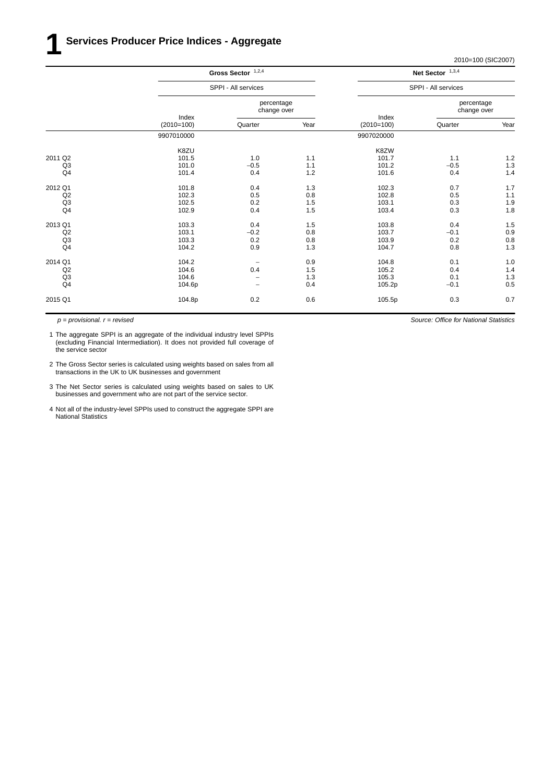|                | Gross Sector $1,2,4$<br>SPPI - All services |                           |      |                       | Net Sector $1,3,4$        |      |
|----------------|---------------------------------------------|---------------------------|------|-----------------------|---------------------------|------|
|                |                                             |                           |      |                       | SPPI - All services       |      |
|                |                                             | percentage<br>change over |      |                       | percentage<br>change over |      |
|                | Index<br>$(2010=100)$                       | Quarter                   | Year | Index<br>$(2010=100)$ | Quarter                   | Year |
|                | 9907010000                                  |                           |      | 9907020000            |                           |      |
|                | K8ZU                                        |                           |      | K8ZW                  |                           |      |
| 2011 Q2        | 101.5                                       | 1.0                       | 1.1  | 101.7                 | 1.1                       | 1.2  |
| Q <sub>3</sub> | 101.0                                       | $-0.5$                    | 1.1  | 101.2                 | $-0.5$                    | 1.3  |
| Q <sub>4</sub> | 101.4                                       | 0.4                       | 1.2  | 101.6                 | 0.4                       | 1.4  |
| 2012 Q1        | 101.8                                       | 0.4                       | 1.3  | 102.3                 | 0.7                       | 1.7  |
| Q2             | 102.3                                       | 0.5                       | 0.8  | 102.8                 | 0.5                       | 1.1  |
| Q <sub>3</sub> | 102.5                                       | 0.2                       | 1.5  | 103.1                 | 0.3                       | 1.9  |
| Q4             | 102.9                                       | 0.4                       | 1.5  | 103.4                 | 0.3                       | 1.8  |
| 2013 Q1        | 103.3                                       | 0.4                       | 1.5  | 103.8                 | 0.4                       | 1.5  |
| Q2             | 103.1                                       | $-0.2$                    | 0.8  | 103.7                 | $-0.1$                    | 0.9  |
| Q <sub>3</sub> | 103.3                                       | 0.2                       | 0.8  | 103.9                 | 0.2                       | 0.8  |
| Q <sub>4</sub> | 104.2                                       | 0.9                       | 1.3  | 104.7                 | 0.8                       | 1.3  |
| 2014 Q1        | 104.2                                       | $\qquad \qquad -$         | 0.9  | 104.8                 | 0.1                       | 1.0  |
| Q2             | 104.6                                       | 0.4                       | 1.5  | 105.2                 | 0.4                       | 1.4  |
| Q3             | 104.6                                       | $\overline{\phantom{0}}$  | 1.3  | 105.3                 | 0.1                       | 1.3  |
| Q4             | 104.6p                                      | $\overline{\phantom{a}}$  | 0.4  | 105.2p                | $-0.1$                    | 0.5  |
| 2015 Q1        | 104.8p                                      | 0.2                       | 0.6  | 105.5p                | 0.3                       | 0.7  |

*p = provisional. r = revised*

1 The aggregate SPPI is an aggregate of the individual industry level SPPIs (excluding Financial Intermediation). It does not provided full coverage of the service sector

- 2 The Gross Sector series is calculated using weights based on sales from all transactions in the UK to UK businesses and government
- 3 The Net Sector series is calculated using weights based on sales to UK businesses and government who are not part of the service sector.
- 4 Not all of the industry-level SPPIs used to construct the aggregate SPPI are National Statistics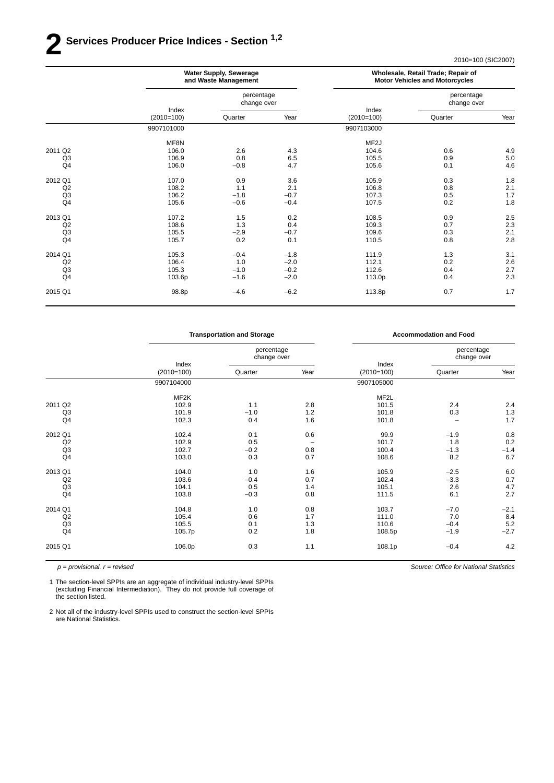## **2 Ser vices Producer Price Indices - Section 1,2**

2010=100 (SIC2007)

| <b>Water Supply, Sewerage</b><br>and Waste Management |                           |        |                   |                |                                                                                    |  |
|-------------------------------------------------------|---------------------------|--------|-------------------|----------------|------------------------------------------------------------------------------------|--|
|                                                       | percentage<br>change over |        |                   |                | percentage<br>change over                                                          |  |
| $(2010=100)$                                          | Quarter                   | Year   | $(2010=100)$      | Quarter        | Year                                                                               |  |
| 9907101000                                            |                           |        | 9907103000        |                |                                                                                    |  |
| MF8N                                                  |                           |        | MF <sub>2</sub> J |                |                                                                                    |  |
| 106.0                                                 |                           |        |                   |                | 4.9                                                                                |  |
| 106.9                                                 | 0.8                       | 6.5    | 105.5             | 0.9            | $5.0\,$                                                                            |  |
| 106.0                                                 | $-0.8$                    | 4.7    | 105.6             | 0.1            | 4.6                                                                                |  |
| 107.0                                                 | 0.9                       | 3.6    | 105.9             | 0.3            | 1.8                                                                                |  |
| 108.2                                                 | 1.1                       | 2.1    | 106.8             | 0.8            | 2.1                                                                                |  |
| 106.2                                                 | $-1.8$                    | $-0.7$ | 107.3             | 0.5            | 1.7                                                                                |  |
| 105.6                                                 | $-0.6$                    | $-0.4$ | 107.5             | 0.2            | 1.8                                                                                |  |
| 107.2                                                 | 1.5                       | 0.2    | 108.5             | 0.9            | 2.5                                                                                |  |
| 108.6                                                 | 1.3                       | 0.4    | 109.3             | 0.7            | 2.3                                                                                |  |
| 105.5                                                 | $-2.9$                    | $-0.7$ | 109.6             | 0.3            | 2.1                                                                                |  |
| 105.7                                                 | 0.2                       | 0.1    | 110.5             | 0.8            | 2.8                                                                                |  |
| 105.3                                                 | $-0.4$                    | $-1.8$ | 111.9             | 1.3            | 3.1                                                                                |  |
| 106.4                                                 | 1.0                       | $-2.0$ | 112.1             | 0.2            | $2.6\,$                                                                            |  |
| 105.3                                                 | $-1.0$                    | $-0.2$ | 112.6             | 0.4            | 2.7                                                                                |  |
| 103.6p                                                | $-1.6$                    | $-2.0$ | 113.0p            | 0.4            | 2.3                                                                                |  |
| 98.8p                                                 | $-4.6$                    | $-6.2$ | 113.8p            | 0.7            | 1.7                                                                                |  |
|                                                       | Index                     | 2.6    | 4.3               | Index<br>104.6 | Wholesale, Retail Trade; Repair of<br><b>Motor Vehicles and Motorcycles</b><br>0.6 |  |

|                | <b>Transportation and Storage</b> |                           |                   |                       | <b>Accommodation and Food</b> |        |
|----------------|-----------------------------------|---------------------------|-------------------|-----------------------|-------------------------------|--------|
|                |                                   | percentage<br>change over |                   |                       | percentage<br>change over     |        |
|                | Index<br>$(2010=100)$             | Quarter                   | Year              | Index<br>$(2010=100)$ | Quarter                       | Year   |
|                | 9907104000                        |                           |                   | 9907105000            |                               |        |
|                | MF2K                              |                           |                   | MF <sub>2</sub> L     |                               |        |
| 2011 Q2        | 102.9                             | 1.1                       | 2.8               | 101.5                 | 2.4                           | 2.4    |
| Q3             | 101.9                             | $-1.0$                    | $1.2$             | 101.8                 | 0.3                           | 1.3    |
| Q <sub>4</sub> | 102.3                             | 0.4                       | 1.6               | 101.8                 | $\overline{\phantom{0}}$      | 1.7    |
| 2012 Q1        | 102.4                             | 0.1                       | 0.6               | 99.9                  | $-1.9$                        | 0.8    |
| Q2             | 102.9                             | 0.5                       | $\qquad \qquad -$ | 101.7                 | 1.8                           | 0.2    |
| Q <sub>3</sub> | 102.7                             | $-0.2$                    | 0.8               | 100.4                 | $-1.3$                        | $-1.4$ |
| Q4             | 103.0                             | 0.3                       | 0.7               | 108.6                 | 8.2                           | 6.7    |
| 2013 Q1        | 104.0                             | 1.0                       | 1.6               | 105.9                 | $-2.5$                        | 6.0    |
| Q2             | 103.6                             | $-0.4$                    | 0.7               | 102.4                 | $-3.3$                        | 0.7    |
| Q <sub>3</sub> | 104.1                             | 0.5                       | 1.4               | 105.1                 | 2.6                           | 4.7    |
| Q <sub>4</sub> | 103.8                             | $-0.3$                    | 0.8               | 111.5                 | 6.1                           | 2.7    |
| 2014 Q1        | 104.8                             | 1.0                       | 0.8               | 103.7                 | $-7.0$                        | $-2.1$ |
| Q2             | 105.4                             | 0.6                       | 1.7               | 111.0                 | 7.0                           | 8.4    |
| Q <sub>3</sub> | 105.5                             | 0.1                       | 1.3               | 110.6                 | $-0.4$                        | 5.2    |
| Q <sub>4</sub> | 105.7p                            | 0.2                       | 1.8               | 108.5p                | $-1.9$                        | $-2.7$ |
| 2015 Q1        | 106.0p                            | 0.3                       | 1.1               | 108.1p                | $-0.4$                        | 4.2    |

*p = provisional. r = revised*

1 The section-level SPPIs are an aggregate of individual industry-level SPPIs (excluding Financial Intermediation). They do not provide full coverage of the section listed.

2 Not all of the industry-level SPPIs used to construct the section-level SPPIs are National Statistics.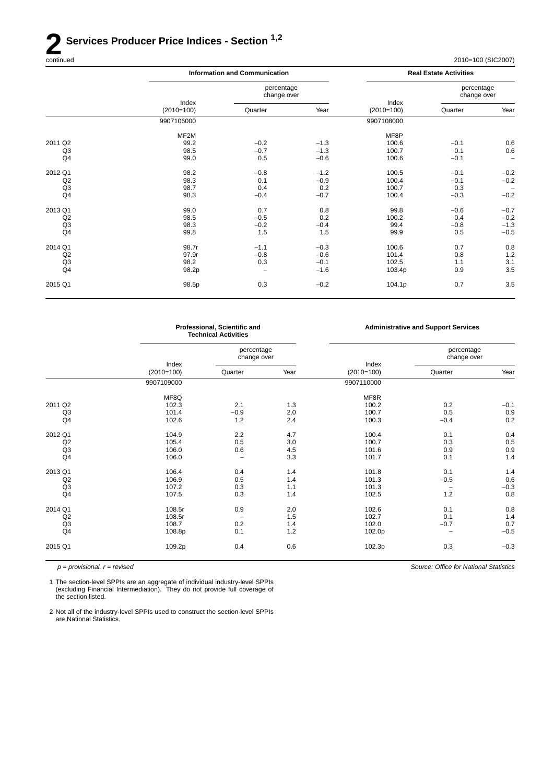## **2 Services Producer Price Indices - Section** <sup>1,2</sup> continued

| continued | 2010=100 (SIC2007)<br>$\sim$ $\sim$ $\sim$ |
|-----------|--------------------------------------------|
|-----------|--------------------------------------------|

| <b>Information and Communication</b> |                           |        |              | <b>Real Estate Activities</b> |                           |  |
|--------------------------------------|---------------------------|--------|--------------|-------------------------------|---------------------------|--|
|                                      | percentage<br>change over |        |              |                               | percentage<br>change over |  |
| $(2010=100)$                         | Quarter                   | Year   | $(2010=100)$ | Quarter                       | Year                      |  |
| 9907106000                           |                           |        | 9907108000   |                               |                           |  |
| MF <sub>2</sub> M                    |                           |        | MF8P         |                               |                           |  |
| 99.2                                 | $-0.2$                    | $-1.3$ | 100.6        | $-0.1$                        | 0.6                       |  |
| 98.5                                 | $-0.7$                    | $-1.3$ | 100.7        | 0.1                           | 0.6                       |  |
| 99.0                                 | 0.5                       | $-0.6$ | 100.6        | $-0.1$                        | $\qquad \qquad -$         |  |
| 98.2                                 | $-0.8$                    | $-1.2$ | 100.5        | $-0.1$                        | $-0.2$                    |  |
|                                      | 0.1                       |        |              |                               | $-0.2$                    |  |
| 98.7                                 | 0.4                       | 0.2    | 100.7        | 0.3                           | $\qquad \qquad -$         |  |
| 98.3                                 | $-0.4$                    | $-0.7$ | 100.4        | $-0.3$                        | $-0.2$                    |  |
| 99.0                                 | 0.7                       | 0.8    | 99.8         | $-0.6$                        | $-0.7$                    |  |
| 98.5                                 | $-0.5$                    | 0.2    | 100.2        | 0.4                           | $-0.2$                    |  |
| 98.3                                 | $-0.2$                    | $-0.4$ | 99.4         | $-0.8$                        | $-1.3$                    |  |
| 99.8                                 | 1.5                       | 1.5    | 99.9         | 0.5                           | $-0.5$                    |  |
| 98.7r                                | $-1.1$                    | $-0.3$ | 100.6        | 0.7                           | 0.8                       |  |
| 97.9r                                | $-0.8$                    | $-0.6$ | 101.4        | 0.8                           | 1.2                       |  |
| 98.2                                 | 0.3                       | $-0.1$ | 102.5        | 1.1                           | 3.1                       |  |
| 98.2p                                |                           | $-1.6$ | 103.4p       | 0.9                           | 3.5                       |  |
| 98.5p                                | 0.3                       | $-0.2$ | 104.1p       | 0.7                           | 3.5                       |  |
|                                      | Index<br>98.3             |        | $-0.9$       | Index<br>100.4                | $-0.1$                    |  |

|                | Professional, Scientific and<br><b>Technical Activities</b> |                           |      |                       | <b>Administrative and Support Services</b> |        |
|----------------|-------------------------------------------------------------|---------------------------|------|-----------------------|--------------------------------------------|--------|
|                |                                                             | percentage<br>change over |      |                       | percentage<br>change over                  |        |
|                | Index<br>$(2010=100)$                                       | Quarter                   | Year | Index<br>$(2010=100)$ | Quarter                                    | Year   |
|                | 9907109000                                                  |                           |      | 9907110000            |                                            |        |
|                | MF8Q                                                        |                           |      | MF8R                  |                                            |        |
| 2011 Q2        | 102.3                                                       | 2.1                       | 1.3  | 100.2                 | 0.2                                        | $-0.1$ |
| Q <sub>3</sub> | 101.4                                                       | $-0.9$                    | 2.0  | 100.7                 | 0.5                                        | 0.9    |
| Q <sub>4</sub> | 102.6                                                       | 1.2                       | 2.4  | 100.3                 | $-0.4$                                     | 0.2    |
| 2012 Q1        | 104.9                                                       | 2.2                       | 4.7  | 100.4                 | 0.1                                        | 0.4    |
| Q2             | 105.4                                                       | 0.5                       | 3.0  | 100.7                 | 0.3                                        | 0.5    |
| Q <sub>3</sub> | 106.0                                                       | 0.6                       | 4.5  | 101.6                 | 0.9                                        | 0.9    |
| Q <sub>4</sub> | 106.0                                                       |                           | 3.3  | 101.7                 | 0.1                                        | 1.4    |
| 2013 Q1        | 106.4                                                       | 0.4                       | 1.4  | 101.8                 | 0.1                                        | 1.4    |
| Q2             | 106.9                                                       | 0.5                       | 1.4  | 101.3                 | $-0.5$                                     | 0.6    |
| Q <sub>3</sub> | 107.2                                                       | 0.3                       | 1.1  | 101.3                 | $\qquad \qquad -$                          | $-0.3$ |
| Q4             | 107.5                                                       | 0.3                       | 1.4  | 102.5                 | 1.2                                        | 0.8    |
| 2014 Q1        | 108.5r                                                      | 0.9                       | 2.0  | 102.6                 | 0.1                                        | 0.8    |
| Q2             | 108.5r                                                      |                           | 1.5  | 102.7                 | 0.1                                        | 1.4    |
| Q3             | 108.7                                                       | 0.2                       | 1.4  | 102.0                 | $-0.7$                                     | 0.7    |
| Q <sub>4</sub> | 108.8p                                                      | 0.1                       | 1.2  | 102.0p                | $\overline{\phantom{0}}$                   | $-0.5$ |
| 2015 Q1        | 109.2p                                                      | 0.4                       | 0.6  | 102.3p                | 0.3                                        | $-0.3$ |

*p = provisional. r = revised*

1 The section-level SPPIs are an aggregate of individual industry-level SPPIs (excluding Financial Intermediation). They do not provide full coverage of the section listed.

2 Not all of the industry-level SPPIs used to construct the section-level SPPIs are National Statistics.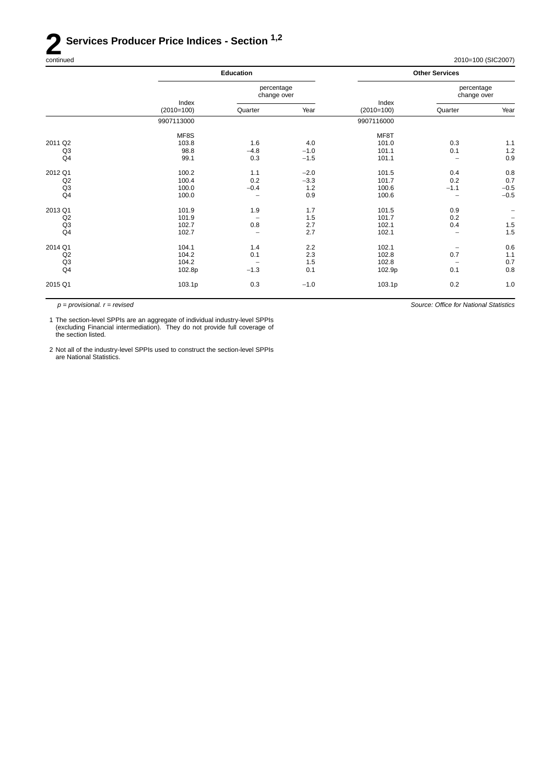## **2 Services Producer Price Indices - Section** <sup>1,2</sup> continued

| continued | 2010=100 (SIC2007)<br>$\sim$ $\sim$ $\sim$ |
|-----------|--------------------------------------------|
|-----------|--------------------------------------------|

*Source: Office for National Statistics*

|                | <b>Education</b>      |                           |        |                       | <b>Other Services</b>     |                   |
|----------------|-----------------------|---------------------------|--------|-----------------------|---------------------------|-------------------|
|                |                       | percentage<br>change over |        |                       | percentage<br>change over |                   |
|                | Index<br>$(2010=100)$ | Quarter                   | Year   | Index<br>$(2010=100)$ | Quarter                   | Year              |
|                | 9907113000            |                           |        | 9907116000            |                           |                   |
|                | MF8S                  |                           |        | MF8T                  |                           |                   |
| 2011 Q2        | 103.8                 | 1.6                       | 4.0    | 101.0                 | 0.3                       | 1.1               |
| Q <sub>3</sub> | 98.8                  | $-4.8$                    | $-1.0$ | 101.1                 | 0.1                       | 1.2               |
| Q4             | 99.1                  | 0.3                       | $-1.5$ | 101.1                 | $\overline{\phantom{0}}$  | 0.9               |
| 2012 Q1        | 100.2                 | 1.1                       | $-2.0$ | 101.5                 | 0.4                       | 0.8               |
| Q2             | 100.4                 | 0.2                       | $-3.3$ | 101.7                 | 0.2                       | 0.7               |
| Q <sub>3</sub> | 100.0                 | $-0.4$                    | 1.2    | 100.6                 | $-1.1$                    | $-0.5$            |
| Q4             | 100.0                 |                           | 0.9    | 100.6                 | $\overline{\phantom{0}}$  | $-0.5$            |
| 2013 Q1        | 101.9                 | 1.9                       | 1.7    | 101.5                 | 0.9                       |                   |
| Q2             | 101.9                 |                           | 1.5    | 101.7                 | 0.2                       | $\qquad \qquad -$ |
| Q <sub>3</sub> | 102.7                 | 0.8                       | 2.7    | 102.1                 | 0.4                       | $1.5\,$           |
| Q <sub>4</sub> | 102.7                 | -                         | 2.7    | 102.1                 | $\overline{\phantom{0}}$  | 1.5               |
| 2014 Q1        | 104.1                 | 1.4                       | 2.2    | 102.1                 | $\overline{\phantom{m}}$  | 0.6               |
| Q2             | 104.2                 | 0.1                       | 2.3    | 102.8                 | 0.7                       | 1.1               |
| Q <sub>3</sub> | 104.2                 |                           | 1.5    | 102.8                 |                           | 0.7               |
| Q <sub>4</sub> | 102.8p                | $-1.3$                    | 0.1    | 102.9p                | 0.1                       | 0.8               |
| 2015 Q1        | 103.1p                | 0.3                       | $-1.0$ | 103.1p                | 0.2                       | 1.0               |

*p = provisional. r = revised*

1 The section-level SPPIs are an aggregate of individual industry-level SPPIs (excluding Financial intermediation). They do not provide full coverage of the section listed.

2 Not all of the industry-level SPPIs used to construct the section-level SPPIs are National Statistics.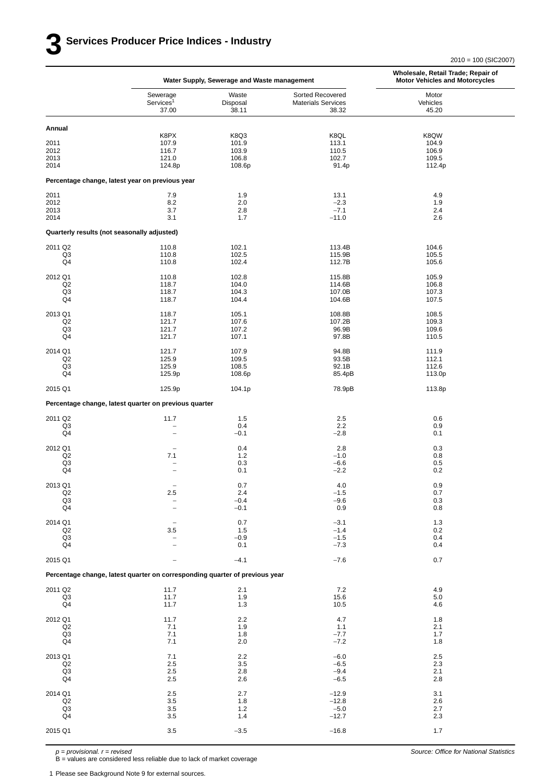|                                                     |                                                                             | Water Supply, Sewerage and Waste management | Wholesale, Retail Trade; Repair of<br><b>Motor Vehicles and Motorcycles</b> |                                           |
|-----------------------------------------------------|-----------------------------------------------------------------------------|---------------------------------------------|-----------------------------------------------------------------------------|-------------------------------------------|
|                                                     | Sewerage                                                                    | Waste                                       | Sorted Recovered                                                            | Motor                                     |
|                                                     | Services <sup>1</sup>                                                       | Disposal                                    | <b>Materials Services</b>                                                   | Vehicles                                  |
|                                                     | 37.00                                                                       | 38.11                                       | 38.32                                                                       | 45.20                                     |
| Annual                                              |                                                                             |                                             |                                                                             |                                           |
| 2011<br>2012<br>2013<br>2014                        | K8PX<br>107.9<br>116.7<br>121.0<br>124.8p                                   | K8Q3<br>101.9<br>103.9<br>106.8<br>108.6p   | K8QL<br>113.1<br>110.5<br>102.7<br>91.4p                                    | K8QW<br>104.9<br>106.9<br>109.5<br>112.4p |
|                                                     | Percentage change, latest year on previous year                             |                                             |                                                                             |                                           |
| 2011                                                | 7.9                                                                         | 1.9                                         | 13.1                                                                        | 4.9                                       |
| 2012                                                | 8.2                                                                         | 2.0                                         | $-2.3$                                                                      | 1.9                                       |
| 2013                                                | 3.7                                                                         | 2.8                                         | $-7.1$                                                                      | 2.4                                       |
| 2014                                                | 3.1                                                                         | 1.7                                         | $-11.0$                                                                     | 2.6                                       |
| Quarterly results (not seasonally adjusted)         |                                                                             |                                             |                                                                             |                                           |
| 2011 Q2                                             | 110.8                                                                       | 102.1                                       | 113.4B                                                                      | 104.6                                     |
| Q <sub>3</sub>                                      | 110.8                                                                       | 102.5                                       | 115.9B                                                                      | 105.5                                     |
| Q4                                                  | 110.8                                                                       | 102.4                                       | 112.7B                                                                      | 105.6                                     |
| 2012 Q1                                             | 110.8                                                                       | 102.8                                       | 115.8B                                                                      | 105.9                                     |
| Q <sub>2</sub>                                      | 118.7                                                                       | 104.0                                       | 114.6B                                                                      | 106.8                                     |
| Q3                                                  | 118.7                                                                       | 104.3                                       | 107.0B                                                                      | 107.3                                     |
| Q4                                                  | 118.7                                                                       | 104.4                                       | 104.6B                                                                      | 107.5                                     |
| 2013 Q1                                             | 118.7                                                                       | 105.1                                       | 108.8B                                                                      | 108.5                                     |
| Q2                                                  | 121.7                                                                       | 107.6                                       | 107.2B                                                                      | 109.3                                     |
| Q3                                                  | 121.7                                                                       | 107.2                                       | 96.9B                                                                       | 109.6                                     |
| Q4                                                  | 121.7                                                                       | 107.1                                       | 97.8B                                                                       | 110.5                                     |
| 2014 Q1                                             | 121.7                                                                       | 107.9                                       | 94.8B                                                                       | 111.9                                     |
| Q <sub>2</sub>                                      | 125.9                                                                       | 109.5                                       | 93.5B                                                                       | 112.1                                     |
| Q <sub>3</sub>                                      | 125.9                                                                       | 108.5                                       | 92.1B                                                                       | 112.6                                     |
| Q4                                                  | 125.9p                                                                      | 108.6p                                      | 85.4pB                                                                      | 113.0p                                    |
| 2015 Q1                                             | 125.9p                                                                      | 104.1p                                      | 78.9pB                                                                      | 113.8p                                    |
|                                                     | Percentage change, latest quarter on previous quarter                       |                                             |                                                                             |                                           |
| 2011 Q2                                             | 11.7                                                                        | 1.5                                         | 2.5                                                                         | 0.6                                       |
| Q3                                                  | $\qquad \qquad -$                                                           | 0.4                                         | 2.2                                                                         | 0.9                                       |
| Q4                                                  | $\overline{\phantom{0}}$                                                    | $-0.1$                                      | $-2.8$                                                                      | 0.1                                       |
| 2012 Q1<br>Q2<br>Q3<br>Q4                           | $\overline{\phantom{0}}$<br>7.1<br>$\overline{a}$                           | 0.4<br>1.2<br>0.3<br>0.1                    | 2.8<br>$-1.0$<br>$-6.6$<br>$-2.2$                                           | 0.3<br>0.8<br>0.5<br>0.2                  |
| 2013 Q1<br>Q2<br>$_{\mathsf{Q3}}$<br>Q <sub>4</sub> | 2.5<br>$\qquad \qquad -$                                                    | 0.7<br>2.4<br>$-0.4$<br>$-0.1$              | 4.0<br>$-1.5$<br>$-9.6$<br>0.9                                              | 0.9<br>0.7<br>0.3<br>$0.8\,$              |
| 2014 Q1                                             | 3.5                                                                         | 0.7                                         | $-3.1$                                                                      | 1.3                                       |
| Q <sub>2</sub>                                      |                                                                             | 1.5                                         | $-1.4$                                                                      | 0.2                                       |
| Q3                                                  |                                                                             | $-0.9$                                      | $-1.5$                                                                      | 0.4                                       |
| Q4                                                  |                                                                             | 0.1                                         | $-7.3$                                                                      | 0.4                                       |
| 2015 Q1                                             |                                                                             | $-4.1$                                      | $-7.6$                                                                      | 0.7                                       |
|                                                     | Percentage change, latest quarter on corresponding quarter of previous year |                                             |                                                                             |                                           |
| 2011 Q2                                             | 11.7                                                                        | 2.1                                         | 7.2                                                                         | 4.9                                       |
| Q3                                                  | 11.7                                                                        | 1.9                                         | 15.6                                                                        | 5.0                                       |
| Q <sub>4</sub>                                      | 11.7                                                                        | 1.3                                         | 10.5                                                                        | 4.6                                       |
| 2012 Q1                                             | 11.7                                                                        | 2.2                                         | 4.7                                                                         | 1.8                                       |
| Q2                                                  | 7.1                                                                         | 1.9                                         | 1.1                                                                         | 2.1                                       |
| Q3                                                  | 7.1                                                                         | 1.8                                         | $-7.7$                                                                      | 1.7                                       |
| Q <sub>4</sub>                                      | 7.1                                                                         | 2.0                                         | $-7.2$                                                                      | 1.8                                       |
| 2013 Q1                                             | 7.1                                                                         | 2.2                                         | $-6.0$                                                                      | 2.5                                       |
| Q <sub>2</sub>                                      | $2.5\,$                                                                     | 3.5                                         | $-6.5$                                                                      | 2.3                                       |
| Q <sub>3</sub>                                      | $2.5\,$                                                                     | 2.8                                         | $-9.4$                                                                      | 2.1                                       |
| Q4                                                  | 2.5                                                                         | 2.6                                         | $-6.5$                                                                      | 2.8                                       |
| 2014 Q1                                             | 2.5                                                                         | 2.7                                         | $-12.9$                                                                     | 3.1                                       |
| Q2                                                  | 3.5                                                                         | 1.8                                         | $-12.8$                                                                     | 2.6                                       |
| Q <sub>3</sub>                                      | 3.5                                                                         | 1.2                                         | $-5.0$                                                                      | 2.7                                       |
| Q <sub>4</sub>                                      | 3.5                                                                         | 1.4                                         | $-12.7$                                                                     | $2.3\,$                                   |
| 2015 Q1                                             | 3.5                                                                         | $-3.5$                                      | $-16.8$                                                                     | 1.7                                       |

*p = provisional. r = revised*

B = values are considered less reliable due to lack of market coverage

1 Please see Background Note 9 for external sources.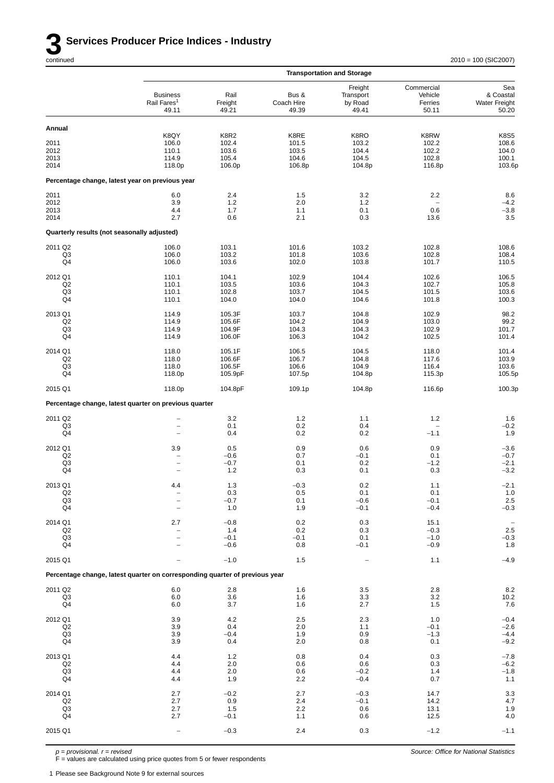|                      |                                                                             |                          |                              | <b>Transportation and Storage</b>        |                                           |                                                   |
|----------------------|-----------------------------------------------------------------------------|--------------------------|------------------------------|------------------------------------------|-------------------------------------------|---------------------------------------------------|
|                      | <b>Business</b><br>Rail Fares <sup>1</sup><br>49.11                         | Rail<br>Freight<br>49.21 | Bus &<br>Coach Hire<br>49.39 | Freight<br>Transport<br>by Road<br>49.41 | Commercial<br>Vehicle<br>Ferries<br>50.11 | Sea<br>& Coastal<br><b>Water Freight</b><br>50.20 |
| Annual               |                                                                             |                          |                              |                                          |                                           |                                                   |
|                      | K8QY<br>106.0                                                               | K8R2                     | K8RE<br>101.5                | K8RO<br>103.2                            | K8RW                                      | <b>K8S5</b><br>108.6                              |
| 2011<br>2012         | 110.1                                                                       | 102.4<br>103.6           | 103.5                        | 104.4                                    | 102.2<br>102.2                            | 104.0                                             |
| 2013                 | 114.9                                                                       | 105.4                    | 104.6                        | 104.5                                    | 102.8                                     | 100.1                                             |
| 2014                 | 118.0p                                                                      | 106.0p                   | 106.8p                       | 104.8p                                   | 116.8p                                    | 103.6p                                            |
|                      | Percentage change, latest year on previous year                             |                          |                              |                                          |                                           |                                                   |
| 2011                 | 6.0                                                                         | 2.4                      | 1.5                          | 3.2                                      | 2.2                                       | 8.6                                               |
| 2012                 | 3.9                                                                         | 1.2                      | 2.0                          | 1.2                                      |                                           | $-4.2$                                            |
| 2013<br>2014         | 4.4<br>2.7                                                                  | 1.7<br>0.6               | 1.1<br>2.1                   | 0.1<br>0.3                               | 0.6<br>13.6                               | $-3.8$<br>3.5                                     |
|                      |                                                                             |                          |                              |                                          |                                           |                                                   |
|                      | Quarterly results (not seasonally adjusted)                                 |                          |                              |                                          |                                           |                                                   |
| 2011 Q2              | 106.0                                                                       | 103.1                    | 101.6                        | 103.2                                    | 102.8                                     | 108.6                                             |
| Q3<br>Q4             | 106.0<br>106.0                                                              | 103.2<br>103.6           | 101.8<br>102.0               | 103.6<br>103.8                           | 102.8<br>101.7                            | 108.4<br>110.5                                    |
| 2012 Q1              | 110.1                                                                       | 104.1                    | 102.9                        | 104.4                                    | 102.6                                     | 106.5                                             |
| Q2                   | 110.1                                                                       | 103.5                    | 103.6                        | 104.3                                    | 102.7                                     | 105.8                                             |
| Q3<br>Q4             | 110.1<br>110.1                                                              | 102.8<br>104.0           | 103.7<br>104.0               | 104.5<br>104.6                           | 101.5<br>101.8                            | 103.6                                             |
|                      |                                                                             |                          |                              |                                          |                                           | 100.3                                             |
| 2013 Q1              | 114.9                                                                       | 105.3F                   | 103.7                        | 104.8                                    | 102.9                                     | 98.2                                              |
| Q2<br>Q3             | 114.9<br>114.9                                                              | 105.6F<br>104.9F         | 104.2<br>104.3               | 104.9<br>104.3                           | 103.0<br>102.9                            | 99.2<br>101.7                                     |
| Q4                   | 114.9                                                                       | 106.0F                   | 106.3                        | 104.2                                    | 102.5                                     | 101.4                                             |
| 2014 Q1              | 118.0                                                                       | 105.1F                   | 106.5                        | 104.5                                    | 118.0                                     | 101.4                                             |
| Q <sub>2</sub>       | 118.0                                                                       | 106.6F                   | 106.7                        | 104.8                                    | 117.6                                     | 103.9                                             |
| Q3<br>Q4             | 118.0<br>118.0p                                                             | 106.5F<br>105.9pF        | 106.6<br>107.5p              | 104.9<br>104.8p                          | 116.4<br>115.3p                           | 103.6<br>105.5p                                   |
| 2015 Q1              | 118.0p                                                                      | 104.8pF                  | 109.1p                       | 104.8p                                   | 116.6p                                    | 100.3p                                            |
|                      | Percentage change, latest quarter on previous quarter                       |                          |                              |                                          |                                           |                                                   |
| 2011 Q2              | $\overline{a}$                                                              | 3.2                      | $1.2$                        | 1.1                                      | 1.2                                       | 1.6                                               |
| Q3                   | $\overline{a}$                                                              | 0.1                      | 0.2                          | 0.4                                      |                                           | $-0.2$                                            |
| Q4                   | $\overline{\phantom{0}}$                                                    | 0.4                      | 0.2                          | 0.2                                      | $-1.1$                                    | 1.9                                               |
| 2012 Q1              | 3.9                                                                         | 0.5                      | 0.9                          | 0.6                                      | 0.9                                       | $-3.6$                                            |
| Q <sub>2</sub><br>Q3 | $\overline{\phantom{0}}$<br>$\qquad \qquad -$                               | $-0.6$<br>$-0.7$         | 0.7<br>0.1                   | $-0.1$<br>0.2                            | 0.1<br>$-1.2$                             | $-0.7$<br>$-2.1$                                  |
| Q4                   | $\overline{\phantom{0}}$                                                    | 1.2                      | 0.3                          | 0.1                                      | 0.3                                       | $-3.2$                                            |
| 2013 Q1              | 4.4                                                                         | 1.3                      | $-0.3$                       | 0.2                                      | 1.1                                       | $-2.1$                                            |
| Q2                   |                                                                             | $0.3\,$                  | 0.5                          | 0.1                                      | 0.1                                       | $\frac{1.0}{2.5}$                                 |
| Q <sub>3</sub>       |                                                                             | $-0.7$                   | 0.1                          | $-0.6$                                   | $-0.1$                                    |                                                   |
| Q4                   |                                                                             | 1.0                      | 1.9                          | $-0.1$                                   | $-0.4$                                    | $-0.3$                                            |
| 2014 Q1              | 2.7                                                                         | $-0.8$                   | 0.2                          | 0.3                                      | 15.1                                      | $\qquad \qquad -$                                 |
| Q2<br>Q <sub>3</sub> | $\overline{\phantom{0}}$<br>$\overline{\phantom{a}}$                        | 1.4<br>$-0.1$            | 0.2<br>$-0.1$                | 0.3<br>0.1                               | $-0.3$<br>$-1.0$                          | $2.5\,$                                           |
| Q4                   |                                                                             | $-0.6$                   | 0.8                          | $-0.1$                                   | $-0.9$                                    | $-0.3$<br>1.8                                     |
| 2015 Q1              | $\overline{a}$                                                              | $-1.0$                   | 1.5                          | $\overline{\phantom{a}}$                 | 1.1                                       | $-4.9$                                            |
|                      | Percentage change, latest quarter on corresponding quarter of previous year |                          |                              |                                          |                                           |                                                   |
| 2011 Q2              | 6.0                                                                         | 2.8                      | 1.6                          | 3.5                                      | 2.8                                       |                                                   |
| Q3                   | 6.0                                                                         | 3.6                      | 1.6                          | 3.3                                      | $3.2\,$                                   | $8.2$<br>10.2<br>7.6                              |
| Q4                   | 6.0                                                                         | 3.7                      | 1.6                          | 2.7                                      | 1.5                                       |                                                   |
| 2012 Q1              | 3.9                                                                         | $4.2\,$                  | 2.5                          | 2.3                                      | 1.0                                       | $-0.4$                                            |
| Q <sub>2</sub>       | 3.9                                                                         | 0.4                      | 2.0                          | 1.1                                      | $-0.1$                                    | $-2.6$                                            |
| Q <sub>3</sub><br>Q4 | 3.9<br>3.9                                                                  | $-0.4$<br>0.4            | 1.9<br>2.0                   | 0.9<br>0.8                               | $-1.3$<br>0.1                             | $-4.4$<br>$-9.2$                                  |
| 2013 Q1              | 4.4                                                                         | 1.2                      | 0.8                          | 0.4                                      | 0.3                                       |                                                   |
| Q2                   | 4.4                                                                         | 2.0                      | 0.6                          | 0.6                                      | 0.3                                       | $-7.8$<br>$-6.2$                                  |
| Q <sub>3</sub>       | 4.4                                                                         | 2.0                      | 0.6                          | $-0.2$                                   | 1.4                                       | $-1.8$                                            |
| Q4                   | 4.4                                                                         | 1.9                      | 2.2                          | $-0.4$                                   | 0.7                                       | 1.1                                               |
| 2014 Q1              | 2.7                                                                         | $-0.2$                   | 2.7                          | $-0.3$                                   | 14.7                                      | $\frac{3.3}{4.7}$                                 |
| Q <sub>2</sub>       | 2.7                                                                         | 0.9                      | 2.4                          | $-0.1$                                   | 14.2                                      |                                                   |
| Q3<br>Q4             | 2.7<br>2.7                                                                  | 1.5<br>$-0.1$            | 2.2<br>1.1                   | 0.6<br>0.6                               | 13.1<br>12.5                              | $1.9$<br>$4.0$                                    |
| 2015 Q1              |                                                                             | $-0.3$                   | 2.4                          | 0.3                                      | $-1.2$                                    | $-1.1$                                            |
|                      | $\qquad \qquad -$                                                           |                          |                              |                                          |                                           |                                                   |

*p = provisional. r = revised*

F = values are calculated using price quotes from 5 or fewer respondents

1 Please see Background Note 9 for external sources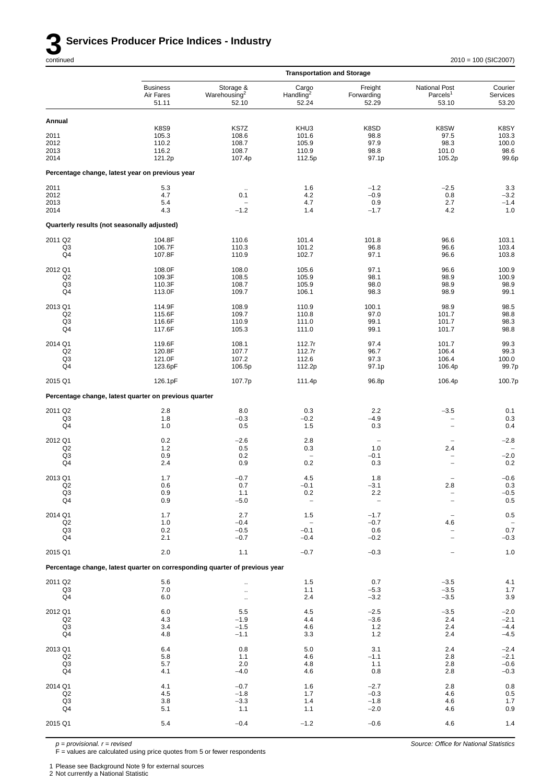

|                                        |                                                                             |                                                | <b>Transportation and Storage</b>         |                                       |                                                |                                         |
|----------------------------------------|-----------------------------------------------------------------------------|------------------------------------------------|-------------------------------------------|---------------------------------------|------------------------------------------------|-----------------------------------------|
|                                        | <b>Business</b><br>Air Fares<br>51.11                                       | Storage &<br>Warehousing <sup>2</sup><br>52.10 | Cargo<br>Handling <sup>2</sup><br>52.24   | Freight<br>Forwarding<br>52.29        | National Post<br>Parcels <sup>1</sup><br>53.10 | Courier<br>Services<br>53.20            |
| Annual                                 |                                                                             |                                                |                                           |                                       |                                                |                                         |
| 2011<br>2012<br>2013<br>2014           | <b>K8S9</b><br>105.3<br>110.2<br>116.2<br>121.2p                            | KS7Z<br>108.6<br>108.7<br>108.7<br>107.4p      | KHU3<br>101.6<br>105.9<br>110.9<br>112.5p | K8SD<br>98.8<br>97.9<br>98.8<br>97.1p | K8SW<br>97.5<br>98.3<br>101.0<br>105.2p        | K8SY<br>103.3<br>100.0<br>98.6<br>99.6p |
|                                        | Percentage change, latest year on previous year                             |                                                |                                           |                                       |                                                |                                         |
| 2011                                   | 5.3                                                                         |                                                | 1.6                                       | $-1.2$                                | $-2.5$                                         | 3.3                                     |
| 2012<br>2013<br>2014                   | 4.7<br>5.4<br>4.3                                                           | 0.1<br>$-1.2$                                  | 4.2<br>4.7<br>1.4                         | $-0.9$<br>0.9<br>$-1.7$               | 0.8<br>2.7<br>4.2                              | $-3.2$<br>$-1.4$<br>1.0                 |
|                                        | Quarterly results (not seasonally adjusted)                                 |                                                |                                           |                                       |                                                |                                         |
| 2011 Q2                                | 104.8F                                                                      | 110.6                                          | 101.4                                     | 101.8                                 | 96.6                                           | 103.1                                   |
| Q3<br>Q4                               | 106.7F<br>107.8F                                                            | 110.3<br>110.9                                 | 101.2<br>102.7                            | 96.8<br>97.1                          | 96.6<br>96.6                                   | 103.4<br>103.8                          |
| 2012 Q1                                | 108.0F                                                                      | 108.0                                          | 105.6                                     | 97.1                                  | 96.6                                           | 100.9                                   |
| Q2<br>Q3<br>Q4                         | 109.3F<br>110.3F<br>113.0F                                                  | 108.5<br>108.7<br>109.7                        | 105.9<br>105.9<br>106.1                   | 98.1<br>98.0<br>98.3                  | 98.9<br>98.9<br>98.9                           | 100.9<br>98.9<br>99.1                   |
| 2013 Q1                                | 114.9F                                                                      | 108.9                                          | 110.9                                     | 100.1                                 | 98.9                                           | 98.5                                    |
| Q2<br>Q3<br>Q4                         | 115.6F<br>116.6F<br>117.6F                                                  | 109.7<br>110.9<br>105.3                        | 110.8<br>111.0<br>111.0                   | 97.0<br>99.1<br>99.1                  | 101.7<br>101.7<br>101.7                        | 98.8<br>98.3<br>98.8                    |
| 2014 Q1                                | 119.6F                                                                      | 108.1                                          | 112.7r                                    | 97.4                                  | 101.7                                          | 99.3                                    |
| Q <sub>2</sub><br>Q3<br>Q4             | 120.8F<br>121.0F<br>123.6pF                                                 | 107.7<br>107.2<br>106.5p                       | 112.7r<br>112.6<br>112.2p                 | 96.7<br>97.3<br>97.1p                 | 106.4<br>106.4<br>106.4p                       | 99.3<br>100.0<br>99.7p                  |
| 2015 Q1                                | 126.1pF                                                                     | 107.7p                                         | 111.4p                                    | 96.8p                                 | 106.4p                                         | 100.7p                                  |
|                                        | Percentage change, latest quarter on previous quarter                       |                                                |                                           |                                       |                                                |                                         |
| 2011 Q2<br>Q3<br>Q4                    | 2.8<br>1.8<br>1.0                                                           | 8.0<br>$-0.3$<br>0.5                           | 0.3<br>$-0.2$<br>1.5                      | 2.2<br>$-4.9$<br>0.3                  | $-3.5$<br>-<br>$\overline{a}$                  | 0.1<br>0.3<br>0.4                       |
| 2012 Q1                                | 0.2                                                                         | $-2.6$                                         | 2.8                                       | $\qquad \qquad -$                     | $\overline{a}$                                 | $-2.8$                                  |
| Q2<br>Q3<br>Q4                         | 1.2<br>0.9<br>2.4                                                           | 0.5<br>0.2<br>0.9                              | 0.3<br>0.2                                | 1.0<br>$-0.1$<br>0.3                  | 2.4                                            | $-2.0$<br>0.2                           |
| 2013 Q1                                | 1.7                                                                         | $-0.7$                                         | 4.5                                       | 1.8                                   |                                                | $-0.6$                                  |
| O <sub>2</sub><br>Q <sub>3</sub>       | 0.6<br>0.9                                                                  | 0.7<br>1.1                                     | -0.1<br>0.2                               | $-3.1$<br>2.2                         | 2.8                                            | 0.3<br>$-0.5$                           |
| Q4                                     | 0.9                                                                         | $-5.0$                                         |                                           |                                       |                                                | $0.5\,$                                 |
| 2014 Q1                                | 1.7                                                                         | 2.7                                            | 1.5                                       | $-1.7$                                |                                                | $0.5\,$                                 |
| Q2<br>Q <sub>3</sub>                   | $1.0$<br>0.2                                                                | $-0.4$<br>$-0.5$                               | $\qquad \qquad -$<br>$-0.1$               | $-0.7$<br>0.6                         | 4.6                                            | 0.7                                     |
| Q4<br>2015 Q1                          | 2.1<br>2.0                                                                  | $-0.7$<br>$1.1$                                | $-0.4$<br>$-0.7$                          | $-0.2$<br>$-0.3$                      |                                                | $-0.3$<br>$1.0$                         |
|                                        | Percentage change, latest quarter on corresponding quarter of previous year |                                                |                                           |                                       |                                                |                                         |
| 2011 Q2                                | 5.6                                                                         |                                                | $1.5$                                     | 0.7                                   | $-3.5$                                         | 4.1                                     |
| Q3<br>Q4                               | 7.0<br>6.0                                                                  | $\ddotsc$                                      | 1.1<br>2.4                                | $-5.3$<br>$-3.2$                      | $-3.5$<br>$-3.5$                               | $1.7$<br>$3.9\,$                        |
| 2012 Q1                                | 6.0<br>4.3                                                                  | 5.5                                            | 4.5                                       | $-2.5$                                | $-3.5$                                         | $-2.0$<br>$-2.1$                        |
| Q <sub>2</sub><br>Q <sub>3</sub><br>Q4 | 3.4<br>4.8                                                                  | $-1.9$<br>$-1.5$<br>$-1.1$                     | 4.4<br>4.6<br>3.3                         | $-3.6$<br>1.2<br>1.2                  | 2.4<br>2.4<br>2.4                              | $-4.4$<br>$-4.5$                        |
| 2013 Q1                                | 6.4                                                                         | 0.8                                            | 5.0                                       | 3.1                                   | 2.4                                            | $-2.4$                                  |
| Q2<br>Q <sub>3</sub>                   | 5.8<br>5.7                                                                  | 1.1<br>2.0                                     | 4.6<br>4.8                                | $-1.1$<br>1.1                         | 2.8<br>2.8                                     | $-2.1$<br>$-0.6$                        |
| Q4                                     | 4.1                                                                         | $-4.0$                                         | 4.6                                       | 0.8                                   | 2.8                                            | $-0.3$                                  |
| 2014 Q1<br>Q2                          | 4.1<br>4.5                                                                  | $-0.7$<br>$-1.8$                               | 1.6<br>1.7                                | $-2.7$<br>$-0.3$                      | 2.8<br>4.6                                     | $0.8\,$<br>$0.5\,$                      |
| Q <sub>3</sub><br>Q4                   | 3.8<br>5.1                                                                  | $-3.3$<br>1.1                                  | 1.4<br>1.1                                | $-1.8$<br>$-2.0$                      | 4.6<br>4.6                                     | $1.7$<br>0.9                            |
| 2015 Q1                                | 5.4                                                                         | $-0.4$                                         | $-1.2$                                    | $-0.6$                                | 4.6                                            | 1.4                                     |
|                                        |                                                                             |                                                |                                           |                                       |                                                |                                         |

*p = provisional. r = revised*

F = values are calculated using price quotes from 5 or fewer respondents

1 Please see Background Note 9 for external sources

2 Not currently a National Statistic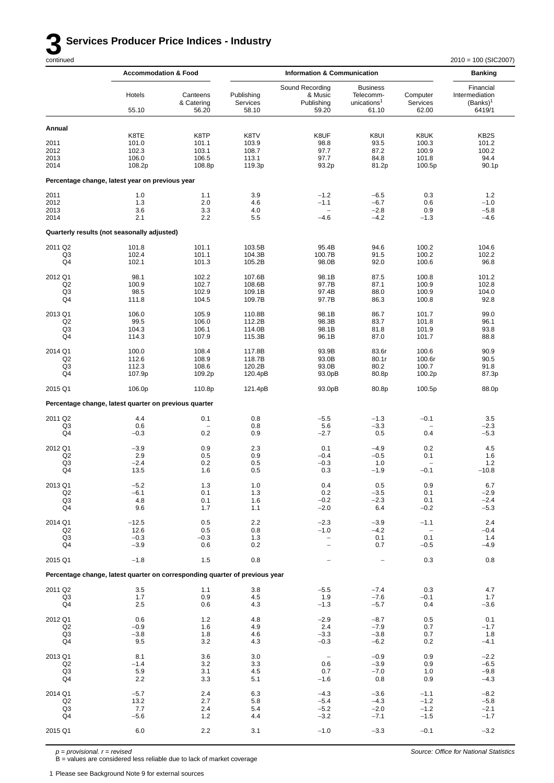## **3 Services Producer Price Indices - Industry** continued

|                                                   | <b>Accommodation &amp; Food</b>                                             |                                           | <b>Information &amp; Communication</b>    |                                                                          |                                                                  | <b>Banking</b>                                      |                                                      |
|---------------------------------------------------|-----------------------------------------------------------------------------|-------------------------------------------|-------------------------------------------|--------------------------------------------------------------------------|------------------------------------------------------------------|-----------------------------------------------------|------------------------------------------------------|
|                                                   | Hotels<br>55.10                                                             | Canteens<br>& Catering<br>56.20           | Publishing<br>Services<br>58.10           | Sound Recording<br>& Music<br>Publishing<br>59.20                        | <b>Business</b><br>Telecomm-<br>unications <sup>1</sup><br>61.10 | Computer<br>Services<br>62.00                       | Financial<br>Intermediation<br>$(Banks)^1$<br>6419/1 |
| Annual                                            |                                                                             |                                           |                                           |                                                                          |                                                                  |                                                     |                                                      |
| 2011<br>2012<br>2013<br>2014                      | K8TE<br>101.0<br>102.3<br>106.0<br>108.2p                                   | K8TP<br>101.1<br>103.1<br>106.5<br>108.8p | K8TV<br>103.9<br>108.7<br>113.1<br>119.3p | K8UF<br>98.8<br>97.7<br>97.7<br>93.2p                                    | K8UI<br>93.5<br>87.2<br>84.8<br>81.2p                            | K8UK<br>100.3<br>100.9<br>101.8<br>100.5p           | KB <sub>2</sub> S<br>101.2<br>100.2<br>94.4<br>90.1p |
|                                                   | Percentage change, latest year on previous year                             |                                           |                                           |                                                                          |                                                                  |                                                     |                                                      |
| 2011<br>2012<br>2013<br>2014                      | 1.0<br>1.3<br>3.6<br>2.1                                                    | 1.1<br>2.0<br>3.3<br>2.2                  | 3.9<br>4.6<br>4.0<br>5.5                  | $-1.2$<br>$-1.1$<br>$\qquad \qquad -$<br>$-4.6$                          | $-6.5$<br>$-6.7$<br>$-2.8$<br>$-4.2$                             | 0.3<br>0.6<br>0.9<br>$-1.3$                         | 1.2<br>$-1.0$<br>$-5.8$<br>$-4.6$                    |
|                                                   | Quarterly results (not seasonally adjusted)                                 |                                           |                                           |                                                                          |                                                                  |                                                     |                                                      |
| 2011 Q2<br>Q3<br>Q4                               | 101.8<br>102.4<br>102.1                                                     | 101.1<br>101.1<br>101.3                   | 103.5B<br>104.3B<br>105.2B                | 95.4B<br>100.7B<br>98.0B                                                 | 94.6<br>91.5<br>92.0                                             | 100.2<br>100.2<br>100.6                             | 104.6<br>102.2<br>96.8                               |
| 2012 Q1<br>Q2<br>Q3<br>Q <sub>4</sub>             | 98.1<br>100.9<br>98.5<br>111.8                                              | 102.2<br>102.7<br>102.9<br>104.5          | 107.6B<br>108.6B<br>109.1B<br>109.7B      | 98.1B<br>97.7B<br>97.4B<br>97.7B                                         | 87.5<br>87.1<br>88.0<br>86.3                                     | 100.8<br>100.9<br>100.9<br>100.8                    | 101.2<br>102.8<br>104.0<br>92.8                      |
| 2013 Q1<br>Q2<br>Q3<br>Q4                         | 106.0<br>99.5<br>104.3<br>114.3                                             | 105.9<br>106.0<br>106.1<br>107.9          | 110.8B<br>112.2B<br>114.0B<br>115.3B      | 98.1B<br>98.3B<br>98.1B<br>96.1B                                         | 86.7<br>83.7<br>81.8<br>87.0                                     | 101.7<br>101.8<br>101.9<br>101.7                    | 99.0<br>96.1<br>93.8<br>88.8                         |
| 2014 Q1<br>Q2<br>Q <sub>3</sub><br>Q4             | 100.0<br>112.6<br>112.3<br>107.9p                                           | 108.4<br>108.9<br>108.6<br>109.2p         | 117.8B<br>118.7B<br>120.2B<br>120.4pB     | 93.9B<br>93.0B<br>93.0B<br>93.0pB                                        | 83.6r<br>80.1r<br>80.2<br>80.8p                                  | 100.6<br>100.6r<br>100.7<br>100.2p                  | 90.9<br>90.5<br>91.8<br>87.3p                        |
| 2015 Q1                                           | 106.0p                                                                      | 110.8p                                    | 121.4pB                                   | 93.0pB                                                                   | 80.8p                                                            | 100.5p                                              | 88.0p                                                |
|                                                   | Percentage change, latest quarter on previous quarter                       |                                           |                                           |                                                                          |                                                                  |                                                     |                                                      |
| 2011 Q2                                           | 4.4                                                                         | 0.1                                       | 0.8                                       | $-5.5$                                                                   | $-1.3$                                                           | $-0.1$                                              | 3.5                                                  |
| Q3<br>Q <sub>4</sub>                              | 0.6<br>$-0.3$                                                               | 0.2                                       | 0.8<br>0.9                                | 5.6<br>$-2.7$                                                            | $-3.3$<br>0.5                                                    | 0.4                                                 | $-2.3$<br>$-5.3$                                     |
| 2012 Q1<br>Q2<br>Q <sub>3</sub><br>Q4             | $-3.9$<br>2.9<br>$-2.4$<br>13.5                                             | 0.9<br>0.5<br>0.2<br>1.6                  | 2.3<br>0.9<br>0.5<br>0.5                  | 0.1<br>$-0.4$<br>$-0.3$<br>0.3                                           | $-4.9$<br>$-0.5$<br>1.0<br>$-1.9$                                | 0.2<br>0.1<br>$-0.1$                                | 4.5<br>1.6<br>1.2<br>$-10.8$                         |
| 2013 Q1<br>Q <sub>2</sub><br>Q <sub>3</sub><br>Q4 | $-5.2$<br>$-6.1$<br>4.8<br>9.6                                              | 1.3<br>0.1<br>0.1<br>1.7                  | 1.0<br>1.3<br>1.6<br>1.1                  | 0.4<br>0.2<br>$-0.2$<br>$-2.0$                                           | 0.5<br>$-3.5$<br>$-2.3$<br>6.4                                   | 0.9<br>0.1<br>0.1<br>$-0.2$                         | 6.7<br>$-2.9$<br>$-2.4$<br>$-5.3$                    |
| 2014 Q1<br>Q <sub>2</sub><br>Q3<br>Q4             | $-12.5$<br>12.6<br>$-0.3$<br>$-3.9$                                         | 0.5<br>0.5<br>$-0.3$<br>0.6               | 2.2<br>0.8<br>1.3<br>0.2                  | $-2.3$<br>$-1.0$<br>$\overline{\phantom{a}}$<br>$\overline{\phantom{0}}$ | $-3.9$<br>$-4.2$<br>0.1<br>0.7                                   | $-1.1$<br>$\overline{\phantom{a}}$<br>0.1<br>$-0.5$ | 2.4<br>$-0.4$<br>1.4<br>$-4.9$                       |
| 2015 Q1                                           | $-1.8$                                                                      | 1.5                                       | 0.8                                       |                                                                          |                                                                  | 0.3                                                 | 0.8                                                  |
|                                                   | Percentage change, latest quarter on corresponding quarter of previous year |                                           |                                           |                                                                          |                                                                  |                                                     |                                                      |
| 2011 Q2                                           | 3.5                                                                         | 1.1                                       | 3.8                                       | $-5.5$                                                                   | $-7.4$                                                           | 0.3                                                 | 4.7                                                  |
| Q3<br>Q4                                          | 1.7<br>2.5                                                                  | 0.9<br>0.6                                | 4.5<br>4.3                                | 1.9<br>$-1.3$                                                            | $-7.6$<br>$-5.7$                                                 | $-0.1$<br>0.4                                       | 1.7<br>$-3.6$                                        |
| 2012 Q1<br>Q <sub>2</sub><br>Q3<br>Q4             | 0.6<br>$-0.9$<br>$-3.8$<br>9.5                                              | 1.2<br>1.6<br>1.8<br>3.2                  | 4.8<br>4.9<br>4.6<br>4.3                  | $-2.9$<br>2.4<br>$-3.3$<br>$-0.3$                                        | $-8.7$<br>$-7.9$<br>$-3.8$<br>$-6.2$                             | 0.5<br>0.7<br>0.7<br>0.2                            | 0.1<br>$-1.7$<br>1.8<br>$-4.1$                       |
| 2013 Q1<br>Q <sub>2</sub><br>Q3<br>Q4             | 8.1<br>$-1.4$<br>5.9<br>2.2                                                 | 3.6<br>3.2<br>3.1<br>3.3                  | 3.0<br>3.3<br>4.5<br>5.1                  | $\qquad \qquad -$<br>0.6<br>0.7<br>$-1.6$                                | $-0.9$<br>$-3.9$<br>$-7.0$<br>0.8                                | 0.9<br>0.9<br>1.0<br>0.9                            | $-2.2$<br>$-6.5$<br>$-9.8$<br>$-4.3$                 |
| 2014 Q1<br>Q <sub>2</sub><br>Q3<br>Q4             | $-5.7$<br>13.2<br>7.7<br>$-5.6$                                             | 2.4<br>2.7<br>2.4<br>1.2                  | 6.3<br>5.8<br>5.4<br>4.4                  | $-4.3$<br>$-5.4$<br>$-5.2$<br>$-3.2$                                     | $-3.6$<br>$-4.3$<br>$-2.0$<br>$-7.1$                             | $-1.1$<br>$-1.2$<br>$-1.2$<br>$-1.5$                | $-8.2$<br>$-5.8$<br>$-2.1$<br>$-1.7$                 |
| 2015 Q1                                           | 6.0                                                                         | 2.2                                       | 3.1                                       | $-1.0$                                                                   | $-3.3$                                                           | $-0.1$                                              | $-3.2$                                               |

*p = provisional. r = revised*

B = values are considered less reliable due to lack of market coverage

1 Please see Background Note 9 for external sources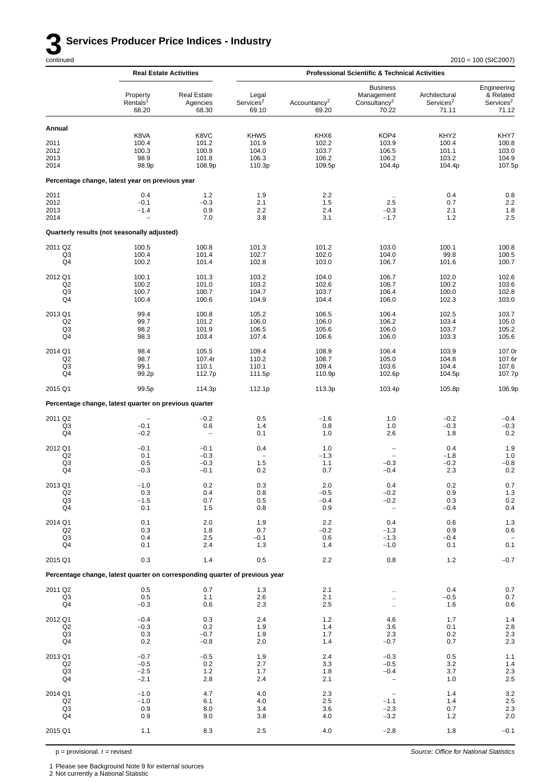*Source: Office for National Statistics*

|                                                   |                                                                             | <b>Real Estate Activities</b>             | <b>Professional Scientific &amp; Technical Activities</b> |                                           |                                                                    |                                                       |                                                            |
|---------------------------------------------------|-----------------------------------------------------------------------------|-------------------------------------------|-----------------------------------------------------------|-------------------------------------------|--------------------------------------------------------------------|-------------------------------------------------------|------------------------------------------------------------|
|                                                   | Property<br>Rentals <sup>1</sup><br>68.20                                   | <b>Real Estate</b><br>Agencies<br>68.30   | Legal<br>Services <sup>2</sup><br>69.10                   | Accountancy <sup>2</sup><br>69.20         | <b>Business</b><br>Management<br>Consultancy <sup>2</sup><br>70.22 | Architectural<br>Services <sup>2</sup><br>71.11       | Engineering<br>& Related<br>Services <sup>2</sup><br>71.12 |
| Annual                                            |                                                                             |                                           |                                                           |                                           |                                                                    |                                                       |                                                            |
| 2011<br>2012<br>2013<br>2014                      | K8VA<br>100.4<br>100.3<br>98.9<br>98.9p                                     | K8VC<br>101.2<br>100.9<br>101.8<br>108.9p | KHW5<br>101.9<br>104.0<br>106.3<br>110.3p                 | KHX6<br>102.2<br>103.7<br>106.2<br>109.5p | KOP4<br>103.9<br>106.5<br>106.2<br>104.4p                          | KHY <sub>2</sub><br>100.4<br>101.1<br>103.2<br>104.4p | KHY7<br>100.8<br>103.0<br>104.9<br>107.5p                  |
|                                                   | Percentage change, latest year on previous year                             |                                           |                                                           |                                           |                                                                    |                                                       |                                                            |
| 2011<br>2012<br>2013<br>2014                      | 0.4<br>$-0.1$<br>$-1.4$                                                     | 1.2<br>$-0.3$<br>0.9<br>7.0               | 1.9<br>2.1<br>2.2<br>3.8                                  | 2.2<br>1.5<br>2.4<br>3.1                  | 2.5<br>$-0.3$<br>$-1.7$                                            | 0.4<br>0.7<br>2.1<br>1.2                              | 0.8<br>$2.2\,$<br>1.8<br>2.5                               |
|                                                   | Quarterly results (not seasonally adjusted)                                 |                                           |                                                           |                                           |                                                                    |                                                       |                                                            |
| 2011 Q2<br>Q3<br>Q4                               | 100.5<br>100.4<br>100.2                                                     | 100.8<br>101.4<br>101.4                   | 101.3<br>102.7<br>102.8                                   | 101.2<br>102.0<br>103.0                   | 103.0<br>104.0<br>106.7                                            | 100.1<br>99.8<br>101.6                                | 100.8<br>100.5<br>100.7                                    |
| 2012 Q1<br>Q <sub>2</sub><br>Q3<br>Q4             | 100.1<br>100.2<br>100.7<br>100.4                                            | 101.3<br>101.0<br>100.7<br>100.6          | 103.2<br>103.2<br>104.7<br>104.9                          | 104.0<br>102.6<br>103.7<br>104.4          | 106.7<br>106.7<br>106.4<br>106.0                                   | 102.0<br>100.2<br>100.0<br>102.3                      | 102.6<br>103.6<br>102.8<br>103.0                           |
| 2013 Q1<br>Q2<br>Q3<br>Q4                         | 99.4<br>99.7<br>98.2<br>98.3                                                | 100.8<br>101.2<br>101.9<br>103.4          | 105.2<br>106.0<br>106.5<br>107.4                          | 106.5<br>106.0<br>105.6<br>106.6          | 106.4<br>106.2<br>106.0<br>106.0                                   | 102.5<br>103.4<br>103.7<br>103.3                      | 103.7<br>105.0<br>105.2<br>105.6                           |
| 2014 Q1<br>Q <sub>2</sub><br>Q3<br>Q4             | 98.4<br>98.7<br>99.1<br>99.2p                                               | 105.5<br>107.4r<br>110.1<br>112.7p        | 109.4<br>110.2<br>110.1<br>111.5p                         | 108.9<br>108.7<br>109.4<br>110.9p         | 106.4<br>105.0<br>103.6<br>102.6p                                  | 103.9<br>104.8<br>104.4<br>104.5p                     | 107.0r<br>107.6r<br>107.6<br>107.7p                        |
| 2015 Q1                                           | 99.5p                                                                       | 114.3p                                    | 112.1p                                                    | 113.3p                                    | 103.4p                                                             | 105.8p                                                | 106.9p                                                     |
|                                                   | Percentage change, latest quarter on previous quarter                       |                                           |                                                           |                                           |                                                                    |                                                       |                                                            |
| 2011 Q2                                           |                                                                             | $-0.2$                                    | 0.5                                                       | $-1.6$                                    | 1.0                                                                | $-0.2$                                                | $-0.4$                                                     |
| Q3<br>Q4                                          | $-0.1$<br>$-0.2$                                                            | 0.6<br>$\overline{\phantom{0}}$           | 1.4<br>0.1                                                | 0.8<br>1.0                                | 1.0<br>2.6                                                         | $-0.3$<br>1.8                                         | $-0.3$<br>0.2                                              |
| 2012 Q1<br>Q <sub>2</sub><br>Q3<br>Q4             | $-0.1$<br>0.1<br>0.5<br>$-0.3$                                              | $-0.1$<br>$-0.3$<br>$-0.3$<br>$-0.1$      | 0.4<br>1.5<br>0.2                                         | 1.0<br>$-1.3$<br>1.1<br>0.7               | $\qquad \qquad -$<br>$-0.3$<br>$-0.4$                              | 0.4<br>$-1.8$<br>$-0.2$<br>2.3                        | 1.9<br>1.0<br>$-0.8$<br>0.2                                |
| 2013 Q1<br>Q2<br>Q <sub>3</sub><br>Q <sub>4</sub> | $-1.0$<br>0.3<br>$-1.5$<br>0.1                                              | $0.2\,$<br>0.4<br>0.7<br>1.5              | 0.3<br>0.8<br>0.5<br>0.8                                  | $2.0\,$<br>$-0.5$<br>$-0.4$<br>0.9        | 0.4<br>$-0.2$<br>$-0.2$<br>$\overline{\phantom{a}}$                | $0.2\,$<br>0.9<br>0.3<br>$-0.4$                       | $0.7\,$<br>$1.3\,$<br>$0.2\,$<br>0.4                       |
| 2014 Q1<br>Q <sub>2</sub><br>Q <sub>3</sub><br>Q4 | 0.1<br>0.3<br>0.4<br>0.1                                                    | 2.0<br>1.8<br>2.5<br>2.4                  | 1.9<br>0.7<br>$-0.1$<br>1.3                               | 2.2<br>$-0.2$<br>0.6<br>1.4               | 0.4<br>$-1.3$<br>$-1.3$<br>$-1.0$                                  | 0.6<br>0.9<br>$-0.4$<br>0.1                           | 1.3<br>0.6<br>0.1                                          |
| 2015 Q1                                           | 0.3                                                                         | 1.4                                       | 0.5                                                       | 2.2                                       | 0.8                                                                | 1.2                                                   | $-0.7$                                                     |
|                                                   | Percentage change, latest quarter on corresponding quarter of previous year |                                           |                                                           |                                           |                                                                    |                                                       |                                                            |
| 2011 Q2                                           | 0.5                                                                         | 0.7                                       | 1.3                                                       | 2.1                                       |                                                                    | 0.4                                                   | 0.7                                                        |
| Q3<br>Q4                                          | 0.5<br>$-0.3$                                                               | 1.1<br>0.6                                | 2.6<br>2.3                                                | 2.1<br>2.5                                | $\ddotsc$                                                          | $-0.5$<br>1.6                                         | 0.7<br>0.6                                                 |
| 2012 Q1<br>Q2<br>Q <sub>3</sub><br>Q4             | $-0.4$<br>$-0.3$<br>0.3<br>0.2                                              | 0.3<br>0.2<br>$-0.7$<br>$-0.8$            | 2.4<br>1.9<br>1.9<br>2.0                                  | $1.2$<br>1.4<br>1.7<br>1.4                | 4.6<br>3.6<br>2.3<br>$-0.7$                                        | 1.7<br>0.1<br>0.2<br>0.7                              | 1.4<br>$2.8\,$<br>$2.3\,$<br>2.3                           |
| 2013 Q1<br>Q <sub>2</sub><br>Q <sub>3</sub><br>Q4 | $-0.7$<br>$-0.5$<br>$-2.5$<br>$-2.1$                                        | $-0.5$<br>0.2<br>$1.2$<br>2.8             | 1.9<br>2.7<br>1.7<br>2.4                                  | 2.4<br>3.3<br>1.8<br>2.1                  | $-0.3$<br>$-0.5$<br>$-0.4$<br>$\overline{\phantom{a}}$             | 0.5<br>3.2<br>3.7<br>1.0                              | 1.1<br>1.4<br>$2.3\,$<br>$2.5\,$                           |
| 2014 Q1<br>Q2<br>Q <sub>3</sub><br>Q4             | $-1.0$<br>$-1.0$<br>0.9<br>0.9                                              | 4.7<br>6.1<br>8.0<br>9.0                  | 4.0<br>4.0<br>3.4<br>3.8                                  | 2.3<br>2.5<br>3.6<br>4.0                  | $-1.1$<br>$-2.3$<br>$-3.2$                                         | 1.4<br>1.4<br>0.7<br>1.2                              | $3.2\,$<br>$2.5\,$<br>$2.3\,$<br>2.0                       |
| 2015 Q1                                           | 1.1                                                                         | 8.3                                       | 2.5                                                       | 4.0                                       | $-2.8$                                                             | 1.8                                                   | $-0.1$                                                     |

 $p =$  provisional.  $r =$  revised

2 Not currently a National Statistic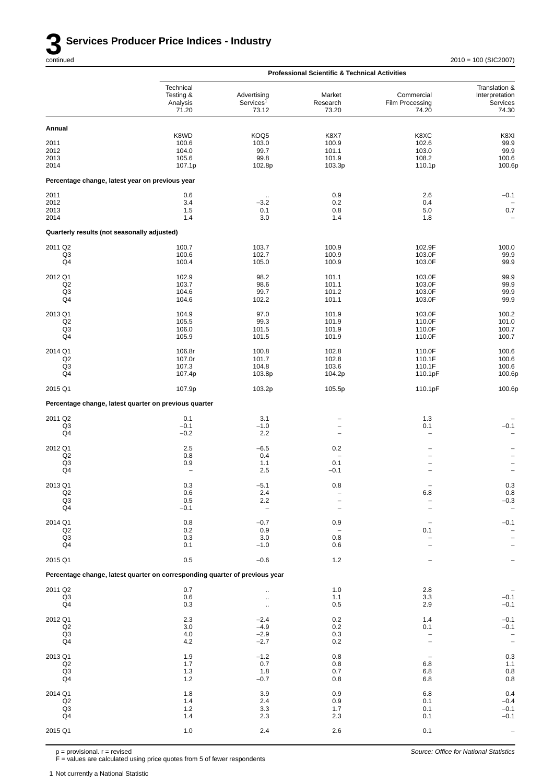|                                                 |                                                                             |                                               | <b>Professional Scientific &amp; Technical Activities</b> |                                           |                                                                   |
|-------------------------------------------------|-----------------------------------------------------------------------------|-----------------------------------------------|-----------------------------------------------------------|-------------------------------------------|-------------------------------------------------------------------|
|                                                 | Technical<br>Testing &<br>Analysis<br>71.20                                 | Advertising<br>Services <sup>1</sup><br>73.12 | Market<br>Research<br>73.20                               | Commercial<br>Film Processing<br>74.20    | Translation &<br>Interpretation<br>Services<br>74.30              |
| Annual                                          |                                                                             |                                               |                                                           |                                           |                                                                   |
| 2011<br>2012<br>2013<br>2014                    | K8WD<br>100.6<br>104.0<br>105.6<br>107.1p                                   | KOQ5<br>103.0<br>99.7<br>99.8<br>102.8p       | K8X7<br>100.9<br>101.1<br>101.9<br>103.3p                 | K8XC<br>102.6<br>103.0<br>108.2<br>110.1p | K8XI<br>99.9<br>99.9<br>100.6<br>100.6p                           |
| Percentage change, latest year on previous year |                                                                             |                                               |                                                           |                                           |                                                                   |
| 2011<br>2012<br>2013<br>2014                    | 0.6<br>3.4<br>1.5<br>1.4                                                    | $\ddot{\phantom{a}}$<br>$-3.2$<br>0.1<br>3.0  | 0.9<br>0.2<br>0.8<br>1.4                                  | 2.6<br>0.4<br>5.0<br>1.8                  | $-0.1$<br>0.7                                                     |
| Quarterly results (not seasonally adjusted)     |                                                                             |                                               |                                                           |                                           |                                                                   |
| 2011 Q2<br>Q3<br>Q4                             | 100.7<br>100.6<br>100.4                                                     | 103.7<br>102.7<br>105.0                       | 100.9<br>100.9<br>100.9                                   | 102.9F<br>103.0F<br>103.0F                | 100.0<br>99.9<br>99.9                                             |
| 2012 Q1<br>Q2<br>Q3<br>Q4                       | 102.9<br>103.7<br>104.6<br>104.6                                            | 98.2<br>98.6<br>99.7<br>102.2                 | 101.1<br>101.1<br>101.2<br>101.1                          | 103.0F<br>103.0F<br>103.0F<br>103.0F      | 99.9<br>99.9<br>99.9<br>99.9                                      |
| 2013 Q1<br>Q2<br>Q <sub>3</sub><br>Q4           | 104.9<br>105.5<br>106.0<br>105.9                                            | 97.0<br>99.3<br>101.5<br>101.5                | 101.9<br>101.9<br>101.9<br>101.9                          | 103.0F<br>110.0F<br>110.0F<br>110.0F      | 100.2<br>101.0<br>100.7<br>100.7                                  |
| 2014 Q1<br>Q2<br>Q3<br>Q4                       | 106.8r<br>107.0r<br>107.3<br>107.4p                                         | 100.8<br>101.7<br>104.8<br>103.8p             | 102.8<br>102.8<br>103.6<br>104.2p                         | 110.0F<br>110.1F<br>110.1F<br>110.1pF     | 100.6<br>100.6<br>100.6<br>100.6p                                 |
| 2015 Q1                                         | 107.9p                                                                      | 103.2p                                        | 105.5p                                                    | 110.1pF                                   | 100.6p                                                            |
|                                                 | Percentage change, latest quarter on previous quarter                       |                                               |                                                           |                                           |                                                                   |
| 2011 Q2<br>Q3<br>Q4                             | 0.1<br>$-0.1$<br>$-0.2$                                                     | 3.1<br>$-1.0$<br>2.2                          | $\overline{a}$                                            | 1.3<br>0.1<br>$\overline{\phantom{0}}$    | $-0.1$                                                            |
| 2012 Q1<br>Q2<br>Q <sub>3</sub><br>Q4           | 2.5<br>0.8<br>0.9<br>$\overline{\phantom{0}}$                               | $-6.5$<br>0.4<br>1.1<br>2.5                   | 0.2<br>$\overline{a}$<br>0.1<br>$-0.1$                    | $\overline{\phantom{0}}$<br>-             | $\qquad \qquad -$<br>$\overline{a}$                               |
| 2013 Q1<br>$_{\mathsf{Q2}}$<br>Q3<br>Q4         | 0.3<br>0.6<br>0.5<br>$-0.1$                                                 | $-5.1$<br>2.4<br>2.2                          | 0.8                                                       | $6.8\,$                                   | 0.3<br>$0.8 - 0.3$                                                |
| 2014 Q1<br>Q2<br>Q <sub>3</sub><br>Q4           | 0.8<br>0.2<br>0.3<br>0.1                                                    | $-0.7$<br>0.9<br>3.0<br>$-1.0$                | 0.9<br>0.8<br>0.6                                         | 0.1                                       | $-0.1$                                                            |
| 2015 Q1                                         | $0.5\,$                                                                     | $-0.6$                                        | 1.2                                                       |                                           |                                                                   |
|                                                 | Percentage change, latest quarter on corresponding quarter of previous year |                                               |                                                           |                                           |                                                                   |
| 2011 Q2<br>Q <sub>3</sub><br>Q4                 | 0.7<br>0.6<br>0.3                                                           | $\ddotsc$<br>$\ddotsc$<br>$\mathbf{r}$        | 1.0<br>1.1<br>0.5                                         | 2.8<br>3.3<br>2.9                         | $-0.1$<br>$-0.1$                                                  |
| 2012 Q1<br>Q2<br>Q <sub>3</sub><br>Q4           | 2.3<br>3.0<br>$4.0$<br>4.2                                                  | $-2.4$<br>$-4.9$<br>$-2.9$<br>$-2.7$          | 0.2<br>0.2<br>0.3<br>0.2                                  | 1.4<br>0.1                                | $-0.1$<br>$-0.1$<br>$\qquad \qquad -$<br>$\overline{\phantom{0}}$ |
| 2013 Q1<br>Q2<br>Q <sub>3</sub><br>Q4           | 1.9<br>1.7<br>1.3<br>$1.2$                                                  | $-1.2$<br>0.7<br>1.8<br>$-0.7$                | 0.8<br>0.8<br>0.7<br>0.8                                  | 6.8<br>6.8<br>6.8                         | $0.3\,$<br>$1.1$<br>$\begin{array}{c} 0.8 \\ 0.8 \end{array}$     |
| 2014 Q1<br>Q2<br>Q3<br>Q4                       | 1.8<br>1.4<br>$1.2$<br>1.4                                                  | 3.9<br>2.4<br>3.3<br>2.3                      | 0.9<br>0.9<br>1.7<br>2.3                                  | 6.8<br>0.1<br>0.1<br>0.1                  | 0.4<br>$-0.4$<br>$-0.1$<br>$-0.1$                                 |
| 2015 Q1                                         | 1.0                                                                         | 2.4                                           | 2.6                                                       | 0.1                                       |                                                                   |

p = provisional. r = revised

F = values are calculated using price quotes from 5 of fewer respondents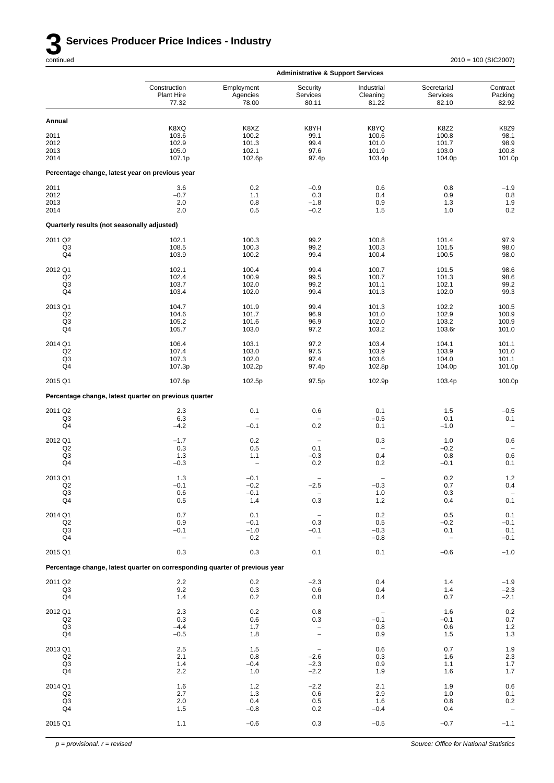

|                                             |                                                                             |                                 | <b>Administrative &amp; Support Services</b> |                                 |                                  |                              |
|---------------------------------------------|-----------------------------------------------------------------------------|---------------------------------|----------------------------------------------|---------------------------------|----------------------------------|------------------------------|
|                                             | Construction<br>Plant Hire<br>77.32                                         | Employment<br>Agencies<br>78.00 | Security<br>Services<br>80.11                | Industrial<br>Cleaning<br>81.22 | Secretarial<br>Services<br>82.10 | Contract<br>Packing<br>82.92 |
| Annual                                      |                                                                             |                                 |                                              |                                 |                                  |                              |
|                                             | K8XQ                                                                        | K8XZ                            | K8YH                                         | K8YQ                            | <b>K8Z2</b>                      | K8Z9                         |
| 2011<br>2012                                | 103.6                                                                       | 100.2                           | 99.1                                         | 100.6                           | 100.8<br>101.7                   | 98.1<br>98.9                 |
| 2013                                        | 102.9<br>105.0                                                              | 101.3<br>102.1                  | 99.4<br>97.6                                 | 101.0<br>101.9                  | 103.0                            | 100.8                        |
| 2014                                        | 107.1p                                                                      | 102.6p                          | 97.4p                                        | 103.4p                          | 104.0p                           | 101.0p                       |
|                                             | Percentage change, latest year on previous year                             |                                 |                                              |                                 |                                  |                              |
| 2011                                        | 3.6                                                                         | 0.2                             | $-0.9$                                       | 0.6                             | 0.8                              | $-1.9$                       |
| 2012<br>2013                                | $-0.7$<br>2.0                                                               | 1.1<br>0.8                      | 0.3<br>$-1.8$                                | 0.4<br>0.9                      | 0.9<br>1.3                       | $0.8\,$<br>1.9               |
| 2014                                        | 2.0                                                                         | 0.5                             | $-0.2$                                       | 1.5                             | 1.0                              | 0.2                          |
| Quarterly results (not seasonally adjusted) |                                                                             |                                 |                                              |                                 |                                  |                              |
| 2011 Q2                                     | 102.1                                                                       | 100.3                           | 99.2                                         | 100.8                           | 101.4                            | 97.9                         |
| Q3<br>Q4                                    | 108.5<br>103.9                                                              | 100.3<br>100.2                  | 99.2<br>99.4                                 | 100.3<br>100.4                  | 101.5<br>100.5                   | 98.0<br>98.0                 |
|                                             |                                                                             |                                 |                                              |                                 |                                  |                              |
| 2012 Q1<br>Q2                               | 102.1<br>102.4                                                              | 100.4                           | 99.4<br>99.5                                 | 100.7<br>100.7                  | 101.5<br>101.3                   | 98.6<br>98.6                 |
| Q3                                          | 103.7                                                                       | 100.9<br>102.0                  | 99.2                                         | 101.1                           | 102.1                            | 99.2                         |
| Q4                                          | 103.4                                                                       | 102.0                           | 99.4                                         | 101.3                           | 102.0                            | 99.3                         |
| 2013 Q1                                     | 104.7                                                                       | 101.9                           | 99.4                                         | 101.3                           | 102.2                            | 100.5                        |
| Q <sub>2</sub>                              | 104.6                                                                       | 101.7                           | 96.9                                         | 101.0                           | 102.9                            | 100.9                        |
| Q3<br>Q4                                    | 105.2<br>105.7                                                              | 101.6<br>103.0                  | 96.9<br>97.2                                 | 102.0<br>103.2                  | 103.2<br>103.6r                  | 100.9<br>101.0               |
| 2014 Q1                                     | 106.4                                                                       | 103.1                           | 97.2                                         | 103.4                           | 104.1                            | 101.1                        |
| Q <sub>2</sub>                              | 107.4                                                                       | 103.0                           | 97.5                                         | 103.9                           | 103.9                            | 101.0                        |
| Q <sub>3</sub>                              | 107.3                                                                       | 102.0                           | 97.4                                         | 103.6                           | 104.0                            | 101.1                        |
| Q4                                          | 107.3p                                                                      | 102.2p                          | 97.4p                                        | 102.8p                          | 104.0p                           | 101.0p                       |
| 2015 Q1                                     | 107.6p                                                                      | 102.5p                          | 97.5p                                        | 102.9p                          | 103.4p                           | 100.0p                       |
|                                             | Percentage change, latest quarter on previous quarter                       |                                 |                                              |                                 |                                  |                              |
| 2011 Q2                                     | 2.3                                                                         | 0.1                             | 0.6                                          | 0.1                             | 1.5                              | $-0.5$                       |
| Q3<br>Q4                                    | 6.3<br>$-4.2$                                                               | $-0.1$                          | 0.2                                          | $-0.5$<br>0.1                   | 0.1<br>$-1.0$                    | 0.1                          |
| 2012 Q1                                     | $-1.7$                                                                      | 0.2                             |                                              | 0.3                             |                                  | 0.6                          |
| Q <sub>2</sub>                              | 0.3                                                                         | 0.5                             | $\overline{\phantom{a}}$<br>0.1              | $\overline{\phantom{0}}$        | 1.0<br>$-0.2$                    |                              |
| Q3                                          | 1.3                                                                         | 1.1                             | $-0.3$                                       | 0.4                             | 0.8                              | 0.6                          |
| Q4                                          | $-0.3$                                                                      | $\overline{\phantom{0}}$        | 0.2                                          | 0.2                             | $-0.1$                           | 0.1                          |
| 2013 Q1                                     | 1.3                                                                         | $-0.1$                          | $\qquad \qquad -$                            | $\qquad \qquad -$               | 0.2                              | 1.2                          |
| Q2<br>Q <sub>3</sub>                        | $-0.1$<br>0.6                                                               | $-0.2$<br>$-0.1$                | $-2.5$                                       | $-0.3$<br>1.0                   | 0.7<br>0.3                       | 0.4                          |
| $\mathsf{Q4}$                               | 0.5                                                                         | 1.4                             | 0.3                                          | 1.2                             | 0.4                              | $0.1\,$                      |
| 2014 Q1                                     | 0.7                                                                         | 0.1                             | $\qquad \qquad -$                            | 0.2                             | 0.5                              | 0.1                          |
| Q2                                          | 0.9                                                                         | $-0.1$                          | 0.3                                          | 0.5                             | $-0.2$                           | $-0.1$                       |
| Q <sub>3</sub><br>Q4                        | $-0.1$<br>$\qquad \qquad -$                                                 | $-1.0$<br>0.2                   | $-0.1$<br>$\qquad \qquad -$                  | $-0.3$<br>$-0.8$                | 0.1<br>$\overline{\phantom{0}}$  | 0.1<br>$-0.1$                |
| 2015 Q1                                     | 0.3                                                                         | 0.3                             | 0.1                                          | 0.1                             | $-0.6$                           | $-1.0$                       |
|                                             | Percentage change, latest quarter on corresponding quarter of previous year |                                 |                                              |                                 |                                  |                              |
| 2011 Q2                                     | 2.2                                                                         | 0.2                             | $-2.3$                                       | 0.4                             | 1.4                              | $-1.9$                       |
| Q3<br>Q4                                    | 9.2<br>1.4                                                                  | 0.3<br>0.2                      | 0.6<br>0.8                                   | 0.4<br>0.4                      | 1.4<br>0.7                       | $-2.3$<br>$-2.1$             |
|                                             |                                                                             |                                 |                                              |                                 |                                  |                              |
| 2012 Q1<br>Q2                               | 2.3<br>0.3                                                                  | 0.2<br>0.6                      | $0.8\,$<br>0.3                               | $\qquad \qquad -$<br>$-0.1$     | 1.6<br>$-0.1$                    | $0.2\,$<br>0.7               |
| Q <sub>3</sub>                              | $-4.4$                                                                      | 1.7                             | $\qquad \qquad -$                            | 0.8                             | 0.6                              | $\frac{1.2}{1.3}$            |
| Q4                                          | $-0.5$                                                                      | 1.8                             | $\qquad \qquad -$                            | 0.9                             | 1.5                              |                              |
| 2013 Q1                                     | $2.5\,$                                                                     | 1.5                             | $\overline{\phantom{a}}$                     | 0.6                             | 0.7                              | $1.9$<br>$2.3$               |
| Q2<br>Q <sub>3</sub>                        | 2.1<br>1.4                                                                  | 0.8<br>$-0.4$                   | $-2.6$<br>$-2.3$                             | 0.3<br>0.9                      | 1.6<br>1.1                       | $1.7\,$                      |
| Q4                                          | 2.2                                                                         | 1.0                             | $-2.2$                                       | 1.9                             | 1.6                              | 1.7                          |
| 2014 Q1                                     | 1.6                                                                         | $1.2$                           | $-2.2$                                       | 2.1                             | 1.9                              | $0.6\,$                      |
| Q2                                          | 2.7                                                                         | 1.3                             | 0.6                                          | 2.9                             | 1.0                              | 0.1                          |
| Q <sub>3</sub>                              | 2.0                                                                         | 0.4                             | 0.5                                          | 1.6                             | 0.8                              | $0.2\,$                      |
| Q4                                          | 1.5                                                                         | $-0.8$                          | 0.2                                          | $-0.4$                          | 0.4                              |                              |
| 2015 Q1                                     | 1.1                                                                         | $-0.6$                          | 0.3                                          | $-0.5$                          | $-0.7$                           | $-1.1$                       |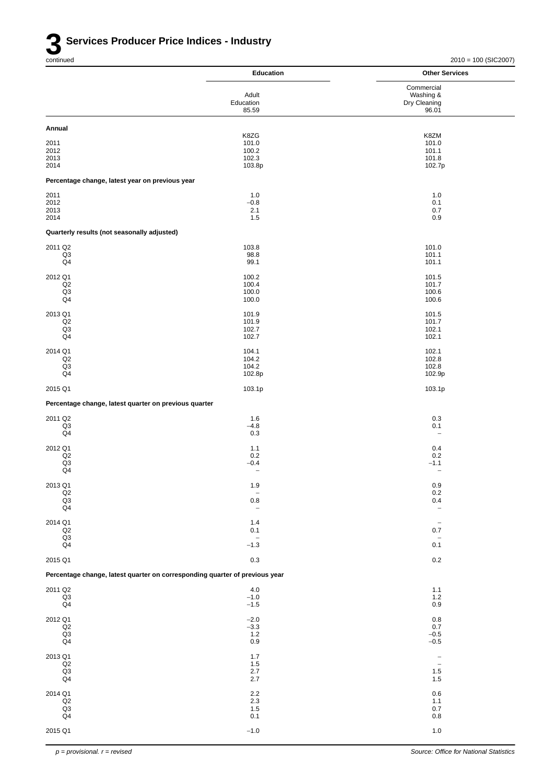|                                                                             | <b>Education</b>                    | <b>Other Services</b>              |
|-----------------------------------------------------------------------------|-------------------------------------|------------------------------------|
|                                                                             | Adult                               | Commercial<br>Washing &            |
|                                                                             | Education<br>85.59                  | Dry Cleaning<br>96.01              |
| Annual                                                                      |                                     |                                    |
| 2011                                                                        | K8ZG<br>101.0                       | K8ZM<br>101.0                      |
| 2012<br>2013                                                                | 100.2<br>102.3                      | 101.1<br>101.8                     |
| 2014                                                                        | 103.8p                              | 102.7p                             |
| Percentage change, latest year on previous year                             |                                     |                                    |
| 2011<br>2012                                                                | 1.0<br>$-0.8$                       | 1.0<br>0.1                         |
| 2013<br>2014                                                                | 2.1<br>1.5                          | 0.7<br>0.9                         |
| Quarterly results (not seasonally adjusted)                                 |                                     |                                    |
| 2011 Q2                                                                     | 103.8                               | 101.0                              |
| Q3<br>Q4                                                                    | 98.8<br>99.1                        | 101.1<br>101.1                     |
| 2012 Q1                                                                     | 100.2                               | 101.5                              |
| Q2<br>Q3                                                                    | 100.4<br>100.0                      | 101.7<br>100.6                     |
| Q4                                                                          | 100.0                               | 100.6                              |
| 2013 Q1<br>Q2                                                               | 101.9<br>101.9                      | 101.5<br>101.7                     |
| Q <sub>3</sub><br>Q4                                                        | 102.7<br>102.7                      | 102.1<br>102.1                     |
| 2014 Q1                                                                     | 104.1                               | 102.1                              |
| Q2<br>Q <sub>3</sub>                                                        | 104.2<br>104.2                      | 102.8<br>102.8                     |
| Q4                                                                          | 102.8p                              | 102.9p                             |
| 2015 Q1                                                                     | 103.1p                              | 103.1p                             |
| Percentage change, latest quarter on previous quarter                       |                                     |                                    |
| 2011 Q2<br>Q3                                                               | 1.6<br>$-4.8$                       | 0.3<br>0.1                         |
| Q4                                                                          | 0.3                                 | $\qquad \qquad -$                  |
| 2012 Q1<br>Q <sub>2</sub>                                                   | 1.1<br>0.2                          | 0.4<br>0.2                         |
| $_{\rm Q3}$<br>Q4                                                           | $-0.4$<br>$\overline{\phantom{0}}$  | $-1.1$<br>$\overline{\phantom{a}}$ |
| 2013 Q1                                                                     | 1.9                                 | 0.9                                |
| Q2<br>$\frac{Q3}{Q4}$                                                       | $\overline{\phantom{a}}$<br>$0.8\,$ | $0.2\,$<br>0.4                     |
|                                                                             | $\overline{\phantom{m}}$            | $\overline{\phantom{a}}$           |
| 2014 Q1<br>Q2                                                               | 1.4<br>0.1                          | $\overline{\phantom{a}}$<br>0.7    |
| Q3<br>Q <sub>4</sub>                                                        | $\overline{\phantom{a}}$<br>$-1.3$  | $\overline{\phantom{a}}$<br>0.1    |
| 2015 Q1                                                                     | $0.3\,$                             | $0.2\,$                            |
| Percentage change, latest quarter on corresponding quarter of previous year |                                     |                                    |
| 2011 Q2<br>Q3                                                               | 4.0<br>$-1.0$                       | 1.1<br>1.2                         |
| Q <sub>4</sub>                                                              | $-1.5$                              | 0.9                                |
| 2012 Q1<br>Q2                                                               | $-2.0$<br>$-3.3$                    | 0.8<br>$0.7\,$                     |
| Q3<br>Q <sub>4</sub>                                                        | 1.2<br>$0.9\,$                      | $-0.5$<br>$-0.5$                   |
| 2013 Q1                                                                     | 1.7                                 | $\overline{\phantom{a}}$           |
| Q2<br>Q3                                                                    | 1.5<br>$2.7\,$                      | $\overline{\phantom{a}}$<br>1.5    |
| Q4                                                                          | 2.7                                 | 1.5                                |
| 2014 Q1<br>Q2                                                               | $2.2\,$<br>2.3                      | 0.6<br>1.1                         |
| Q3<br>Q <sub>4</sub>                                                        | $1.5$<br>0.1                        | 0.7<br>0.8                         |
| 2015 Q1                                                                     | $-1.0$                              | 1.0                                |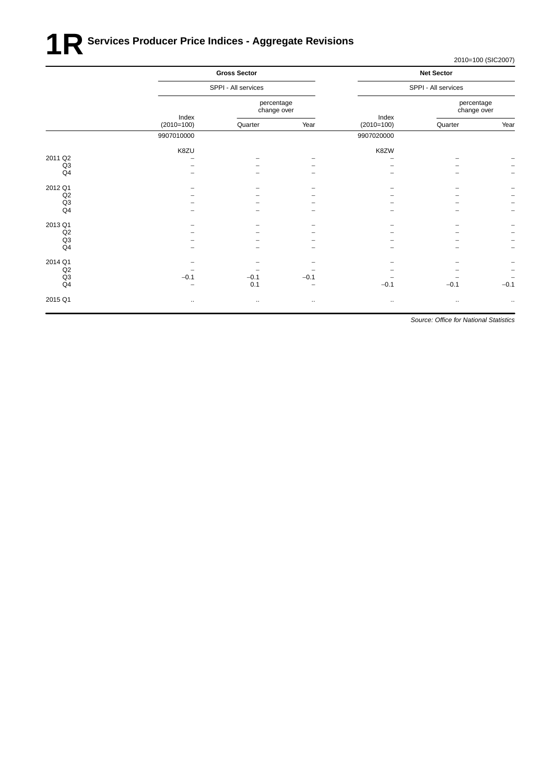## **1R** Services Producer Price Indices - Aggregate Revisions

2010=100 (SIC2007)

|         |              | <b>Gross Sector</b>       | <b>Net Sector</b><br>SPPI - All services |                           |              |                          |
|---------|--------------|---------------------------|------------------------------------------|---------------------------|--------------|--------------------------|
|         |              | SPPI - All services       |                                          |                           |              |                          |
|         | Index        | percentage<br>change over |                                          | percentage<br>change over |              |                          |
|         | $(2010=100)$ | Quarter                   | Year                                     | Index<br>$(2010=100)$     | Quarter      | Year                     |
|         | 9907010000   |                           |                                          | 9907020000                |              |                          |
|         | K8ZU         |                           |                                          | K8ZW                      |              |                          |
| 2011 Q2 |              |                           |                                          |                           |              | $\qquad \qquad -$        |
| Q3      |              |                           |                                          |                           |              | $\overline{\phantom{0}}$ |
| Q4      |              |                           |                                          |                           |              | $\overline{\phantom{0}}$ |
| 2012 Q1 |              |                           |                                          |                           |              | <sup>-</sup>             |
| Q2      |              |                           |                                          |                           |              | -                        |
| Q3      |              |                           |                                          |                           |              | $\qquad \qquad -$        |
| Q4      |              |                           |                                          |                           |              | $\overline{\phantom{0}}$ |
| 2013 Q1 |              |                           |                                          |                           |              | <sup>-</sup>             |
| Q2      |              |                           |                                          |                           |              | $\overline{\phantom{0}}$ |
| Q3      |              |                           |                                          |                           |              | $\overline{\phantom{0}}$ |
| Q4      |              |                           |                                          |                           |              | $\overline{\phantom{0}}$ |
| 2014 Q1 |              |                           |                                          |                           |              | <sup>-</sup>             |
| Q2      |              |                           |                                          |                           |              | -                        |
| Q3      | $-0.1$       | $-0.1$                    | $-0.1$                                   |                           |              | $\qquad \qquad -$        |
| Q4      |              | 0.1                       |                                          | $-0.1$                    | $-0.1$       | $-0.1$                   |
| 2015 Q1 | $\cdot\cdot$ | $\cdot\cdot$              | $\cdots$                                 | $\cdot\cdot$              | $\cdot\cdot$ | $\cdot$ .                |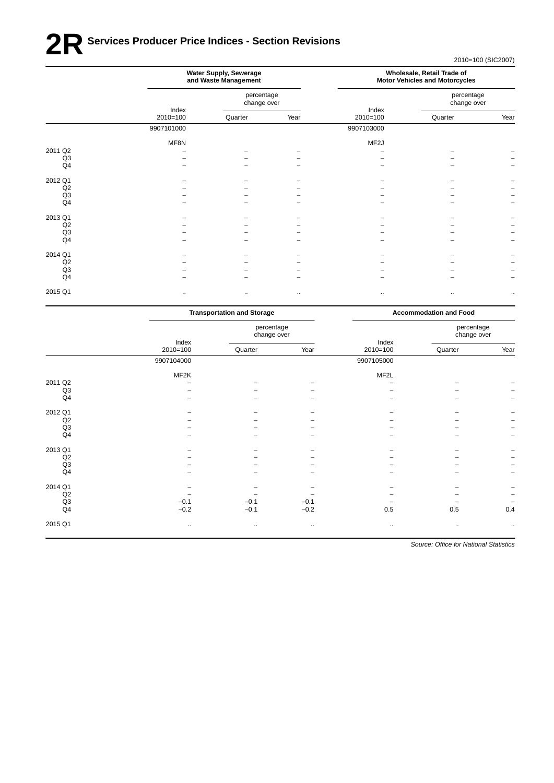## **2R** Services Producer Price Indices - Section Revisions

2010=100 (SIC2007)

|                | Water Supply, Sewerage<br>and Waste Management |                           |              | Wholesale, Retail Trade of<br><b>Motor Vehicles and Motorcycles</b> |                           |                      |
|----------------|------------------------------------------------|---------------------------|--------------|---------------------------------------------------------------------|---------------------------|----------------------|
|                |                                                | percentage<br>change over |              |                                                                     | percentage<br>change over |                      |
|                | Index<br>$2010=100$                            | Quarter                   | Year         | Index<br>$2010=100$                                                 | Quarter                   | Year                 |
|                | 9907101000                                     |                           |              | 9907103000                                                          |                           |                      |
|                | MF8N                                           |                           |              | MF <sub>2</sub> J                                                   |                           |                      |
| 2011 Q2        |                                                |                           |              |                                                                     |                           |                      |
| Q3             |                                                |                           |              |                                                                     |                           |                      |
| Q <sub>4</sub> |                                                |                           |              |                                                                     |                           |                      |
| 2012 Q1        |                                                |                           |              |                                                                     |                           |                      |
| Q2             |                                                |                           |              |                                                                     |                           |                      |
| Q3             |                                                |                           |              |                                                                     |                           |                      |
| Q <sub>4</sub> |                                                |                           |              |                                                                     |                           |                      |
| 2013 Q1        |                                                |                           |              |                                                                     |                           |                      |
| Q2             |                                                |                           |              |                                                                     |                           |                      |
| Q3             |                                                |                           |              |                                                                     |                           |                      |
| Q4             |                                                |                           |              |                                                                     |                           |                      |
| 2014 Q1        |                                                |                           |              |                                                                     |                           |                      |
| Q2             |                                                |                           |              |                                                                     |                           |                      |
| Q <sub>3</sub> |                                                |                           |              |                                                                     |                           |                      |
| Q <sub>4</sub> |                                                |                           |              |                                                                     |                           |                      |
| 2015 Q1        | $\ddotsc$                                      | $\cdot\cdot$              | $\cdot\cdot$ | $\cdot$ .                                                           | ٠.                        | $\ddot{\phantom{0}}$ |

|                | <b>Transportation and Storage</b> |                           |          | <b>Accommodation and Food</b> |                           |                   |
|----------------|-----------------------------------|---------------------------|----------|-------------------------------|---------------------------|-------------------|
|                | Index                             | percentage<br>change over |          | Index                         | percentage<br>change over |                   |
|                | $2010=100$                        | Quarter                   | Year     | $2010=100$                    | Quarter                   | Year              |
|                | 9907104000                        |                           |          | 9907105000                    |                           |                   |
|                | MF2K                              |                           |          | MF <sub>2</sub> L             |                           |                   |
| 2011 Q2        |                                   |                           |          |                               |                           |                   |
| Q <sub>3</sub> |                                   |                           |          |                               |                           |                   |
| Q <sub>4</sub> |                                   |                           |          |                               |                           |                   |
| 2012 Q1        |                                   |                           |          |                               |                           |                   |
| Q2             |                                   |                           |          |                               |                           |                   |
| Q3             |                                   |                           |          |                               |                           |                   |
| Q4             |                                   |                           |          |                               |                           |                   |
| 2013 Q1        |                                   |                           |          |                               |                           |                   |
| Q2             |                                   |                           |          |                               |                           |                   |
| Q3             |                                   |                           |          |                               |                           |                   |
| Q4             |                                   |                           |          |                               |                           | $\qquad \qquad -$ |
| 2014 Q1        |                                   |                           |          |                               |                           |                   |
| Q2             |                                   |                           |          |                               |                           |                   |
| Q <sub>3</sub> | $-0.1$                            | $-0.1$                    | $-0.1$   |                               |                           |                   |
| Q4             | $-0.2$                            | $-0.1$                    | $-0.2$   | 0.5                           | 0.5                       | 0.4               |
| 2015 Q1        | $\ldots$                          | $\ldots$                  | $\ldots$ | $\ldots$                      | $\ddotsc$                 | $\cdots$          |
|                |                                   |                           |          |                               |                           |                   |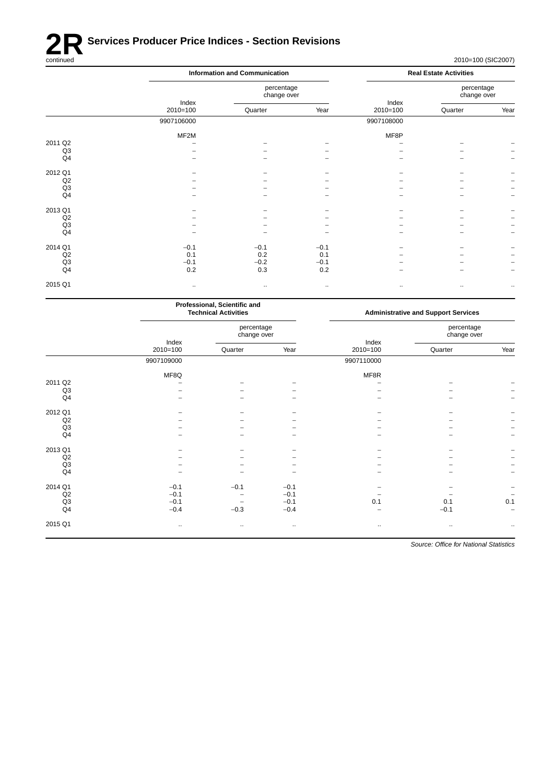

|                |                     | <b>Information and Communication</b> |        |                     | <b>Real Estate Activities</b> |                          |  |  |
|----------------|---------------------|--------------------------------------|--------|---------------------|-------------------------------|--------------------------|--|--|
|                |                     | percentage<br>change over            |        |                     | percentage<br>change over     |                          |  |  |
|                | Index<br>$2010=100$ | Quarter                              | Year   | Index<br>$2010=100$ | Quarter                       | Year                     |  |  |
|                | 9907106000          |                                      |        | 9907108000          |                               |                          |  |  |
|                | MF2M                |                                      |        | MF8P                |                               |                          |  |  |
| 2011 Q2        |                     |                                      |        |                     |                               |                          |  |  |
| Q <sub>3</sub> |                     |                                      |        |                     |                               |                          |  |  |
| Q4             |                     |                                      |        |                     |                               |                          |  |  |
| 2012 Q1        |                     |                                      |        |                     |                               |                          |  |  |
| Q2             |                     |                                      |        |                     |                               |                          |  |  |
| Q <sub>3</sub> |                     |                                      |        |                     |                               | $\overline{\phantom{a}}$ |  |  |
| Q4             |                     |                                      |        |                     |                               |                          |  |  |
| 2013 Q1        |                     |                                      |        |                     |                               |                          |  |  |
| Q2             |                     |                                      |        |                     |                               |                          |  |  |
| Q3             |                     |                                      |        |                     |                               | $\overline{\phantom{a}}$ |  |  |
| Q4             |                     |                                      |        |                     |                               | $\overline{\phantom{m}}$ |  |  |
| 2014 Q1        | $-0.1$              | $-0.1$                               | $-0.1$ |                     |                               |                          |  |  |
| Q2             | 0.1                 | 0.2                                  | 0.1    |                     |                               |                          |  |  |
| Q3             | $-0.1$              | $-0.2$                               | $-0.1$ |                     |                               | -                        |  |  |
| Q4             | 0.2                 | 0.3                                  | 0.2    |                     |                               | $\overline{\phantom{0}}$ |  |  |
| 2015 Q1        | $\sim$              | $\cdot$ .                            | $\sim$ | $\cdot\cdot$        | $\cdot\cdot$                  | $\ddotsc$                |  |  |
|                |                     |                                      |        |                     |                               |                          |  |  |

| <b>Administrative and Support Services</b> |                           |  |  |
|--------------------------------------------|---------------------------|--|--|
|                                            | percentage<br>change over |  |  |
| Quarter                                    | Year                      |  |  |
|                                            |                           |  |  |
|                                            |                           |  |  |
|                                            |                           |  |  |
|                                            |                           |  |  |
|                                            |                           |  |  |
|                                            |                           |  |  |
|                                            |                           |  |  |
|                                            |                           |  |  |
|                                            |                           |  |  |
|                                            |                           |  |  |
|                                            |                           |  |  |
|                                            |                           |  |  |
|                                            |                           |  |  |
|                                            |                           |  |  |
|                                            |                           |  |  |
| 0.1                                        | 0.1                       |  |  |
| $-0.1$                                     | $\overline{a}$            |  |  |
| $\ldots$                                   | $\ldots$                  |  |  |
|                                            |                           |  |  |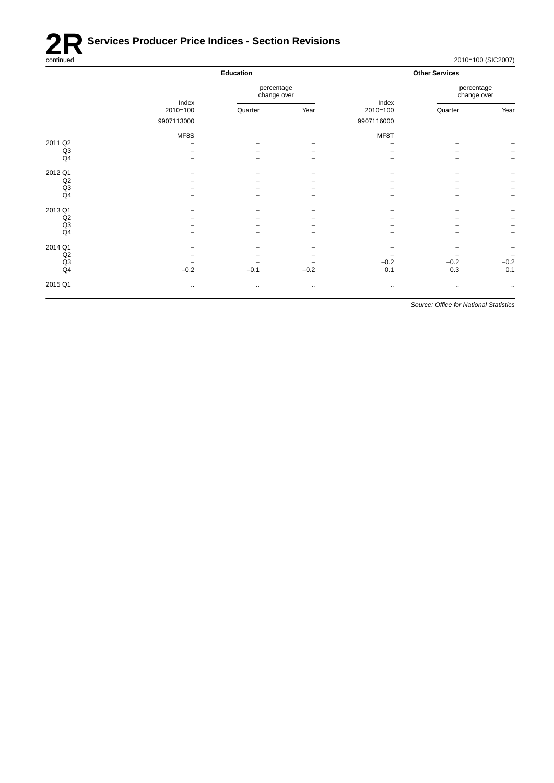

| Education                |                           |          |                     | <b>Other Services</b>     |                          |
|--------------------------|---------------------------|----------|---------------------|---------------------------|--------------------------|
|                          | percentage<br>change over |          |                     | percentage<br>change over |                          |
| $2010=100$               | Quarter                   | Year     | $2010=100$          | Quarter                   | Year                     |
| 9907113000               |                           |          | 9907116000          |                           |                          |
| MF8S                     |                           |          | MF8T                |                           |                          |
| $\overline{\phantom{a}}$ |                           |          | ۰                   | -                         |                          |
|                          |                           |          |                     |                           |                          |
|                          |                           |          |                     |                           | $\overline{\phantom{m}}$ |
|                          |                           |          |                     |                           |                          |
|                          |                           |          |                     |                           | $\overline{\phantom{m}}$ |
|                          |                           |          |                     |                           | $\overline{\phantom{m}}$ |
|                          |                           |          |                     |                           | $\overline{\phantom{m}}$ |
|                          |                           |          | -                   |                           |                          |
|                          |                           |          |                     |                           |                          |
|                          |                           |          |                     |                           | $\overline{\phantom{0}}$ |
|                          |                           |          |                     |                           | $\overline{\phantom{m}}$ |
| -                        |                           |          |                     |                           | $\qquad \qquad -$        |
|                          |                           |          |                     |                           | $\overline{\phantom{m}}$ |
|                          |                           |          |                     |                           | $-0.2$                   |
| $-0.2$                   | $-0.1$                    | $-0.2$   | 0.1                 | 0.3                       | 0.1                      |
| $\ldots$                 | $\cdot$ .                 | $\cdots$ | $\bullet$ $\bullet$ | $\cdots$                  | $\cdot$ .                |
|                          | Index                     |          |                     | Index<br>$-0.2$           | $-0.2$                   |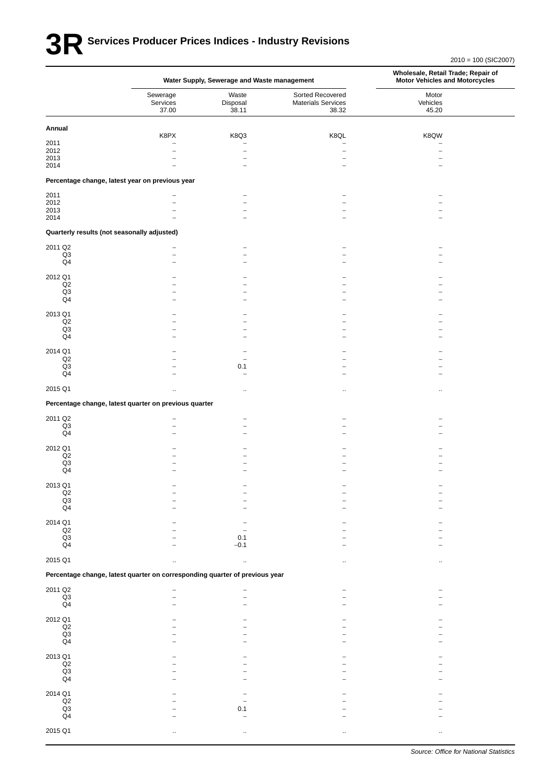## **3RSer vices Producer Prices Indices - Industry Revisions**

|                                 |                                                                             | Water Supply, Sewerage and Waste management |                                                        | Wholesale, Retail Trade; Repair of<br><b>Motor Vehicles and Motorcycles</b> |
|---------------------------------|-----------------------------------------------------------------------------|---------------------------------------------|--------------------------------------------------------|-----------------------------------------------------------------------------|
|                                 | Sewerage<br>Services<br>37.00                                               | Waste<br>Disposal<br>38.11                  | Sorted Recovered<br><b>Materials Services</b><br>38.32 | Motor<br>Vehicles<br>45.20                                                  |
| Annual                          |                                                                             |                                             |                                                        |                                                                             |
| 2011                            | K8PX<br>$\overline{\phantom{0}}$                                            | K8Q3<br>$\overline{\phantom{0}}$            | K8QL<br>$\overline{\phantom{0}}$                       | K8QW<br>-                                                                   |
| 2012                            |                                                                             | ÷                                           | -                                                      |                                                                             |
| 2013<br>2014                    |                                                                             | $\overline{a}$<br>$\overline{\phantom{0}}$  |                                                        |                                                                             |
|                                 | Percentage change, latest year on previous year                             |                                             |                                                        |                                                                             |
| 2011                            |                                                                             |                                             |                                                        |                                                                             |
| 2012                            |                                                                             |                                             |                                                        |                                                                             |
| 2013<br>2014                    |                                                                             | $\overline{\phantom{0}}$                    |                                                        |                                                                             |
|                                 | Quarterly results (not seasonally adjusted)                                 |                                             |                                                        |                                                                             |
|                                 |                                                                             |                                             |                                                        |                                                                             |
| 2011 Q2<br>Q3                   |                                                                             | ۰                                           |                                                        |                                                                             |
| Q4                              |                                                                             |                                             |                                                        |                                                                             |
| 2012 Q1                         |                                                                             |                                             |                                                        |                                                                             |
| Q2                              |                                                                             | ۳                                           |                                                        |                                                                             |
| Q3<br>$\mathsf{Q4}$             |                                                                             | $\overline{\phantom{0}}$                    | -                                                      |                                                                             |
|                                 |                                                                             |                                             |                                                        |                                                                             |
| 2013 Q1<br>Q <sub>2</sub>       |                                                                             |                                             |                                                        |                                                                             |
| Q3                              |                                                                             |                                             |                                                        |                                                                             |
| Q4                              |                                                                             |                                             |                                                        |                                                                             |
| 2014 Q1                         |                                                                             |                                             |                                                        |                                                                             |
| $_{\mathsf{Q2}}$<br>Q3          |                                                                             | 0.1                                         |                                                        |                                                                             |
| Q4                              |                                                                             | $\overline{\phantom{0}}$                    |                                                        |                                                                             |
| 2015 Q1                         | $\ddot{\phantom{a}}$                                                        | $\ddot{\phantom{1}}$                        | ٠.                                                     |                                                                             |
|                                 | Percentage change, latest quarter on previous quarter                       |                                             |                                                        |                                                                             |
|                                 |                                                                             |                                             |                                                        |                                                                             |
| 2011 Q2<br>Q3                   |                                                                             |                                             |                                                        |                                                                             |
| $\mathsf{Q4}$                   |                                                                             |                                             |                                                        |                                                                             |
| 2012 Q1                         |                                                                             |                                             |                                                        |                                                                             |
| Q2                              |                                                                             |                                             |                                                        |                                                                             |
| Q3<br>Q4                        |                                                                             |                                             |                                                        |                                                                             |
|                                 |                                                                             |                                             |                                                        |                                                                             |
| 2013 Q1<br>Q2                   |                                                                             |                                             |                                                        |                                                                             |
| $\frac{Q3}{Q4}$                 |                                                                             |                                             |                                                        |                                                                             |
|                                 |                                                                             |                                             |                                                        |                                                                             |
| 2014 Q1                         |                                                                             |                                             |                                                        |                                                                             |
| $\mathsf{Q2}$<br>$\mathsf{Q3}$  |                                                                             | 0.1                                         |                                                        |                                                                             |
| Q <sub>4</sub>                  |                                                                             | $-0.1$                                      |                                                        |                                                                             |
| 2015 Q1                         |                                                                             |                                             |                                                        |                                                                             |
|                                 | Percentage change, latest quarter on corresponding quarter of previous year |                                             |                                                        |                                                                             |
|                                 |                                                                             |                                             |                                                        |                                                                             |
| 2011 Q2<br>$_{\mathsf{Q3}}$     |                                                                             |                                             |                                                        |                                                                             |
| Q <sub>4</sub>                  |                                                                             |                                             |                                                        |                                                                             |
| 2012 Q1                         |                                                                             |                                             |                                                        |                                                                             |
| $_{\mathsf{Q2}}$                |                                                                             |                                             |                                                        |                                                                             |
| $\frac{Q3}{Q4}$                 |                                                                             |                                             |                                                        |                                                                             |
|                                 |                                                                             |                                             |                                                        |                                                                             |
| 2013 Q1<br>$\mathsf{Q2}$        |                                                                             |                                             |                                                        |                                                                             |
| $\mathsf{Q3}$                   |                                                                             |                                             |                                                        |                                                                             |
| Q <sub>4</sub>                  |                                                                             |                                             |                                                        |                                                                             |
| 2014 Q1                         |                                                                             |                                             |                                                        |                                                                             |
| $\mathsf{Q2}$                   |                                                                             |                                             |                                                        |                                                                             |
| $\mathsf{Q3}$<br>Q <sub>4</sub> |                                                                             | 0.1                                         |                                                        |                                                                             |
|                                 |                                                                             |                                             |                                                        |                                                                             |
| 2015 Q1                         |                                                                             |                                             |                                                        |                                                                             |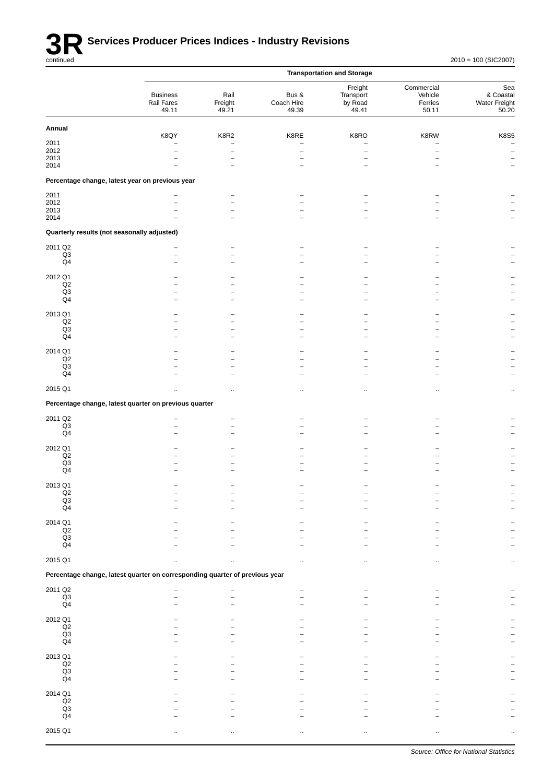

|                                             |                                                                             |                          |                              | <b>Transportation and Storage</b>        |                                           |                                            |
|---------------------------------------------|-----------------------------------------------------------------------------|--------------------------|------------------------------|------------------------------------------|-------------------------------------------|--------------------------------------------|
|                                             | <b>Business</b><br>Rail Fares<br>49.11                                      | Rail<br>Freight<br>49.21 | Bus &<br>Coach Hire<br>49.39 | Freight<br>Transport<br>by Road<br>49.41 | Commercial<br>Vehicle<br>Ferries<br>50.11 | Sea<br>& Coastal<br>Water Freight<br>50.20 |
| Annual                                      |                                                                             |                          |                              |                                          |                                           |                                            |
| 2011                                        | K8QY                                                                        | K8R2<br>$\overline{a}$   | K8RE                         | K8RO                                     | K8RW                                      | <b>K8S5</b>                                |
| 2012<br>2013                                | $\overline{\phantom{0}}$                                                    | $\overline{\phantom{0}}$ |                              | $\overline{\phantom{0}}$                 |                                           | $\qquad \qquad -$<br>$\qquad \qquad -$     |
| 2014                                        |                                                                             |                          |                              |                                          |                                           | $\overline{\phantom{m}}$                   |
|                                             | Percentage change, latest year on previous year                             |                          |                              |                                          |                                           |                                            |
| 2011                                        |                                                                             | $\overline{a}$           |                              |                                          |                                           |                                            |
| 2012<br>2013                                |                                                                             | $\overline{\phantom{0}}$ |                              |                                          |                                           |                                            |
| 2014                                        |                                                                             | $\overline{\phantom{0}}$ |                              |                                          |                                           |                                            |
| Quarterly results (not seasonally adjusted) |                                                                             |                          |                              |                                          |                                           |                                            |
| 2011 Q2<br>Q3                               | $\overline{\phantom{0}}$                                                    | $\overline{\phantom{a}}$ |                              |                                          |                                           |                                            |
| Q4                                          |                                                                             |                          |                              |                                          |                                           |                                            |
| 2012 Q1                                     |                                                                             |                          |                              |                                          |                                           |                                            |
| Q2<br>Q3                                    |                                                                             |                          |                              |                                          |                                           |                                            |
| Q4                                          |                                                                             | $\overline{\phantom{a}}$ |                              |                                          |                                           | $\overline{\phantom{0}}$                   |
| 2013 Q1                                     |                                                                             |                          |                              |                                          |                                           |                                            |
| Q2<br>Q3                                    |                                                                             | $\equiv$                 |                              |                                          |                                           |                                            |
| Q <sub>4</sub>                              |                                                                             |                          |                              |                                          |                                           |                                            |
| 2014 Q1<br>Q2                               |                                                                             |                          |                              |                                          |                                           |                                            |
| $_{\rm Q3}$<br>Q <sub>4</sub>               |                                                                             | $\equiv$                 |                              |                                          |                                           |                                            |
|                                             |                                                                             |                          |                              |                                          |                                           |                                            |
| 2015 Q1                                     |                                                                             |                          |                              |                                          |                                           |                                            |
|                                             | Percentage change, latest quarter on previous quarter                       |                          |                              |                                          |                                           |                                            |
| 2011 Q2<br>Q3                               |                                                                             | -                        |                              |                                          |                                           |                                            |
| Q <sub>4</sub>                              |                                                                             | $\overline{\phantom{0}}$ |                              |                                          |                                           |                                            |
| 2012 Q1                                     |                                                                             |                          |                              |                                          |                                           |                                            |
| Q2<br>$_{\rm Q3}$                           |                                                                             |                          |                              |                                          |                                           |                                            |
| Q <sub>4</sub>                              |                                                                             |                          |                              |                                          |                                           |                                            |
| 2013 Q1<br>Q2                               |                                                                             |                          |                              |                                          |                                           |                                            |
| $\frac{Q3}{Q4}$                             |                                                                             |                          |                              |                                          |                                           |                                            |
|                                             |                                                                             |                          |                              |                                          |                                           |                                            |
| 2014 Q1<br>$_{\mathsf{Q2}}$                 |                                                                             |                          |                              |                                          |                                           |                                            |
| Q3<br>Q <sub>4</sub>                        |                                                                             |                          |                              |                                          |                                           |                                            |
|                                             |                                                                             |                          |                              |                                          |                                           |                                            |
| 2015 Q1                                     |                                                                             |                          |                              |                                          |                                           |                                            |
|                                             | Percentage change, latest quarter on corresponding quarter of previous year |                          |                              |                                          |                                           |                                            |
| 2011 Q2<br>$_{\mathsf{Q3}}$                 |                                                                             |                          |                              |                                          |                                           |                                            |
| Q <sub>4</sub>                              |                                                                             |                          |                              |                                          |                                           |                                            |
| 2012 Q1                                     |                                                                             |                          |                              |                                          |                                           |                                            |
| Q2<br>$\frac{Q3}{Q4}$                       |                                                                             |                          |                              |                                          |                                           |                                            |
|                                             |                                                                             |                          |                              |                                          |                                           |                                            |
| 2013 Q1<br>$_{\mathsf{Q2}}$                 |                                                                             |                          |                              |                                          |                                           |                                            |
| Q3                                          |                                                                             |                          |                              |                                          |                                           |                                            |
| Q <sub>4</sub>                              |                                                                             |                          |                              |                                          |                                           |                                            |
| 2014 Q1<br>$_{\mathsf{Q2}}$                 |                                                                             |                          |                              |                                          |                                           |                                            |
| $_{\mathsf{Q3}}$<br>Q <sub>4</sub>          |                                                                             |                          |                              |                                          |                                           |                                            |
| 2015 Q1                                     |                                                                             |                          |                              |                                          |                                           |                                            |
|                                             |                                                                             |                          |                              |                                          |                                           |                                            |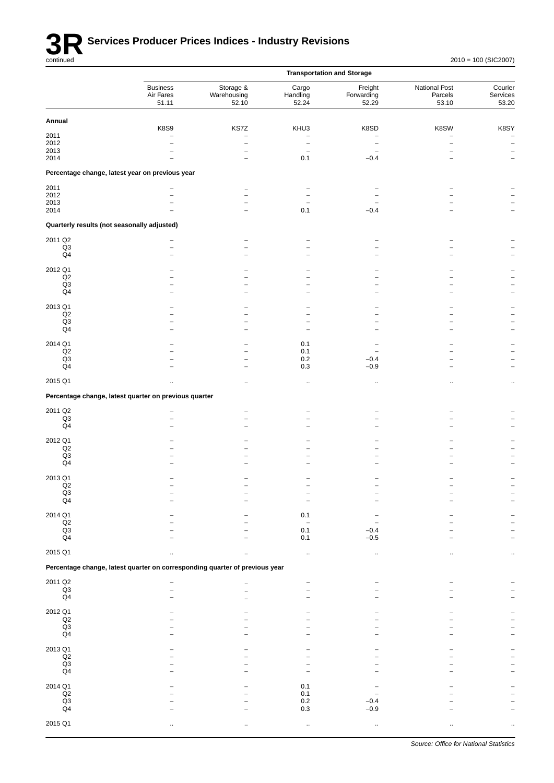

|                                                                             |                                       |                                                                                     |                                                           | <b>Transportation and Storage</b> |                                   |                                       |
|-----------------------------------------------------------------------------|---------------------------------------|-------------------------------------------------------------------------------------|-----------------------------------------------------------|-----------------------------------|-----------------------------------|---------------------------------------|
|                                                                             | <b>Business</b><br>Air Fares<br>51.11 | Storage &<br>Warehousing<br>52.10                                                   | Cargo<br>Handling<br>52.24                                | Freight<br>Forwarding<br>52.29    | National Post<br>Parcels<br>53.10 | Courier<br>Services<br>53.20          |
| Annual                                                                      |                                       |                                                                                     |                                                           |                                   |                                   |                                       |
| 2011<br>2012<br>2013<br>2014                                                | <b>K8S9</b>                           | KS7Z<br>$\overline{\phantom{0}}$<br>$\overline{a}$<br>-<br>$\overline{\phantom{0}}$ | KHU3<br>$\overline{a}$<br>$\overline{\phantom{0}}$<br>0.1 | K8SD<br>-<br>$-0.4$               | K8SW                              | K8SY<br>$\overline{\phantom{0}}$<br>- |
| Percentage change, latest year on previous year                             |                                       |                                                                                     |                                                           |                                   |                                   |                                       |
| 2011<br>2012<br>2013<br>2014                                                | $\overline{a}$                        |                                                                                     | 0.1                                                       | $-0.4$                            |                                   |                                       |
| Quarterly results (not seasonally adjusted)                                 |                                       |                                                                                     |                                                           |                                   |                                   |                                       |
| 2011 Q2<br>Q3<br>Q <sub>4</sub>                                             |                                       | -                                                                                   |                                                           |                                   |                                   |                                       |
| 2012 Q1<br>Q2<br>Q3<br>Q4                                                   |                                       |                                                                                     | $\overline{\phantom{0}}$                                  |                                   |                                   |                                       |
| 2013 Q1<br>Q2<br>Q3<br>Q4                                                   |                                       |                                                                                     |                                                           |                                   |                                   |                                       |
| 2014 Q1<br>$_{\mathsf{Q2}}$<br>Q <sub>3</sub><br>Q <sub>4</sub>             |                                       | -                                                                                   | 0.1<br>0.1<br>0.2<br>0.3                                  | $-0.4$<br>$-0.9$                  |                                   |                                       |
| 2015 Q1                                                                     |                                       | $\ddotsc$                                                                           | $\cdot$                                                   | $\ddot{\phantom{0}}$              |                                   | $\cdot$ .                             |
| Percentage change, latest quarter on previous quarter                       |                                       |                                                                                     |                                                           |                                   |                                   |                                       |
| 2011 Q2<br>Q3<br>Q4                                                         | -                                     |                                                                                     |                                                           |                                   |                                   |                                       |
| 2012 Q1<br>$_{\mathsf{Q2}}$<br>$\mathsf{Q3}$<br>Q <sub>4</sub>              |                                       |                                                                                     |                                                           |                                   |                                   |                                       |
| 2013 Q1<br>Q2<br>Q3<br>Q <sub>4</sub>                                       |                                       |                                                                                     |                                                           |                                   |                                   |                                       |
| 2014 Q1<br>Q2<br>Q3<br>Q4                                                   |                                       |                                                                                     | 0.1<br>0.1<br>0.1                                         | $-0.4$<br>$-0.5$                  |                                   |                                       |
| 2015 Q1                                                                     |                                       |                                                                                     |                                                           |                                   |                                   |                                       |
| Percentage change, latest quarter on corresponding quarter of previous year |                                       |                                                                                     |                                                           |                                   |                                   |                                       |
| 2011 Q2<br>$\mathsf{Q3}$<br>Q <sub>4</sub>                                  |                                       |                                                                                     |                                                           |                                   |                                   |                                       |
| 2012 Q1<br>$_{\mathsf{Q2}}$<br>$\mathsf{Q3}$<br>Q <sub>4</sub>              |                                       |                                                                                     |                                                           |                                   |                                   |                                       |
| 2013 Q1<br>Q2<br>Q3<br>Q4                                                   |                                       |                                                                                     |                                                           |                                   |                                   |                                       |
| 2014 Q1<br>$_{\mathsf{Q2}}$<br>$\mathsf{Q3}$<br>Q <sub>4</sub>              |                                       |                                                                                     | 0.1<br>0.1<br>0.2<br>0.3                                  | $-0.4$<br>$-0.9$                  |                                   |                                       |
| 2015 Q1                                                                     |                                       |                                                                                     |                                                           | $\ddotsc$                         |                                   |                                       |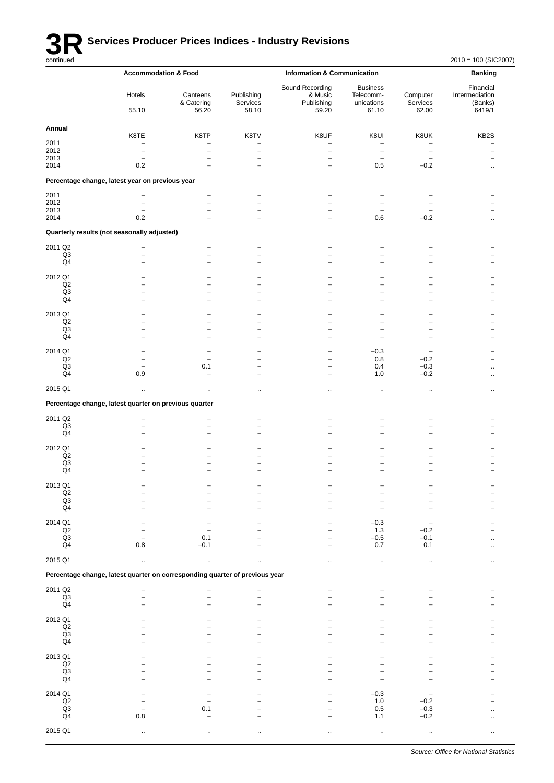

# **3R** Services Producer Prices Indices - Industry Revisions<br>
continued

|                             | <b>Accommodation &amp; Food</b>                                             |                                  |                                 | <b>Information &amp; Communication</b>               |                                                     |                               | <b>Banking</b>                                   |
|-----------------------------|-----------------------------------------------------------------------------|----------------------------------|---------------------------------|------------------------------------------------------|-----------------------------------------------------|-------------------------------|--------------------------------------------------|
|                             | Hotels<br>55.10                                                             | Canteens<br>& Catering<br>56.20  | Publishing<br>Services<br>58.10 | Sound Recording<br>& Music<br>Publishing<br>59.20    | <b>Business</b><br>Telecomm-<br>unications<br>61.10 | Computer<br>Services<br>62.00 | Financial<br>Intermediation<br>(Banks)<br>6419/1 |
| Annual                      |                                                                             |                                  |                                 |                                                      |                                                     |                               |                                                  |
| 2011                        | K8TE<br>$\overline{\phantom{a}}$                                            | K8TP<br>$\overline{\phantom{0}}$ | K8TV<br>۳                       | K8UF<br>۳                                            | K8UI<br>$\overline{\phantom{a}}$                    | K8UK<br>$\overline{a}$        | KB <sub>2</sub> S                                |
| 2012                        | $\overline{\phantom{0}}$                                                    | $\overline{\phantom{0}}$         | $\overline{\phantom{0}}$        | $\overline{\phantom{0}}$                             | $\overline{\phantom{0}}$                            | $\overline{\phantom{0}}$      |                                                  |
| 2013                        | $\overline{\phantom{a}}$                                                    | ۰                                | $\overline{\phantom{0}}$        | $\overline{\phantom{0}}$                             | $\overline{\phantom{0}}$                            | $\overline{a}$                |                                                  |
| 2014                        | 0.2                                                                         |                                  |                                 | $\overline{\phantom{0}}$                             | 0.5                                                 | $-0.2$                        |                                                  |
|                             | Percentage change, latest year on previous year                             |                                  |                                 |                                                      |                                                     |                               |                                                  |
| 2011                        | -                                                                           | $\overline{\phantom{0}}$         |                                 |                                                      |                                                     |                               |                                                  |
| 2012                        | $\overline{\phantom{0}}$                                                    | $\overline{\phantom{0}}$         | ۰                               | -                                                    |                                                     |                               |                                                  |
| 2013<br>2014                | 0.2                                                                         |                                  |                                 | $\overline{\phantom{0}}$                             | 0.6                                                 | $-0.2$                        |                                                  |
|                             | Quarterly results (not seasonally adjusted)                                 |                                  |                                 |                                                      |                                                     |                               |                                                  |
| 2011 Q2                     |                                                                             | $\overline{\phantom{0}}$         |                                 | $\overline{\phantom{0}}$                             |                                                     |                               |                                                  |
| Q3                          |                                                                             |                                  |                                 |                                                      |                                                     |                               |                                                  |
| Q4                          | $\overline{a}$                                                              | $\overline{\phantom{0}}$         | -                               | -                                                    | $\overline{a}$                                      | -                             |                                                  |
| 2012 Q1                     |                                                                             |                                  |                                 |                                                      |                                                     |                               |                                                  |
| Q2<br>Q <sub>3</sub>        | -<br>$\overline{\phantom{a}}$                                               |                                  | -<br>۰                          | $\overline{\phantom{0}}$<br>-                        | -<br>۰                                              | -<br>-                        |                                                  |
| Q4                          |                                                                             |                                  |                                 |                                                      |                                                     |                               |                                                  |
| 2013 Q1                     |                                                                             |                                  |                                 |                                                      |                                                     | ۰                             |                                                  |
| Q2                          |                                                                             |                                  |                                 |                                                      |                                                     |                               |                                                  |
| Q3<br>Q4                    | $\overline{\phantom{0}}$<br>۰                                               | $\overline{\phantom{0}}$<br>۰    | ۰                               | $\overline{\phantom{0}}$<br>$\overline{\phantom{0}}$ |                                                     | -                             |                                                  |
|                             |                                                                             |                                  |                                 |                                                      |                                                     |                               |                                                  |
| 2014 Q1<br>Q2               |                                                                             | $\overline{\phantom{a}}$         |                                 | $\overline{\phantom{0}}$<br>$\overline{\phantom{0}}$ | $-0.3$<br>0.8                                       | $-0.2$                        |                                                  |
| Q <sub>3</sub>              |                                                                             | 0.1                              |                                 | $\overline{\phantom{0}}$                             | 0.4                                                 | $-0.3$                        |                                                  |
| Q4                          | 0.9                                                                         | -                                | $\overline{\phantom{0}}$        | $\overline{\phantom{0}}$                             | 1.0                                                 | $-0.2$                        |                                                  |
| 2015 Q1                     | $\ddot{\phantom{a}}$                                                        | $\ddotsc$                        |                                 | $\ddot{\phantom{0}}$                                 | $\cdot$                                             | $\cdot$ .                     |                                                  |
|                             | Percentage change, latest quarter on previous quarter                       |                                  |                                 |                                                      |                                                     |                               |                                                  |
| 2011 Q2                     |                                                                             |                                  |                                 |                                                      |                                                     |                               |                                                  |
| Q3                          |                                                                             |                                  | ۰                               |                                                      |                                                     |                               |                                                  |
| Q4                          |                                                                             |                                  |                                 |                                                      |                                                     |                               |                                                  |
| 2012 Q1                     |                                                                             |                                  |                                 |                                                      |                                                     |                               |                                                  |
| Q2<br>Q3                    | $\overline{\phantom{0}}$                                                    |                                  |                                 | $\overline{\phantom{0}}$                             |                                                     | $\overline{\phantom{0}}$      |                                                  |
| Q4                          |                                                                             |                                  |                                 |                                                      |                                                     |                               |                                                  |
| 2013 Q1                     |                                                                             |                                  |                                 |                                                      |                                                     |                               |                                                  |
| $\mathsf{Q2}$               |                                                                             |                                  |                                 |                                                      |                                                     |                               |                                                  |
| Q3<br>Q4                    |                                                                             |                                  |                                 |                                                      |                                                     |                               |                                                  |
|                             |                                                                             |                                  |                                 |                                                      |                                                     |                               |                                                  |
| 2014 Q1<br>$_{\mathsf{Q2}}$ |                                                                             |                                  |                                 |                                                      | $-0.3$<br>1.3                                       | $-0.2$                        |                                                  |
| $_{\rm Q3}$                 |                                                                             | 0.1                              |                                 |                                                      | $-0.5$                                              | $-0.1$                        |                                                  |
| Q4                          | $0.8\,$                                                                     | $-0.1$                           |                                 |                                                      | 0.7                                                 | 0.1                           |                                                  |
| 2015 Q1                     | $\ddot{\phantom{a}}$                                                        | $\mathbf{a}$                     |                                 | $\ddot{\phantom{a}}$                                 |                                                     |                               |                                                  |
|                             | Percentage change, latest quarter on corresponding quarter of previous year |                                  |                                 |                                                      |                                                     |                               |                                                  |
| 2011 Q2                     |                                                                             |                                  |                                 |                                                      |                                                     |                               |                                                  |
| Q3                          |                                                                             |                                  |                                 |                                                      |                                                     |                               |                                                  |
| Q <sub>4</sub>              |                                                                             |                                  |                                 |                                                      |                                                     |                               |                                                  |
| 2012 Q1                     |                                                                             |                                  |                                 |                                                      |                                                     |                               |                                                  |
| Q2<br>Q3                    |                                                                             |                                  |                                 |                                                      |                                                     |                               |                                                  |
| Q4                          |                                                                             |                                  |                                 |                                                      |                                                     |                               |                                                  |
|                             |                                                                             |                                  |                                 |                                                      |                                                     |                               |                                                  |
| 2013 Q1<br>Q2               |                                                                             |                                  |                                 |                                                      |                                                     |                               |                                                  |
| Q3                          |                                                                             |                                  |                                 |                                                      |                                                     |                               |                                                  |
| Q4                          |                                                                             |                                  |                                 |                                                      |                                                     |                               |                                                  |
| 2014 Q1                     |                                                                             |                                  |                                 |                                                      | $-0.3$                                              |                               |                                                  |
| Q2<br>Q <sub>3</sub>        |                                                                             | 0.1                              |                                 |                                                      | $1.0$<br>0.5                                        | $-0.2$<br>$-0.3$              |                                                  |
| Q4                          | 0.8                                                                         |                                  |                                 |                                                      | 1.1                                                 | $-0.2$                        |                                                  |
| 2015 Q1                     |                                                                             |                                  |                                 |                                                      |                                                     |                               |                                                  |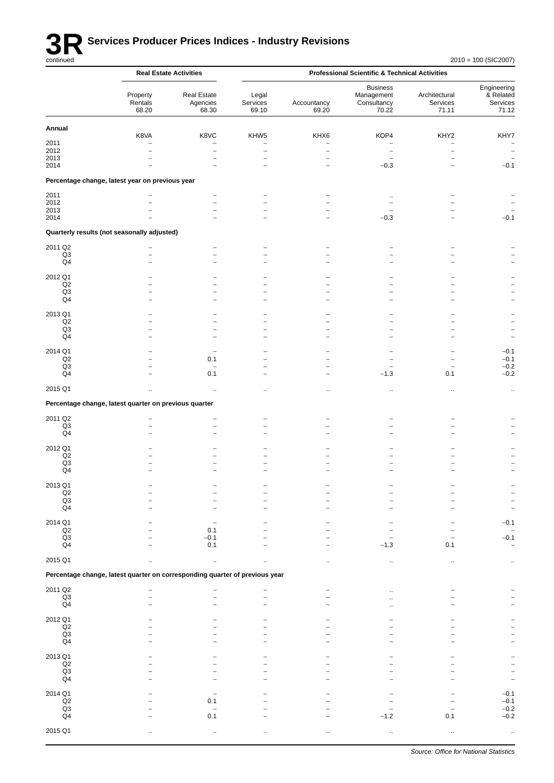

|                                 |                                                                             | <b>Real Estate Activities</b>                        |                                                      |                                  | <b>Professional Scientific &amp; Technical Activities</b> |                                    |                                               |
|---------------------------------|-----------------------------------------------------------------------------|------------------------------------------------------|------------------------------------------------------|----------------------------------|-----------------------------------------------------------|------------------------------------|-----------------------------------------------|
|                                 | Property<br>Rentals<br>68.20                                                | <b>Real Estate</b><br>Agencies<br>68.30              | Legal<br>Services<br>69.10                           | Accountancy<br>69.20             | <b>Business</b><br>Management<br>Consultancy<br>70.22     | Architectural<br>Services<br>71.11 | Engineering<br>& Related<br>Services<br>71.12 |
| Annual                          |                                                                             |                                                      |                                                      |                                  |                                                           |                                    |                                               |
| 2011                            | K8VA                                                                        | K8VC<br>$\overline{\phantom{0}}$                     | KHW5<br>$\overline{\phantom{0}}$                     | KHX6<br>$\overline{\phantom{0}}$ | KOP4<br>$\overline{a}$                                    | KHY2<br>$\overline{a}$             | KHY7<br>$\overline{\phantom{a}}$              |
| 2012                            | $\overline{\phantom{0}}$                                                    | $\overline{a}$                                       | $\qquad \qquad -$                                    | $\overline{\phantom{0}}$         | $\overline{\phantom{m}}$                                  | $\overline{a}$                     | $\overline{\phantom{a}}$                      |
| 2013<br>2014                    |                                                                             | $\overline{\phantom{0}}$                             | $\bar{\phantom{a}}$<br>$\overline{a}$                | $\overline{\phantom{0}}$<br>۳    | $\qquad \qquad -$<br>$-0.3$                               | ۳<br>۳                             | $\qquad \qquad -$<br>$-0.1$                   |
|                                 |                                                                             |                                                      |                                                      |                                  |                                                           |                                    |                                               |
|                                 | Percentage change, latest year on previous year                             |                                                      |                                                      |                                  |                                                           |                                    |                                               |
| 2011<br>2012                    |                                                                             | $\overline{\phantom{0}}$<br>$\overline{\phantom{0}}$ | $\overline{\phantom{0}}$                             |                                  | $\ldots$<br>$\overline{a}$                                |                                    |                                               |
| 2013                            |                                                                             | $\overline{\phantom{0}}$                             | $\overline{a}$                                       |                                  |                                                           |                                    |                                               |
| 2014                            |                                                                             |                                                      | $\overline{\phantom{0}}$                             |                                  | $-0.3$                                                    |                                    | $-0.1$                                        |
|                                 | Quarterly results (not seasonally adjusted)                                 |                                                      |                                                      |                                  |                                                           |                                    |                                               |
| 2011 Q2                         |                                                                             |                                                      | $\overline{\phantom{0}}$                             |                                  |                                                           |                                    |                                               |
| Q3<br>Q <sub>4</sub>            | $\overline{\phantom{0}}$                                                    | $\overline{\phantom{0}}$<br>$\overline{\phantom{0}}$ | $\overline{a}$<br>-                                  |                                  |                                                           |                                    |                                               |
|                                 |                                                                             |                                                      |                                                      |                                  |                                                           |                                    |                                               |
| 2012 Q1                         |                                                                             |                                                      |                                                      |                                  |                                                           |                                    |                                               |
| Q2<br>Q <sub>3</sub>            |                                                                             | $\overline{\phantom{0}}$<br>$\overline{\phantom{0}}$ | $\overline{\phantom{0}}$<br>$\overline{\phantom{0}}$ |                                  | -                                                         |                                    |                                               |
| Q <sub>4</sub>                  |                                                                             | $\overline{\phantom{0}}$                             | -                                                    |                                  |                                                           |                                    | ÷,                                            |
| 2013 Q1                         |                                                                             |                                                      |                                                      |                                  |                                                           |                                    |                                               |
| Q2                              |                                                                             | $\overline{\phantom{0}}$                             | -                                                    |                                  |                                                           |                                    |                                               |
| Q <sub>3</sub>                  |                                                                             | $\overline{\phantom{0}}$                             | $\overline{\phantom{0}}$                             |                                  | $\overline{\phantom{0}}$                                  |                                    | -                                             |
| Q4                              |                                                                             | $\overline{\phantom{0}}$                             | $\overline{\phantom{0}}$                             |                                  |                                                           |                                    | $\overline{\phantom{0}}$                      |
| 2014 Q1                         |                                                                             |                                                      |                                                      |                                  |                                                           |                                    | $-0.1$                                        |
| Q2<br>Q3                        |                                                                             | 0.1<br>$\overline{a}$                                | $\overline{\phantom{0}}$<br>-                        | ۳                                | $\overline{\phantom{0}}$                                  |                                    | $-0.1$<br>$-0.2$                              |
| Q <sub>4</sub>                  |                                                                             | 0.1                                                  | $\overline{\phantom{0}}$                             | ۰                                | $-1.3$                                                    | 0.1                                | $-0.2$                                        |
| 2015 Q1                         |                                                                             | $\ddot{\phantom{a}}$                                 |                                                      | $\cdot$ .                        | $\ddotsc$                                                 | $\ddot{\phantom{0}}$               | $\ddot{\phantom{1}}$                          |
|                                 | Percentage change, latest quarter on previous quarter                       |                                                      |                                                      |                                  |                                                           |                                    |                                               |
|                                 |                                                                             |                                                      |                                                      |                                  |                                                           |                                    |                                               |
| 2011 Q2<br>Q3                   |                                                                             | -<br>-                                               | $\overline{\phantom{0}}$<br>-                        |                                  |                                                           |                                    |                                               |
| Q <sub>4</sub>                  |                                                                             | $\overline{\phantom{0}}$                             | $\overline{\phantom{0}}$                             |                                  |                                                           |                                    |                                               |
|                                 |                                                                             |                                                      |                                                      |                                  |                                                           |                                    |                                               |
| 2012 Q1<br>Q2                   |                                                                             |                                                      | -                                                    |                                  |                                                           |                                    |                                               |
| Q <sub>3</sub>                  |                                                                             | $\overline{\phantom{0}}$                             | $\overline{\phantom{0}}$                             |                                  |                                                           |                                    |                                               |
| Q4                              |                                                                             |                                                      |                                                      |                                  |                                                           |                                    |                                               |
| 2013 Q1                         |                                                                             |                                                      |                                                      |                                  |                                                           |                                    |                                               |
| Q2<br>$\mathsf{Q3}$             |                                                                             |                                                      |                                                      |                                  |                                                           |                                    |                                               |
| Q <sub>4</sub>                  |                                                                             |                                                      |                                                      |                                  |                                                           |                                    | $\overline{\phantom{0}}$                      |
|                                 |                                                                             |                                                      |                                                      |                                  |                                                           |                                    |                                               |
| 2014 Q1<br>Q2                   |                                                                             | 0.1                                                  |                                                      |                                  |                                                           |                                    | $-0.1$                                        |
| $\mathsf{Q3}$                   |                                                                             | $-0.1$                                               |                                                      |                                  |                                                           |                                    | $-0.1$                                        |
| Q <sub>4</sub>                  |                                                                             | 0.1                                                  |                                                      |                                  | $-1.3$                                                    | 0.1                                |                                               |
| 2015 Q1                         | ä.                                                                          | $\ldots$                                             | ä.                                                   | $\ddotsc$                        | $\ddotsc$                                                 |                                    | $\ddotsc$                                     |
|                                 | Percentage change, latest quarter on corresponding quarter of previous year |                                                      |                                                      |                                  |                                                           |                                    |                                               |
| 2011 Q2                         |                                                                             |                                                      |                                                      |                                  |                                                           |                                    |                                               |
| $\mathsf{Q3}$                   |                                                                             |                                                      |                                                      |                                  |                                                           |                                    |                                               |
| Q4                              |                                                                             |                                                      |                                                      |                                  |                                                           |                                    |                                               |
| 2012 Q1                         |                                                                             |                                                      |                                                      |                                  |                                                           |                                    |                                               |
| $\mathsf{Q2}$                   |                                                                             |                                                      |                                                      |                                  |                                                           |                                    |                                               |
| Q3<br>Q <sub>4</sub>            |                                                                             |                                                      |                                                      |                                  |                                                           |                                    |                                               |
|                                 |                                                                             |                                                      |                                                      |                                  |                                                           |                                    |                                               |
| 2013 Q1<br>Q2                   |                                                                             |                                                      |                                                      |                                  |                                                           |                                    |                                               |
| $\mathsf{Q3}$                   |                                                                             |                                                      |                                                      |                                  |                                                           |                                    |                                               |
| Q <sub>4</sub>                  |                                                                             |                                                      |                                                      |                                  |                                                           |                                    |                                               |
| 2014 Q1                         |                                                                             |                                                      |                                                      |                                  |                                                           |                                    | $-0.1$                                        |
| Q2                              |                                                                             | 0.1                                                  |                                                      |                                  |                                                           |                                    | $-0.1$                                        |
| $\mathsf{Q3}$<br>Q <sub>4</sub> |                                                                             | 0.1                                                  |                                                      |                                  | $-1.2$                                                    | 0.1                                | $-0.2$<br>$-0.2$                              |
|                                 |                                                                             |                                                      |                                                      |                                  |                                                           |                                    |                                               |
| 2015 Q1                         |                                                                             |                                                      |                                                      |                                  |                                                           |                                    |                                               |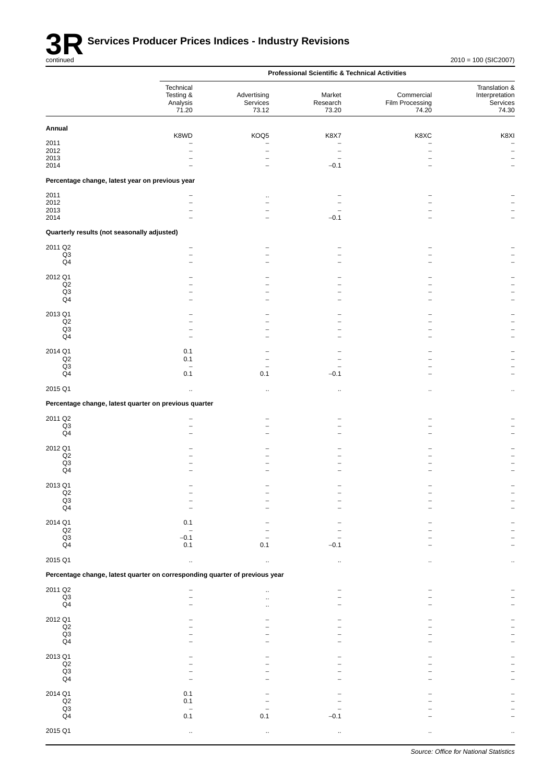|                                                 |                                                                             |                                  | <b>Professional Scientific &amp; Technical Activities</b> |                                        |                                                      |
|-------------------------------------------------|-----------------------------------------------------------------------------|----------------------------------|-----------------------------------------------------------|----------------------------------------|------------------------------------------------------|
|                                                 | Technical<br>Testing &<br>Analysis<br>71.20                                 | Advertising<br>Services<br>73.12 | Market<br>Research<br>73.20                               | Commercial<br>Film Processing<br>74.20 | Translation &<br>Interpretation<br>Services<br>74.30 |
| Annual                                          |                                                                             |                                  |                                                           |                                        |                                                      |
| 2011                                            | K8WD                                                                        | KOQ5                             | K8X7                                                      | K8XC                                   | K8XI<br>$\overline{\phantom{a}}$                     |
| 2012                                            |                                                                             | $\overline{\phantom{0}}$         | -                                                         | $\overline{\phantom{0}}$               |                                                      |
| 2013<br>2014                                    |                                                                             | $\overline{\phantom{0}}$         | $\overline{\phantom{0}}$<br>$-0.1$                        | ۳                                      |                                                      |
| Percentage change, latest year on previous year |                                                                             |                                  |                                                           |                                        |                                                      |
| 2011                                            |                                                                             | $\ddot{\phantom{a}}$             |                                                           |                                        |                                                      |
| 2012<br>2013                                    |                                                                             | $\overline{\phantom{0}}$         |                                                           |                                        |                                                      |
| 2014                                            |                                                                             | $\overline{\phantom{0}}$         | $-0.1$                                                    |                                        |                                                      |
| Quarterly results (not seasonally adjusted)     |                                                                             |                                  |                                                           |                                        |                                                      |
| 2011 Q2                                         |                                                                             |                                  |                                                           |                                        |                                                      |
| Q3<br>Q4                                        |                                                                             |                                  |                                                           |                                        |                                                      |
| 2012 Q1                                         |                                                                             |                                  |                                                           |                                        |                                                      |
| Q2<br>Q <sub>3</sub>                            |                                                                             |                                  |                                                           |                                        |                                                      |
| Q4                                              |                                                                             |                                  |                                                           |                                        |                                                      |
| 2013 Q1                                         |                                                                             |                                  |                                                           |                                        |                                                      |
| Q2<br>Q3                                        |                                                                             |                                  |                                                           |                                        |                                                      |
| Q4                                              |                                                                             |                                  |                                                           |                                        |                                                      |
| 2014 Q1                                         | 0.1                                                                         |                                  |                                                           |                                        |                                                      |
| Q2<br>Q <sub>3</sub>                            | 0.1<br>$\overline{\phantom{a}}$                                             |                                  |                                                           |                                        |                                                      |
| Q4                                              | 0.1                                                                         | 0.1                              | $-0.1$                                                    |                                        |                                                      |
| 2015 Q1                                         | $\ddotsc$                                                                   | $\ddot{\phantom{a}}$             |                                                           |                                        | $\ddot{\phantom{a}}$                                 |
|                                                 | Percentage change, latest quarter on previous quarter                       |                                  |                                                           |                                        |                                                      |
| 2011 Q2                                         | $\overline{\phantom{0}}$                                                    |                                  |                                                           |                                        |                                                      |
| Q3<br>Q4                                        |                                                                             |                                  |                                                           |                                        |                                                      |
| 2012 Q1                                         |                                                                             |                                  |                                                           |                                        |                                                      |
| Q2                                              |                                                                             |                                  |                                                           |                                        |                                                      |
| Q3<br>Q4                                        |                                                                             |                                  |                                                           |                                        |                                                      |
| 2013 Q1                                         |                                                                             |                                  |                                                           |                                        |                                                      |
| $_{\mathsf{Q2}}$<br>$_{\rm Q3}$                 |                                                                             |                                  |                                                           |                                        |                                                      |
| Q <sub>4</sub>                                  |                                                                             |                                  |                                                           |                                        |                                                      |
| 2014 Q1                                         | 0.1                                                                         |                                  |                                                           |                                        |                                                      |
| $_{\mathsf{Q2}}$<br>$\mathsf{Q3}$               | $-0.1$                                                                      |                                  |                                                           |                                        |                                                      |
| Q4                                              | 0.1                                                                         | 0.1                              | $-0.1$                                                    |                                        |                                                      |
| 2015 Q1                                         | $\ddotsc$                                                                   | $\ddot{\phantom{a}}$             | $\ddot{\phantom{a}}$                                      |                                        |                                                      |
|                                                 | Percentage change, latest quarter on corresponding quarter of previous year |                                  |                                                           |                                        |                                                      |
| 2011 Q2                                         |                                                                             | $\ddot{\phantom{a}}$             |                                                           |                                        |                                                      |
| $\mathsf{Q3}$<br>Q4                             |                                                                             | $\ddot{\phantom{a}}$             |                                                           |                                        |                                                      |
| 2012 Q1                                         |                                                                             |                                  |                                                           |                                        |                                                      |
| $_{\mathsf{Q2}}$                                |                                                                             |                                  |                                                           |                                        |                                                      |
| Q3                                              |                                                                             |                                  |                                                           |                                        |                                                      |
| Q4                                              |                                                                             |                                  |                                                           |                                        |                                                      |
| 2013 Q1<br>$_{\mathsf{Q2}}$                     |                                                                             |                                  |                                                           |                                        |                                                      |
| $\mathsf{Q3}$                                   |                                                                             |                                  |                                                           |                                        |                                                      |
| Q4                                              |                                                                             |                                  |                                                           |                                        |                                                      |
| 2014 Q1<br>$_{\mathsf{Q2}}$                     | 0.1<br>0.1                                                                  |                                  |                                                           |                                        |                                                      |
| Q3                                              |                                                                             |                                  |                                                           |                                        |                                                      |
| Q4                                              | 0.1                                                                         | 0.1                              | $-0.1$                                                    |                                        |                                                      |
| 2015 Q1                                         | $\ddot{\phantom{a}}$                                                        |                                  |                                                           |                                        |                                                      |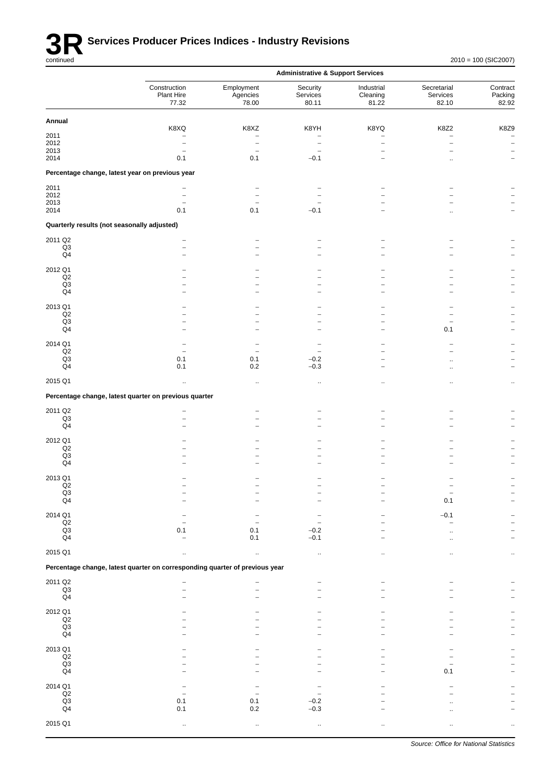

|                                             |                                                                             |                                 | <b>Administrative &amp; Support Services</b> |                                 |                                  |                              |
|---------------------------------------------|-----------------------------------------------------------------------------|---------------------------------|----------------------------------------------|---------------------------------|----------------------------------|------------------------------|
|                                             | Construction<br>Plant Hire<br>77.32                                         | Employment<br>Agencies<br>78.00 | Security<br>Services<br>80.11                | Industrial<br>Cleaning<br>81.22 | Secretarial<br>Services<br>82.10 | Contract<br>Packing<br>82.92 |
| Annual                                      |                                                                             |                                 |                                              |                                 |                                  |                              |
| 2011                                        | K8XQ                                                                        | K8XZ<br>۰                       | K8YH<br>۰                                    | K8YQ<br>۰                       | K8Z2<br>-                        | K8Z9                         |
| 2012                                        | -                                                                           | $\overline{a}$                  | $\overline{\phantom{0}}$                     | $\overline{a}$                  |                                  | $\qquad \qquad -$            |
| 2013                                        | $\overline{\phantom{0}}$                                                    |                                 |                                              |                                 |                                  |                              |
| 2014                                        | 0.1                                                                         | 0.1                             | $-0.1$                                       |                                 |                                  |                              |
|                                             | Percentage change, latest year on previous year                             |                                 |                                              |                                 |                                  |                              |
| 2011                                        |                                                                             |                                 |                                              |                                 |                                  |                              |
| 2012<br>2013                                | $\overline{\phantom{0}}$<br>-                                               |                                 |                                              |                                 |                                  |                              |
| 2014                                        | 0.1                                                                         | 0.1                             | $-0.1$                                       |                                 |                                  |                              |
| Quarterly results (not seasonally adjusted) |                                                                             |                                 |                                              |                                 |                                  |                              |
| 2011 Q2                                     |                                                                             |                                 |                                              |                                 |                                  |                              |
| Q3                                          |                                                                             |                                 |                                              |                                 |                                  |                              |
| $\mathsf{Q}4$                               |                                                                             |                                 |                                              |                                 |                                  |                              |
| 2012 Q1                                     |                                                                             |                                 |                                              |                                 |                                  |                              |
| Q2                                          |                                                                             |                                 |                                              |                                 |                                  |                              |
| Q <sub>3</sub><br>Q4                        |                                                                             |                                 |                                              |                                 |                                  |                              |
|                                             |                                                                             |                                 |                                              |                                 |                                  |                              |
| 2013 Q1                                     |                                                                             |                                 |                                              |                                 |                                  |                              |
| Q2<br>Q3                                    |                                                                             |                                 |                                              |                                 |                                  |                              |
| Q4                                          |                                                                             |                                 |                                              |                                 | 0.1                              |                              |
| 2014 Q1                                     |                                                                             |                                 |                                              |                                 |                                  |                              |
| Q2                                          | $\overline{\phantom{0}}$                                                    |                                 |                                              |                                 |                                  |                              |
| $\mathsf{Q}3$<br>$\mathsf{Q}4$              | 0.1<br>0.1                                                                  | 0.1<br>0.2                      | $-0.2$<br>$-0.3$                             | $\overline{\phantom{0}}$        |                                  |                              |
|                                             |                                                                             |                                 |                                              |                                 |                                  |                              |
| 2015 Q1                                     |                                                                             | $\ddot{\phantom{a}}$            | $\ddot{\phantom{0}}$                         |                                 |                                  | $\cdot$                      |
|                                             | Percentage change, latest quarter on previous quarter                       |                                 |                                              |                                 |                                  |                              |
| 2011 Q2                                     |                                                                             |                                 |                                              |                                 |                                  |                              |
| Q <sub>3</sub><br>$\mathsf{Q}4$             |                                                                             |                                 |                                              |                                 |                                  |                              |
|                                             |                                                                             |                                 |                                              |                                 |                                  |                              |
| 2012 Q1                                     |                                                                             |                                 |                                              |                                 |                                  |                              |
| $_{\mathsf{Q2}}$<br>Q3                      |                                                                             |                                 |                                              |                                 |                                  |                              |
| Q4                                          |                                                                             |                                 |                                              |                                 |                                  |                              |
| 2013 Q1                                     |                                                                             |                                 |                                              |                                 |                                  |                              |
| Q <sub>2</sub>                              |                                                                             |                                 |                                              |                                 |                                  |                              |
| $_{\mathsf{Q3}}$<br>Q <sub>4</sub>          |                                                                             |                                 |                                              |                                 | 0.1                              |                              |
|                                             |                                                                             |                                 |                                              |                                 |                                  |                              |
| 2014 Q1                                     |                                                                             |                                 |                                              |                                 | $-0.1$                           |                              |
| $_{\mathsf{Q2}}$<br>$\mathsf{Q3}$           | 0.1                                                                         | 0.1                             | $-0.2$                                       |                                 |                                  |                              |
| Q <sub>4</sub>                              |                                                                             | 0.1                             | $-0.1$                                       |                                 |                                  |                              |
| 2015 Q1                                     |                                                                             | $\ddot{\phantom{a}}$            | ä.                                           |                                 |                                  |                              |
|                                             | Percentage change, latest quarter on corresponding quarter of previous year |                                 |                                              |                                 |                                  |                              |
|                                             |                                                                             |                                 |                                              |                                 |                                  |                              |
| 2011 Q2                                     |                                                                             |                                 |                                              |                                 |                                  |                              |
| $\frac{Q3}{Q4}$                             |                                                                             |                                 |                                              |                                 |                                  |                              |
| 2012 Q1                                     |                                                                             |                                 |                                              |                                 |                                  |                              |
| $_{\mathsf{Q2}}$                            |                                                                             |                                 |                                              |                                 |                                  |                              |
| $_{\mathsf{Q3}}$                            |                                                                             |                                 |                                              |                                 |                                  |                              |
| Q4                                          |                                                                             |                                 |                                              |                                 |                                  |                              |
| 2013 Q1                                     |                                                                             |                                 |                                              |                                 |                                  |                              |
| $_{\mathsf{Q2}}$<br>$\mathsf{Q3}$           |                                                                             |                                 |                                              |                                 |                                  |                              |
| $\mathsf{Q}4$                               |                                                                             |                                 |                                              |                                 | 0.1                              |                              |
| 2014 Q1                                     |                                                                             |                                 |                                              |                                 |                                  |                              |
| $\mathsf{Q2}$                               |                                                                             |                                 |                                              |                                 |                                  |                              |
| $\mathsf{Q3}$                               | 0.1                                                                         | 0.1                             | $-0.2$                                       |                                 |                                  |                              |
| Q4                                          | 0.1                                                                         | 0.2                             | $-0.3$                                       |                                 |                                  |                              |
| 2015 Q1                                     |                                                                             |                                 |                                              |                                 |                                  |                              |